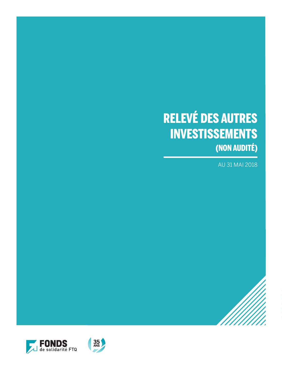# RELEVÉ DES AUTRES INVESTISSEMENTS (NON AUDITÉ)

AU 31 MAI 2018

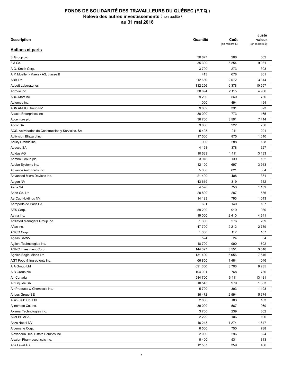| <b>Description</b>                               | Quantité | Coût<br>(en milliers \$) | Juste<br>valeur<br>(en milliers \$) |
|--------------------------------------------------|----------|--------------------------|-------------------------------------|
| <b>Actions et parts</b>                          |          |                          |                                     |
| 3i Group plc                                     | 30 677   | 266                      | 502                                 |
| 3M Co.                                           | 35 300   | 5 2 5 4                  | 9 0 3 1                             |
| A.O. Smith Corp.                                 | 3700     | 273                      | 303                                 |
| A.P. Moeller - Maersk AS, classe B               | 413      | 678                      | 801                                 |
| <b>ABB Ltd</b>                                   | 112 680  | 2 5 7 2                  | 3 3 1 4                             |
| <b>Abbott Laboratories</b>                       | 132 256  | 6 3 7 8                  | 10 557                              |
| AbbVie inc.                                      | 38 694   | 2 1 1 5                  | 4 9 6 6                             |
| ABC-Mart inc.                                    | 9 2 0 0  | 560                      | 736                                 |
| Abiomed inc.                                     | 1 0 0 0  | 494                      | 494                                 |
| ABN AMRO Group NV                                | 9602     | 331                      | 323                                 |
| Acasta Enterprises inc.                          | 80 000   | 773                      | 165                                 |
| Accenture plc                                    | 36 700   | 3591                     | 7414                                |
| Accor SA                                         | 3 606    | 222                      | 256                                 |
| ACS, Actividades de Construccion y Servicios, SA | 5403     | 211                      | 291                                 |
| Activision Blizzard inc.                         | 17 500   | 875                      | 1610                                |
| Acuity Brands inc.                               | 900      | 288                      | 138                                 |
| Adecco SA                                        | 4 1 9 8  | 378                      | 327                                 |
| Adidas AG                                        | 10 639   | 1411                     | 3 1 3 3                             |
| Admiral Group plc                                | 3976     | 139                      | 132                                 |
| Adobe Systems inc.                               | 12 100   | 697                      | 3913                                |
| Advance Auto Parts inc.                          | 5 3 0 0  | 821                      | 884                                 |
| Advanced Micro Devices inc.                      | 21 400   | 408                      | 381                                 |
| Aegon NV                                         | 43 619   | 319                      | 352                                 |
| Aena SA                                          | 4576     | 753                      | 1 1 3 9                             |
| Aeon Co. Ltd                                     | 20 800   | 287                      | 536                                 |
| AerCap Holdings NV                               | 14 123   | 793                      | 1013                                |
| Aéroports de Paris SA                            | 691      | 140                      | 187                                 |
| AES Corp.                                        | 59 200   | 919                      | 980                                 |
| Aetna inc.                                       | 19 000   | 2410                     | 4 3 4 1                             |
| Affiliated Managers Group inc.                   | 1 300    | 276                      | 269                                 |
| Aflac inc.                                       | 47 700   | 2 2 1 2                  | 2789                                |
| AGCO Corp.                                       |          |                          |                                     |
|                                                  | 1 300    | 112                      | 107                                 |
| Ageas SA/NV                                      | 524      | 24                       | 34                                  |
| Agilent Technologies inc.                        | 18 700   | 990                      | 1 502                               |
| AGNC Investment Corp.                            | 144 027  | 3551                     | 3516                                |
| Agnico Eagle Mines Ltd                           | 131 400  | 6 0 5 6                  | 7646                                |
| AGT Food & Ingredients inc.                      | 66 850   | 1484                     | 1 0 4 6                             |
| AIA Group Ltd                                    | 691 600  | 3706                     | 8 2 3 5                             |
| AIB Group plc                                    | 104 091  | 768                      | 736                                 |
| Air Canada                                       | 584 700  | 6411                     | 13 4 31                             |
| Air Liquide SA                                   | 10 545   | 979                      | 1683                                |
| Air Products & Chemicals inc.                    | 5700     | 393                      | 1 1 9 3                             |
| Airbus Group SE                                  | 36 472   | 2 5 9 4                  | 5 3 7 4                             |
| Aisin Seiki Co. Ltd                              | 2 8 0 0  | 183                      | 183                                 |
| Ajinomoto Co. inc.                               | 39 000   | 567                      | 969                                 |
| Akamai Technologies inc.                         | 3700     | 239                      | 362                                 |
| Aker BP ASA                                      | 2 2 2 9  | 106                      | 106                                 |
| Akzo Nobel NV                                    | 16 248   | 1 2 7 4                  | 1847                                |
| Albemarle Corp.                                  | 6 500    | 750                      | 788                                 |
| Alexandria Real Estate Equities inc.             | 2 0 0 0  | 296                      | 324                                 |
| Alexion Pharmaceuticals inc.                     | 5400     | 531                      | 813                                 |
| Alfa Laval AB                                    | 12 557   | 359                      | 406                                 |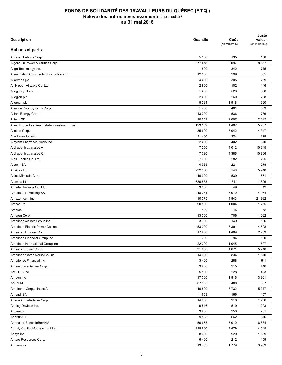| <b>Description</b>                             | Quantité | Coût<br>(en milliers \$) | Juste<br>valeur<br>(en milliers \$) |
|------------------------------------------------|----------|--------------------------|-------------------------------------|
| <b>Actions et parts</b>                        |          |                          |                                     |
| Alfresa Holdings Corp.                         | 5 100    | 135                      | 168                                 |
| Algonquin Power & Utilities Corp.              | 677 478  | 8 0 9 7                  | 8 5 5 7                             |
| Align Technology inc.                          | 1800     | 342                      | 775                                 |
| Alimentation Couche-Tard inc., classe B        | 12 100   | 299                      | 655                                 |
| Alkermes plc                                   | 4 4 0 0  | 305                      | 269                                 |
| All Nippon Airways Co. Ltd                     | 2800     | 102                      | 146                                 |
| Alleghany Corp.                                | 1 200    | 523                      | 888                                 |
| Allegion plc                                   | 2 4 0 0  | 260                      | 238                                 |
| Allergan plc                                   | 8 2 8 4  | 1918                     | 1620                                |
| Alliance Data Systems Corp.                    | 1 4 0 0  | 461                      | 383                                 |
| Alliant Energy Corp.                           | 13 700   | 536                      | 736                                 |
| Allianz SE                                     | 10 652   | 2 0 0 7                  | 2845                                |
| Allied Properties Real Estate Investment Trust | 123 189  | 4 4 0 2                  | 5 2 3 7                             |
| Allstate Corp.                                 | 35 600   | 3 0 4 2                  | 4 3 1 7                             |
| Ally Financial inc.                            | 11 400   | 324                      | 379                                 |
| Alnylam Pharmaceuticals inc.                   | 2 4 0 0  | 402                      | 310                                 |
| Alphabet inc., classe A                        | 7 2 5 0  | 4 0 1 2                  | 10 345                              |
| Alphabet inc., classe C                        | 7720     | 4 3 8 6                  | 10 866                              |
| Alps Electric Co. Ltd                          | 7 600    | 282                      | 235                                 |
| Alstom SA                                      | 4528     | 221                      | 278                                 |
| AltaGas Ltd                                    | 232 500  | 8 1 4 8                  | 5910                                |
| Altius Minerals Corp.                          | 46 900   | 539                      | 661                                 |
| Alumina Ltd                                    | 686 833  | 1 3 1 1                  | 1806                                |
| Amada Holdings Co. Ltd                         | 3 0 0 0  | 49                       | 42                                  |
|                                                |          |                          |                                     |
| Amadeus IT Holding SA                          | 48 284   | 3 0 1 0                  | 4 9 64                              |
| Amazon.com inc.                                | 10 375   | 4 8 4 3                  | 21 932                              |
| Amcor Ltd                                      | 90 880   | 1 0 0 4                  | 1 2 5 5                             |
| Amerco                                         | 100      | 45                       | 42                                  |
| Ameren Corp.                                   | 13 300   | 706                      | 1 0 2 2                             |
| American Airlines Group inc.                   | 3 3 0 0  | 149                      | 186                                 |
| American Electric Power Co. inc.               | 53 300   | 3 3 9 1                  | 4698                                |
| American Express Co.                           | 17 900   | 1409                     | 2 2 8 3                             |
| American Financial Group inc.                  | 700      | 94                       | 100                                 |
| American International Group inc.              | 22 000   | 1 0 4 5                  | 1507                                |
| American Tower Corp.                           | 31 808   | 4671                     | 5710                                |
| American Water Works Co. inc.                  | 14 000   | 834                      | 1510                                |
| Ameriprise Financial inc.                      | 3 4 0 0  | 288                      | 611                                 |
| AmerisourceBergen Corp.                        | 3 900    | 215                      | 416                                 |
| AMETEK inc.                                    | 5 100    | 228                      | 483                                 |
| Amgen inc.                                     | 17 000   | 1816                     | 3 9 6 1                             |
| AMP Ltd                                        | 87 935   | 460                      | 337                                 |
| Amphenol Corp., classe A                       | 46 800   | 3732                     | 5 2 7 7                             |
| Amundi SA                                      | 1658     | 166                      | 157                                 |
| Anadarko Petroleum Corp.                       | 14 200   | 910                      | 1 2 8 6                             |
| Analog Devices inc.                            | 9546     | 519                      | 1 2 0 3                             |
| Andeavor                                       | 3 9 0 0  | 250                      | 731                                 |
| Andritz AG                                     | 9538     | 662                      | 616                                 |
| Anheuser-Busch InBev NV                        | 56 673   | 5 0 1 0                  | 6884                                |
| Annaly Capital Management inc.                 | 335 900  | 4 4 7 9                  | 4 5 4 5                             |
| Ansys inc.                                     | 8 0 0 0  | 920                      | 1689                                |
| Antero Resources Corp.                         | 6400     | 212                      | 159                                 |
| Anthem inc.                                    | 13763    | 1779                     | 3953                                |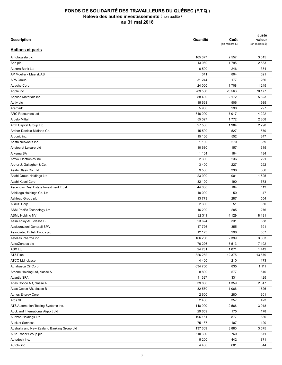| <b>Description</b>                                   | Quantité | Coût<br>(en milliers \$) | Juste<br>valeur<br>(en milliers \$) |
|------------------------------------------------------|----------|--------------------------|-------------------------------------|
| <b>Actions et parts</b>                              |          |                          |                                     |
| Antofagasta plc                                      | 165 677  | 2 5 5 7                  | 3015                                |
| Aon plc                                              | 13 960   | 1795                     | 2 5 3 3                             |
| Aozora Bank Ltd                                      | 6 500    | 246                      | 334                                 |
| AP Moeller - Maersk AS                               | 341      | 804                      | 621                                 |
| <b>APA Group</b>                                     | 31 244   | 177                      | 266                                 |
| Apache Corp.                                         | 24 000   | 1708                     | 1 2 4 5                             |
| Apple inc.                                           | 289 500  | 26 563                   | 70 177                              |
| Applied Materials inc.                               | 88 400   | 2 1 7 2                  | 5823                                |
| Aptiv plc                                            | 15 698   | 906                      | 1985                                |
| Aramark                                              | 5 9 0 0  | 290                      | 297                                 |
| <b>ARC Resources Ltd</b>                             | 316 000  | 7017                     | 4 2 2 2                             |
| ArcelorMittal                                        | 55 027   | 1772                     | 2 3 0 8                             |
| Arch Capital Group Ltd                               | 27 500   | 1984                     | 2798                                |
| Archer-Daniels-Midland Co.                           | 15 500   | 527                      | 879                                 |
| Arconic inc.                                         | 15 166   | 552                      | 347                                 |
| Arista Networks inc.                                 | 1 100    | 270                      | 359                                 |
| Aristocrat Leisure Ltd                               | 10 680   | 157                      | 315                                 |
| Arkema SA                                            | 1 1 6 4  | 184                      | 184                                 |
| Arrow Electronics inc.                               | 2 3 0 0  | 236                      | 221                                 |
| Arthur J. Gallagher & Co.                            | 3 4 0 0  | 227                      | 292                                 |
| Asahi Glass Co. Ltd                                  | 9 500    | 336                      | 506                                 |
| Asahi Group Holdings Ltd                             | 23 900   | 901                      | 1625                                |
| Asahi Kasei Corp.                                    | 32 100   | 190                      | 573                                 |
| Ascendas Real Estate Investment Trust                | 44 000   | 104                      | 113                                 |
| Ashikaga Holdings Co. Ltd                            | 10 000   | 50                       | 47                                  |
| Ashtead Group plc                                    | 13773    | 287                      | 554                                 |
| ASICS Corp.                                          | 2 3 0 0  | 51                       | 50                                  |
| ASM Pacific Technology Ltd                           | 16 200   | 285                      | 276                                 |
| <b>ASML Holding NV</b>                               | 32 311   | 4 1 2 9                  | 8 1 9 1                             |
| Assa Abloy AB, classe B                              | 23 6 24  | 331                      | 658                                 |
| Assicurazioni Generali SPA                           | 17 726   | 355                      | 391                                 |
|                                                      | 12 173   | 296                      | 557                                 |
| Associated British Foods plc<br>Astellas Pharma inc. |          |                          |                                     |
|                                                      | 166 200  | 2 3 9 9                  | 3 3 0 3                             |
| AstraZeneca plc                                      | 76 226   | 5513                     | 7 1 9 2                             |
| <b>ASX Ltd</b>                                       | 24 231   | 1 0 7 1                  | 1442                                |
| AT&T inc.                                            | 326 252  | 12 375                   | 13 679                              |
| ATCO Ltd, classe I                                   | 4 4 0 0  | 210                      | 173                                 |
| Athabasca Oil Corp.                                  | 634 700  | 835                      | 1 1 1 1                             |
| Athene Holding Ltd, classe A                         | 8 8 0 0  | 577                      | 510                                 |
| Atlantia SPA                                         | 11 3 27  | 331                      | 425                                 |
| Atlas Copco AB, classe A                             | 39 806   | 1 3 5 9                  | 2 0 4 7                             |
| Atlas Copco AB, classe B                             | 32 570   | 1 0 6 6                  | 1526                                |
| Atmos Energy Corp.                                   | 2 600    | 280                      | 301                                 |
| Atos SE                                              | 2 4 0 6  | 357                      | 423                                 |
| ATS Automation Tooling Systems inc.                  | 148 900  | 2 5 6 6                  | 3 0 1 8                             |
| Auckland International Airport Ltd                   | 29 659   | 175                      | 178                                 |
| Aurizon Holdings Ltd                                 | 196 151  | 877                      | 830                                 |
| <b>AusNet Services</b>                               | 75 187   | 107                      | 120                                 |
| Australia and New Zealand Banking Group Ltd          | 137 609  | 3880                     | 3675                                |
| Auto Trader Group plc                                | 110 300  | 760                      | 671                                 |
| Autodesk inc.                                        | 5 200    | 442                      | 871                                 |
| Autoliv inc.                                         | 4 4 0 0  | 601                      | 844                                 |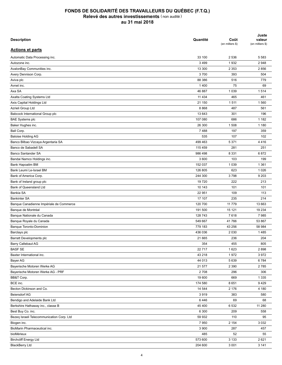| <b>Description</b>                        | Quantité | Coût<br>(en milliers \$) | Juste<br>valeur<br>(en milliers \$) |
|-------------------------------------------|----------|--------------------------|-------------------------------------|
| <b>Actions et parts</b>                   |          |                          |                                     |
| Automatic Data Processing inc.            | 33 100   | 2 5 3 6                  | 5 5 8 3                             |
| Autozone inc.                             | 3 4 9 9  | 1932                     | 2948                                |
| AvalonBay Communities inc.                | 13 300   | 2 3 5 3                  | 2856                                |
| Avery Dennison Corp.                      | 3700     | 393                      | 504                                 |
| Aviva plc                                 | 88 386   | 516                      | 779                                 |
| Avnet inc.                                | 1400     | 75                       | 69                                  |
| Axa SA                                    | 46 887   | 1 0 3 9                  | 1514                                |
| Axalta Coating Systems Ltd                | 11 4 34  | 465                      | 461                                 |
| Axis Capital Holdings Ltd                 | 21 150   | 1511                     | 1560                                |
| Azrieli Group Ltd                         | 8868     | 487                      | 561                                 |
| Babcock International Group plc           | 13 643   | 301                      | 196                                 |
| <b>BAE Systems plc</b>                    | 107 080  | 686                      | 1 1 8 2                             |
| Baker Hughes inc.                         | 26 300   | 1 508                    | 1 1 8 0                             |
| Ball Corp.                                | 7488     | 197                      | 359                                 |
| <b>Baloise Holding AG</b>                 | 535      | 107                      | 102                                 |
| Banco Bilbao Vizcaya Argentaria SA        | 499 463  | 5 3 7 1                  | 4416                                |
| Banco de Sabadell SA                      | 115 459  | 281                      | 251                                 |
| Banco Santander SA                        | 986 498  | 8 3 3 1                  | 6872                                |
| Bandai Namco Holdings inc.                | 3 600    | 103                      | 199                                 |
| Bank Hapoalim BM                          | 152 037  | 1 0 3 9                  | 1 3 6 1                             |
| Bank Leumi Le-Israel BM                   | 126 805  | 623                      | 1 0 2 6                             |
| Bank of America Corp.                     | 244 300  | 3798                     | 9 2 0 3                             |
| Bank of Ireland group plc                 | 19720    | 222                      | 213                                 |
| Bank of Queensland Ltd                    | 10 143   | 101                      | 101                                 |
| Bankia SA                                 | 22 951   | 109                      | 113                                 |
| <b>Bankinter SA</b>                       | 17 107   | 235                      | 214                                 |
|                                           |          |                          | 13 663                              |
| Banque Canadienne Impériale de Commerce   | 120 700  | 11 7 7 9                 |                                     |
| Banque de Montréal                        | 191 500  | 15 121                   | 19 234                              |
| Banque Nationale du Canada                | 128 743  | 7618                     | 7985                                |
| Banque Royale du Canada                   | 549 667  | 41766                    | 53 867                              |
| <b>Banque Toronto-Dominion</b>            | 779 183  | 43 256                   | 58 984                              |
| Barclays plc                              | 436 036  | 2 0 3 0                  | 1485                                |
| Barratt Developments plc                  | 21 665   | 236                      | 204                                 |
| Barry Callebaut AG                        | 354      | 455                      | 805                                 |
| <b>BASF SE</b>                            | 22 717   | 1623                     | 2898                                |
| Baxter International inc.                 | 43 218   | 1972                     | 3972                                |
| Bayer AG                                  | 44 013   | 5 6 3 9                  | 6784                                |
| Bayerische Motoren Werke AG               | 21 577   | 2 3 9 0                  | 2785                                |
| Bayerische Motoren Werke AG - PRF         | 2708     | 296                      | 306                                 |
| BB&T Corp.                                | 19 600   | 669                      | 1 3 3 5                             |
| BCE inc.                                  | 174 580  | 8651                     | 9429                                |
| Becton Dickinson and Co.                  | 14 544   | 2 176                    | 4 180                               |
| Beiersdorf AG                             | 3919     | 383                      | 580                                 |
| Bendigo and Adelaide Bank Ltd             | 6446     | 69                       | 68                                  |
| Berkshire Hathaway inc., classe B         | 45 400   | 6 5 3 2                  | 11 280                              |
| Best Buy Co. inc.                         | 6 3 0 0  | 209                      | 558                                 |
| Bezeq Israeli Telecommunication Corp. Ltd | 59 932   | 110                      | 95                                  |
| Biogen inc.                               | 7950     | 2 1 5 4                  | 3 0 3 2                             |
| BioMarin Pharmaceutical inc.              | 3 9 0 0  | 287                      | 457                                 |
| bioMérieux                                | 485      | 52                       | 55                                  |
| <b>Birchcliff Energy Ltd</b>              | 573 600  | 3 1 3 3                  | 2 6 2 1                             |
| <b>BlackBerry Ltd</b>                     | 204 600  | 3 0 0 1                  | 3 1 4 1                             |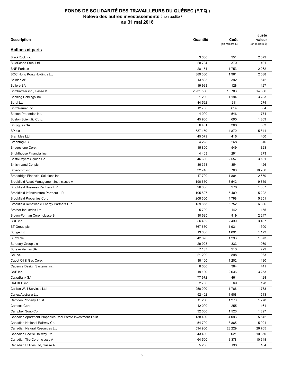| <b>Description</b>                                         | Quantité  | Coût<br>(en milliers \$) | Juste<br>valeur<br>(en milliers \$) |
|------------------------------------------------------------|-----------|--------------------------|-------------------------------------|
| <b>Actions et parts</b>                                    |           |                          |                                     |
| BlackRock inc.                                             | 3 0 0 0   | 951                      | 2079                                |
| <b>BlueScope Steel Ltd</b>                                 | 28 794    | 370                      | 491                                 |
| <b>BNP Paribas</b>                                         | 28 154    | 1753                     | 2 2 6 2                             |
| BOC Hong Kong Holdings Ltd                                 | 389 000   | 1961                     | 2 5 3 8                             |
| <b>Boliden AB</b>                                          | 13 803    | 392                      | 642                                 |
| Bolloré SA                                                 | 19 933    | 128                      | 127                                 |
| Bombardier inc., classe B                                  | 2 931 500 | 10 706                   | 14 30 6                             |
| Booking Holdings inc.                                      | 1 200     | 1 1 9 4                  | 3 2 8 3                             |
| <b>Boral Ltd</b>                                           | 44 592    | 211                      | 274                                 |
| BorgWarner inc.                                            | 12700     | 614                      | 804                                 |
| Boston Properties inc.                                     | 4 900     | 546                      | 774                                 |
| Boston Scientific Corp.                                    | 45 900    | 690                      | 1809                                |
| Bouygues SA                                                | 6401      | 366                      | 383                                 |
| BP plc                                                     | 587 150   | 4 8 7 0                  | 5841                                |
| <b>Brambles Ltd</b>                                        | 45 079    | 416                      | 400                                 |
| <b>Brenntag AG</b>                                         | 4 2 2 8   | 268                      | 316                                 |
| Bridgestone Corp.                                          | 15 800    | 549                      | 823                                 |
| Brighthouse Financial inc.                                 | 4 4 6 3   | 291                      | 273                                 |
| Bristol-Myers Squibb Co.                                   | 46 600    | 2 5 5 7                  | 3 181                               |
| British Land Co. plc                                       | 36 358    | 354                      | 426                                 |
| Broadcom inc.                                              | 32 740    | 5766                     | 10 706                              |
| Broadridge Financial Solutions inc.                        | 17 700    | 1804                     | 2650                                |
| Brookfield Asset Management inc., classe A                 | 190 650   | 8 5 4 2                  | 9859                                |
| Brookfield Business Partners L.P.                          | 26 300    | 976                      | 1 3 5 7                             |
| Brookfield Infrastructure Partners L.P.                    | 105 827   | 5409                     | 5 2 2 2                             |
|                                                            | 208 600   | 4798                     | 5 3 5 1                             |
| Brookfield Properties Corp.                                |           |                          |                                     |
| Brookfield Renewable Energy Partners L.P.                  | 159 853   | 5752                     | 6 3 9 6                             |
| <b>Brother Industries Ltd</b>                              | 5700      | 142                      | 155                                 |
| Brown-Forman Corp., classe B                               | 30 625    | 919                      | 2 2 4 7                             |
| BRP inc.                                                   | 56 402    | 2 4 3 9                  | 3 4 0 7                             |
| BT Group plc                                               | 367 630   | 1931                     | 1 300                               |
| <b>Bunge Ltd</b>                                           | 13 000    | 1 0 9 1                  | 1 1 7 3                             |
| Bunzl plc                                                  | 42 323    | 1 2 9 3                  | 1673                                |
| Burberry Group plc                                         | 29 9 28   | 833                      | 1 0 6 9                             |
| <b>Bureau Veritas SA</b>                                   | 7 1 3 7   | 213                      | 229                                 |
| CA inc.                                                    | 21 200    | 898                      | 983                                 |
| Cabot Oil & Gas Corp.                                      | 38 100    | 1 202                    | 1 1 3 0                             |
| Cadence Design Systems inc.                                | 8 0 0 0   | 384                      | 441                                 |
| CAE inc.                                                   | 119 100   | 2636                     | 3 2 5 3                             |
| CaixaBank SA                                               | 77 672    | 461                      | 428                                 |
| CALBEE inc.                                                | 2700      | 69                       | 128                                 |
| Calfrac Well Services Ltd                                  | 250 000   | 1766                     | 1733                                |
| Caltex Australia Ltd                                       | 52 402    | 1508                     | 1513                                |
| Camden Property Trust                                      | 11 200    | 1 2 7 0                  | 1 2 7 8                             |
| Cameco Corp.                                               | 12 000    | 255                      | 161                                 |
| Campbell Soup Co.                                          | 32 000    | 1526                     | 1 3 9 7                             |
| Canadian Apartment Properties Real Estate Investment Trust | 138 400   | 4 0 9 3                  | 5 6 4 2                             |
| Canadian National Railway Co.                              | 54 700    | 3865                     | 5921                                |
| Canadian Natural Resources Ltd                             | 594 900   | 23 229                   | 26 705                              |
| Canadian Pacific Railway Ltd                               | 43 400    | 9621                     | 10 850                              |
| Canadian Tire Corp., classe A                              | 64 500    | 8 3 7 8                  | 10 648                              |
| Canadian Utilities Ltd, classe A                           | 5 200     | 198                      | 164                                 |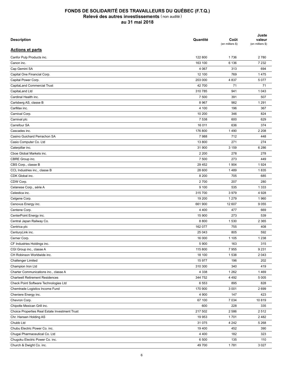| <b>Description</b>                             | Quantité | Coût<br>(en milliers \$) | Juste<br>valeur<br>(en milliers \$) |
|------------------------------------------------|----------|--------------------------|-------------------------------------|
| <b>Actions et parts</b>                        |          |                          |                                     |
| Canfor Pulp Products inc.                      | 122 800  | 1736                     | 2780                                |
| Canon inc.                                     | 163 100  | 6 136                    | 7 2 3 2                             |
| Cap Gemini SA                                  | 4 0 6 7  | 313                      | 694                                 |
| Capital One Financial Corp.                    | 12 100   | 769                      | 1475                                |
| Capital Power Corp.                            | 203 000  | 4837                     | 5 0 7 7                             |
| CapitaLand Commercial Trust                    | 42 700   | 71                       | 71                                  |
| CapitaLand Ltd                                 | 310 785  | 941                      | 1 0 4 3                             |
| Cardinal Health inc.                           | 7 500    | 391                      | 507                                 |
| Carlsberg AS, classe B                         | 8 9 6 7  | 982                      | 1 2 9 1                             |
| CarMax inc.                                    | 4 100    | 196                      | 367                                 |
| Carnival Corp.                                 | 10 200   | 346                      | 824                                 |
| Carnival plc                                   | 7 5 3 8  | 600                      | 629                                 |
| Carrefour SA                                   | 16 011   | 636                      | 374                                 |
| Cascades inc.                                  | 176 800  | 1490                     | 2 2 0 8                             |
| Casino Guichard Perrachon SA                   | 7988     | 712                      | 448                                 |
| Casio Computer Co. Ltd                         | 13 800   | 271                      | 274                                 |
| Caterpillar inc.                               | 31 900   | 3 1 5 9                  | 6 2 8 6                             |
| Cboe Global Markets inc.                       | 2 2 0 0  | 278                      | 278                                 |
| CBRE Group inc.                                | 7 500    | 273                      | 449                                 |
| CBS Corp., classe B                            | 29 452   | 1 9 0 4                  | 1924                                |
| CCL Industries inc., classe B                  | 28 600   | 1489                     | 1835                                |
| CDK Global inc.                                | 8 2 0 0  | 705                      | 685                                 |
| CDW Corp.                                      | 2700     | 207                      | 280                                 |
|                                                | 9 100    |                          |                                     |
| Celanese Corp., série A                        |          | 535                      | 1 3 3 3                             |
| Celestica inc.                                 | 315 700  | 3979                     | 4 9 28                              |
| Celgene Corp.                                  | 19 200   | 1 2 7 9                  | 1960                                |
| Cenovus Energy inc.                            | 661 900  | 12 607                   | 9055                                |
| Centene Corp.                                  | 4 4 0 0  | 477                      | 669                                 |
| CenterPoint Energy inc.                        | 15 900   | 273                      | 539                                 |
| Central Japan Railway Co.                      | 8800     | 1 5 3 0                  | 2 3 6 5                             |
| Centrica plc                                   | 162 077  | 755                      | 408                                 |
| CenturyLink inc.                               | 25 043   | 805                      | 592                                 |
| Cerner Corp.                                   | 16 000   | 1 1 0 5                  | 1 2 3 8                             |
| CF Industries Holdings inc.                    | 5 9 0 0  | 163                      | 315                                 |
| CGI Group inc., classe A                       | 115 800  | 7955                     | 9 2 3 1                             |
| CH Robinson Worldwide inc.                     | 18 100   | 1538                     | 2 0 4 3                             |
| Challenger Limited                             | 15 977   | 196                      | 202                                 |
| Champion Iron Ltd                              | 310 300  | 340                      | 419                                 |
| Charter Communications inc., classe A          | 4 3 3 8  | 1 2 6 2                  | 1469                                |
| <b>Chartwell Retirement Residences</b>         | 344 752  | 4 4 9 2                  | 5 0 0 5                             |
| Check Point Software Technologies Ltd          | 6 5 5 3  | 895                      | 828                                 |
| Chemtrade Logistics Income Fund                | 170 900  | 3 0 0 1                  | 2699                                |
| Cheniere Energy inc.                           | 4 9 0 0  | 147                      | 423                                 |
| Chevron Corp.                                  | 67 100   | 7 0 34                   | 10819                               |
| Chipotle Mexican Grill inc.                    | 600      | 228                      | 335                                 |
| Choice Properties Real Estate Investment Trust | 217 502  | 2 5 8 6                  | 2 5 1 2                             |
| Chr. Hansen Holding AS                         | 19 953   | 1701                     | 2482                                |
| Chubb Ltd                                      | 31 075   | 4 2 4 2                  | 5 2 6 8                             |
| Chubu Electric Power Co. inc.                  | 19 400   | 452                      | 390                                 |
| Chugai Pharmaceutical Co. Ltd                  | 4 4 0 0  | 182                      | 323                                 |
| Chugoku Electric Power Co. inc.                | 6 500    | 135                      | 110                                 |
| Church & Dwight Co. inc.                       | 49 700   | 1781                     | 3 0 2 7                             |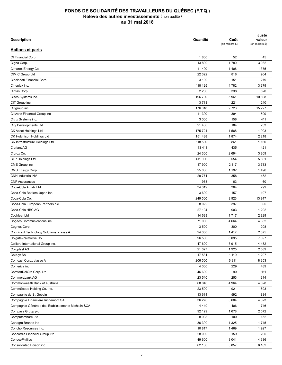| <b>Description</b>                                 | Quantité | Coût<br>(en milliers \$) | Juste<br>valeur<br>(en milliers \$) |
|----------------------------------------------------|----------|--------------------------|-------------------------------------|
| <b>Actions et parts</b>                            |          |                          |                                     |
| CI Financial Corp.                                 | 1800     | 52                       | 45                                  |
| Cigna Corp.                                        | 13 800   | 1780                     | 3 0 3 2                             |
| Cimarex Energy Co.                                 | 11 400   | 1 4 0 6                  | 1 3 7 5                             |
| CIMIC Group Ltd                                    | 22 322   | 818                      | 904                                 |
| Cincinnati Financial Corp.                         | 3 100    | 151                      | 279                                 |
| Cineplex inc.                                      | 118 125  | 4782                     | 3 3 7 9                             |
| Cintas Corp.                                       | 2 2 0 0  | 338                      | 520                                 |
| Cisco Systems inc.                                 | 196 700  | 5961                     | 10898                               |
| CIT Group inc.                                     | 3713     | 221                      | 240                                 |
| Citigroup inc.                                     | 176 018  | 9723                     | 15 227                              |
| Citizens Financial Group inc.                      | 11 300   | 394                      | 599                                 |
| Citrix Systems inc.                                | 3 0 0 0  | 158                      | 411                                 |
| <b>City Developments Ltd</b>                       | 21 400   | 184                      | 233                                 |
| CK Asset Holdings Ltd                              | 175 721  | 1588                     | 1 903                               |
| CK Hutchison Holdings Ltd                          | 151 488  | 1874                     | 2 2 1 8                             |
| CK Infrastructure Holdings Ltd                     | 118 500  | 861                      | 1 1 6 0                             |
| <b>Clariant AG</b>                                 | 13 4 11  | 435                      | 421                                 |
| Clorox Co.                                         | 24 300   | 2694                     | 3809                                |
| CLP Holdings Ltd                                   | 411 000  | 3 5 5 4                  | 5 601                               |
| CME Group inc.                                     | 17 900   | 2 117                    | 3783                                |
|                                                    | 25 000   | 1 1 9 2                  |                                     |
| CMS Energy Corp.                                   |          |                          | 1496                                |
| CNH Industrial NV                                  | 29 771   | 358                      | 452                                 |
| <b>CNP Assurances</b>                              | 1963     | 63                       | 60                                  |
| Coca-Cola Amatil Ltd                               | 34 319   | 364                      | 299                                 |
| Coca-Cola Bottlers Japan inc.                      | 3 600    | 157                      | 197                                 |
| Coca-Cola Co.                                      | 249 500  | 9923                     | 13917                               |
| Coca-Cola European Partners plc                    | 8 0 2 2  | 397                      | 395                                 |
| Coca-Cola HBC AG                                   | 27 104   | 903                      | 1 2 0 2                             |
| Cochlear Ltd                                       | 14 693   | 1717                     | 2829                                |
| Cogeco Communications inc.                         | 71 000   | 4 6 64                   | 4 8 3 2                             |
| Cognex Corp.                                       | 3 500    | 300                      | 208                                 |
| Cognizant Technology Solutions, classe A           | 24 300   | 1417                     | 2 3 7 5                             |
| Colgate-Palmolive Co.                              | 96 500   | 6 0 9 5                  | 7897                                |
| Colliers International Group inc.                  | 47 600   | 3915                     | 4 4 5 2                             |
| Coloplast AS                                       | 21 0 27  | 1925                     | 2 5 8 9                             |
| Colruyt SA                                         | 17 531   | 1 1 1 9                  | 1 207                               |
| Comcast Corp., classe A                            | 206 500  | 6811                     | 8 3 5 3                             |
| Comerica inc.                                      | 4 0 0 0  | 229                      | 489                                 |
| ComfortDelGro Corp. Ltd                            | 46 600   | 90                       | 111                                 |
| Commerzbank AG                                     | 23 540   | 253                      | 314                                 |
| Commonwealth Bank of Australia                     | 68 046   | 4 9 64                   | 4 6 28                              |
| CommScope Holding Co. inc.                         | 23 500   | 921                      | 893                                 |
| Compagnie de St-Gobain                             | 13 6 14  | 592                      | 884                                 |
| Compagnie Financière Richemont SA                  | 36 270   | 3 604                    | 4 3 2 3                             |
| Compagnie Générale des Établissements Michelin SCA | 4 4 4 9  | 406                      | 746                                 |
| Compass Group plc                                  | 92 129   | 1678                     | 2572                                |
| Computershare Ltd                                  | 8 9 0 8  | 100                      | 152                                 |
| Conagra Brands inc                                 | 36 300   | 1 3 2 5                  | 1745                                |
| Concho Resources inc.                              | 10817    | 1469                     | 1927                                |
| Concordia Financial Group Ltd                      | 28 000   | 159                      | 205                                 |
| ConocoPhillips                                     | 49 600   | 3 0 4 1                  | 4 3 3 6                             |
| Consolidated Edison inc.                           | 62 100   | 3857                     | 6 182                               |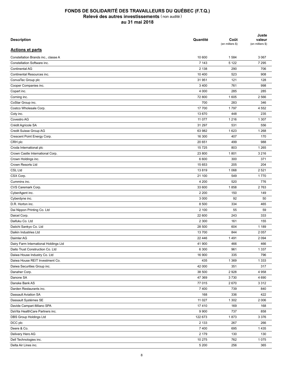| <b>Description</b>                       | Quantité | Coût<br>(en milliers \$) | Juste<br>valeur<br>(en milliers \$) |
|------------------------------------------|----------|--------------------------|-------------------------------------|
| <b>Actions et parts</b>                  |          |                          |                                     |
| Constellation Brands inc., classe A      | 10 600   | 1 5 8 4                  | 3 0 6 7                             |
| Constellation Software inc.              | 7 1 4 3  | 5 1 2 2                  | 7 2 9 5                             |
| <b>Continental AG</b>                    | 2 1 3 8  | 290                      | 706                                 |
| Continental Resources inc.               | 10 400   | 523                      | 908                                 |
| ConvaTec Group plc                       | 31 951   | 121                      | 128                                 |
| Cooper Companies inc.                    | 3 4 0 0  | 761                      | 998                                 |
| Copart inc.                              | 4 0 0 0  | 285                      | 285                                 |
| Corning inc.                             | 72 800   | 1 605                    | 2 5 6 6                             |
| CoStar Group inc.                        | 700      | 283                      | 346                                 |
| Costco Wholesale Corp.                   | 17 700   | 1797                     | 4 5 5 2                             |
| Coty inc.                                | 13 670   | 448                      | 235                                 |
| Covestro AG                              | 11 0 77  | 1 2 1 6                  | 1 3 0 7                             |
| Crédit Agricole SA                       | 31 297   | 531                      | 556                                 |
| Credit Suisse Group AG                   | 63 982   | 1 6 2 3                  | 1 2 6 8                             |
| Crescent Point Energy Corp.              | 16 300   | 407                      | 170                                 |
| CRH plc                                  | 20 651   | 499                      | 988                                 |
| Croda International plc                  | 15 7 25  | 803                      | 1 2 6 5                             |
| Crown Castle International Corp.         | 23 800   | 1801                     | 3 2 1 6                             |
|                                          |          |                          |                                     |
| Crown Holdings inc.<br>Crown Resorts Ltd | 6 600    | 300                      | 371                                 |
|                                          | 15 653   | 205                      | 204                                 |
| <b>CSL Ltd</b>                           | 13819    | 1 0 6 8                  | 2 5 2 1                             |
| CSX Corp.                                | 21 100   | 549                      | 1770                                |
| Cummins inc.                             | 4 200    | 520                      | 776                                 |
| CVS Caremark Corp.                       | 33 600   | 1858                     | 2763                                |
| CyberAgent inc.                          | 2 2 0 0  | 150                      | 149                                 |
| Cyberdyne inc.                           | 3 0 0 0  | 92                       | 50                                  |
| D.R. Horton inc.                         | 8 500    | 334                      | 465                                 |
| Dai Nippon Printing Co. Ltd              | 2 100    | 55                       | 59                                  |
| Daicel Corp.                             | 22 600   | 243                      | 333                                 |
| Daifuku Co. Ltd                          | 2 3 0 0  | 161                      | 155                                 |
| Daiichi Sankyo Co. Ltd                   | 28 500   | 604                      | 1 1 8 9                             |
| Daikin Industries Ltd                    | 13 700   | 844                      | 2 0 5 7                             |
| Daimler AG                               | 22 446   | 1491                     | 2 0 9 4                             |
| Dairy Farm International Holdings Ltd    | 41 900   | 466                      | 466                                 |
| Daito Trust Construction Co. Ltd         | 6 300    | 961                      | 1 3 3 7                             |
| Daiwa House Industry Co. Ltd             | 16 900   | 335                      | 796                                 |
| Daiwa House REIT Investment Co.          | 435      | 1 3 6 9                  | 1 3 3 3                             |
| Daiwa Securities Group inc.              | 42 000   | 351                      | 317                                 |
| Danaher Corp.                            | 38 500   | 2928                     | 4 9 5 8                             |
| Danone SA                                | 47 369   | 3730                     | 4 6 9 0                             |
| Danske Bank AS                           | 77 015   | 2670                     | 3 3 1 2                             |
| Darden Restaurants inc.                  | 7400     | 739                      | 840                                 |
| Dassault Aviation SA                     | 168      | 336                      | 422                                 |
| Dassault Systèmes SE                     | 11 0 27  | 1 3 0 2                  | 2 0 0 6                             |
| Davide Campari-Milano SPA                | 17410    | 169                      | 168                                 |
| DaVita HealthCare Partners inc.          | 9 9 0 0  | 737                      | 858                                 |
| DBS Group Holdings Ltd                   | 122 673  | 1873                     | 3 3 7 6                             |
| DCC plc                                  | 2 1 3 3  | 267                      | 266                                 |
| Deere & Co.                              | 7400     | 695                      | 1435                                |
| Delivery Hero AG                         | 2 1 7 9  | 130                      | 130                                 |
| Dell Technologies inc.                   | 10 275   | 762                      | 1075                                |
| Delta Air Lines inc.                     | 5 200    | 256                      | 365                                 |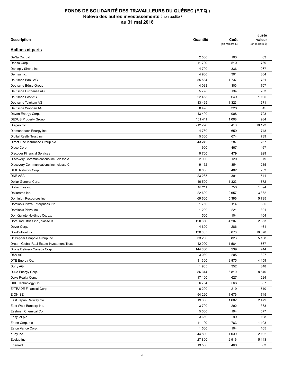| <b>Description</b>                        | Quantité         | Coût<br>(en milliers \$) | Juste<br>valeur<br>(en milliers \$) |
|-------------------------------------------|------------------|--------------------------|-------------------------------------|
| <b>Actions et parts</b>                   |                  |                          |                                     |
| DeNa Co. Ltd                              | 2 500            | 103                      | 63                                  |
| Denso Corp.                               | 11 700           | 510                      | 739                                 |
| Dentsply Sirona inc.                      | 4 700            | 336                      | 267                                 |
| Dentsu inc.                               | 4 9 0 0          | 301                      | 304                                 |
| Deutsche Bank AG                          | 55 584           | 1737                     | 781                                 |
| Deutsche Börse Group                      | 4 0 8 3          | 303                      | 707                                 |
| Deutsche Lufthansa AG                     | 5778             | 134                      | 203                                 |
| Deutsche Post AG                          | 22 4 68          | 649                      | 1 1 0 5                             |
| Deutsche Telekom AG                       | 83 4 95          | 1 3 2 3                  | 1671                                |
| Deutsche Wohnen AG                        | 8478             | 328                      | 515                                 |
| Devon Energy Corp.                        | 13 400           | 908                      | 723                                 |
| <b>DEXUS Property Group</b>               | 101 411          | 1 0 0 8                  | 984                                 |
| Diageo plc                                | 212 296          | 6410                     | 10 123                              |
| Diamondback Energy inc.                   | 4780             | 659                      | 748                                 |
| Digital Realty Trust inc.                 | 5 3 0 0          | 674                      | 739                                 |
| Direct Line Insurance Group plc           | 43 242           | 287                      | 267                                 |
| Disco Corp.                               | 1 900            | 467                      | 467                                 |
| <b>Discover Financial Services</b>        | 9700             | 479                      | 929                                 |
| Discovery Communications inc., classe A   | 2 9 0 0          | 120                      | 79                                  |
| Discovery Communications inc., classe C   | 9 1 5 2          | 354                      | 235                                 |
| DISH Network Corp.                        | 6 600            | 402                      | 253                                 |
| <b>DNB ASA</b>                            | 23 285           | 391                      | 541                                 |
| Dollar General Corp.                      | 16 500           | 1 3 2 3                  | 1872                                |
| Dollar Tree inc.                          | 10 211           | 750                      | 1 0 9 4                             |
|                                           |                  |                          |                                     |
| Dollarama inc.<br>Dominion Resources inc. | 22 600<br>69 600 | 2657<br>5 3 9 6          | 3 3 8 2<br>5795                     |
|                                           |                  |                          |                                     |
| Domino's Pizza Enterprises Ltd            | 1750             | 114                      | 85                                  |
| Domino's Pizza inc.                       | 1 200            | 221                      | 391                                 |
| Don Quijote Holdings Co. Ltd              | 1 500            | 104                      | 104                                 |
| Dorel Industries inc., classe B           | 120 850          | 4 207                    | 2653                                |
| Dover Corp.                               | 4 600            | 286                      | 461                                 |
| DowDuPont inc.                            | 130 805          | 5678                     | 10878                               |
| Dr Pepper Snapple Group inc.              | 33 200           | 3823                     | 5 1 3 8                             |
| Dream Global Real Estate Investment Trust | 112 000          | 1584                     | 1667                                |
| Drone Delivery Canada Corp.               | 144 600          | 239                      | 244                                 |
| <b>DSVAS</b>                              | 3 0 3 9          | 205                      | 327                                 |
| DTE Energy Co.                            | 31 300           | 3875                     | 4 1 5 9                             |
| Dufry AG                                  | 1965             | 352                      | 348                                 |
| Duke Energy Corp.                         | 86 314           | 6810                     | 8 6 4 0                             |
| Duke Realty Corp.                         | 17 100           | 627                      | 624                                 |
| DXC Technology Co.                        | 6754             | 566                      | 807                                 |
| E*TRADE Financial Corp.                   | 6 200            | 219                      | 510                                 |
| E.ON SE                                   | 54 290           | 1676                     | 745                                 |
| East Japan Railway Co.                    | 19 300           | 1 602                    | 2 4 7 9                             |
| East West Bancorp inc.                    | 3700             | 292                      | 333                                 |
| Eastman Chemical Co.                      | 5 0 0 0          | 194                      | 677                                 |
| EasyJet plc                               | 3 6 6 0          | 99                       | 108                                 |
| Eaton Corp. plc                           | 11 100           | 763                      | 1 1 0 3                             |
| Eaton Vance Corp.                         | 1 500            | 104                      | 105                                 |
| eBay inc.                                 | 44 800           | 1 0 3 9                  | 2 1 9 2                             |
| Ecolab inc.                               | 27 800           | 2916                     | 5 1 4 3                             |
| Edenred                                   | 13 550           | 460                      | 563                                 |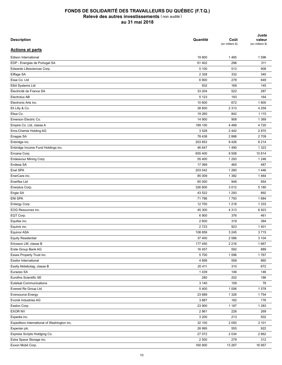| <b>Description</b>                               | Quantité | Coût<br>(en milliers \$) | Juste<br>valeur<br>(en milliers \$) |
|--------------------------------------------------|----------|--------------------------|-------------------------------------|
| <b>Actions et parts</b>                          |          |                          |                                     |
| Edison International                             | 19800    | 1465                     | 1596                                |
| EDP - Energias de Portugal SA                    | 61 402   | 296                      | 311                                 |
| Edwards Lifesciences Corp.                       | 5 100    | 512                      | 908                                 |
| Eiffage SA                                       | 2 3 2 8  | 332                      | 340                                 |
| Eisai Co. Ltd                                    | 6 900    | 278                      | 649                                 |
| Elbit Systems Ltd                                | 932      | 169                      | 145                                 |
| Électricité de France SA                         | 33 204   | 522                      | 287                                 |
| Electrolux AB                                    | 5 1 2 3  | 193                      | 164                                 |
| Electronic Arts inc.                             | 10 600   | 672                      | 1800                                |
| Eli Lilly & Co.                                  | 38 600   | 2 3 1 3                  | 4 2 5 9                             |
| Elisa Co.                                        | 19 260   | 842                      | 1 1 1 5                             |
| Emerson Electric Co.                             | 14 900   | 908                      | 1 3 6 9                             |
| Empire Co. Ltd, classe A                         | 189 100  | 4 4 8 9                  | 4 7 2 0                             |
| Ems-Chemie Holding AG                            | 3528     | 2442                     | 2870                                |
| Enagas SA                                        | 78 438   | 2888                     | 2709                                |
| Enbridge inc.                                    | 203 853  | 9426                     | 8 2 1 4                             |
| Enbridge Income Fund Holdings inc.               | 46 647   | 1490                     | 1 3 2 3                             |
| Encana Corp.                                     | 655 400  | 9508                     | 10814                               |
| Endeavour Mining Corp.                           | 55 400   | 1 2 9 3                  | 1 2 4 6                             |
| Endesa SA                                        | 17 069   | 465                      | 487                                 |
| Enel SPA                                         | 203 042  | 1 2 6 0                  | 1446                                |
| EnerCare inc.                                    | 85 009   | 1 3 8 2                  | 1464                                |
| Enerflex Ltd                                     | 65 000   | 948                      | 954                                 |
| Enerplus Corp.                                   | 326 800  | 3012                     | 5 1 8 0                             |
| Engie SA                                         | 43 522   | 1 2 9 3                  | 892                                 |
| <b>ENI SPA</b>                                   | 71 786   | 1793                     | 1684                                |
| Entergy Corp.                                    | 12 700   | 1 2 1 8                  | 1 3 3 3                             |
| EOG Resources inc.                               | 45 300   | 4 3 1 3                  | 6923                                |
| EQT Corp.                                        | 6 900    | 376                      | 461                                 |
| Equifax inc.                                     | 2 600    | 319                      | 384                                 |
| Equinix inc.                                     | 2723     | 923                      | 1401                                |
| Equinor ASA                                      | 108 859  | 3 2 4 5                  | 3715                                |
| Equity Residential                               | 37 400   | 2 5 8 6                  | 3 1 0 4                             |
| Ericsson LM, classe B                            | 177 450  | 2 2 1 6                  | 1667                                |
| Erste Group Bank AG                              | 16 457   | 592                      | 889                                 |
| Essex Property Trust inc.                        | 5700     | 1596                     | 1767                                |
| Essilor International                            | 4 8 5 6  | 558                      | 860                                 |
| Essity Aktiebolag, classe B                      | 20 411   | 310                      | 672                                 |
| Eurazeo SA                                       | 1439     | 146                      | 146                                 |
| Eurofins Scientific SE                           | 280      | 202                      | 186                                 |
| <b>Eutelsat Communications</b>                   | 3 1 4 0  | 109                      | 78                                  |
| Everest Re Group Ltd                             | 5400     | 1 0 0 6                  |                                     |
|                                                  |          |                          | 1578                                |
| <b>Eversource Energy</b><br>Evonik Industries AG | 23 689   | 1 3 2 6                  | 1754                                |
|                                                  | 3887     | 182                      | 176                                 |
| Exelon Corp.                                     | 23 900   | 1 1 8 7                  | 1 2 8 3                             |
| <b>EXOR NV</b>                                   | 2861     | 226                      | 269                                 |
| Expedia inc.                                     | 3 200    | 213                      | 502                                 |
| Expeditors International of Washington inc.      | 32 100   | 2 0 5 0                  | 3 1 0 1                             |
| Experian plc                                     | 28 995   | 555                      | 922                                 |
| Express Scripts Holdging Co.                     | 27 072   | 2 0 3 4                  | 2 6 6 2                             |
| Extra Space Storage inc.                         | 2 500    | 279                      | 312                                 |
| Exxon Mobil Corp.                                | 160 900  | 13 267                   | 16 957                              |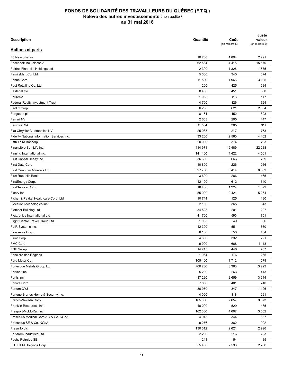| <b>Description</b>                          | Quantité        | Coût<br>(en milliers \$) | Juste<br>valeur<br>(en milliers \$) |
|---------------------------------------------|-----------------|--------------------------|-------------------------------------|
| <b>Actions et parts</b>                     |                 |                          |                                     |
| F5 Networks inc.                            | 10 200          | 1894                     | 2 2 9 1                             |
| Facebook inc., classe A                     | 62 584          | 4415                     | 15 570                              |
| Fairfax Financial Holdings Ltd              | 2 3 0 0         | 1 3 2 6                  | 1675                                |
| FamilyMart Co. Ltd                          | 5 0 0 0         | 340                      | 674                                 |
| Fanuc Corp.                                 | 11 500          | 1966                     | 3 1 9 5                             |
| Fast Retailing Co. Ltd                      | 1 200           | 425                      | 684                                 |
| Fastenal Co.                                | 8 4 0 0         | 451                      | 580                                 |
| Faurecia                                    | 1 0 6 8         | 113                      | 117                                 |
| <b>Federal Realty Investment Trust</b>      | 4 700           | 826                      | 724                                 |
| FedEx Corp.                                 | 6 200           | 621                      | 2 0 0 4                             |
| Ferguson plc                                | 8 1 6 1         | 452                      | 823                                 |
| Ferrari NV                                  | 2653            | 205                      | 447                                 |
| <b>Ferrovial SA</b>                         | 11 584          | 305                      | 311                                 |
| Fiat Chrysler Automobiles NV                | 25 985          | 217                      | 763                                 |
| Fidelity National Information Services inc. | 33 200          | 2 5 6 0                  | 4 4 0 2                             |
| Fifth Third Bancorp                         | 20 000          | 374                      | 793                                 |
| Financière Sun Life inc.                    | 414 971         | 19 4 89                  | 22 238                              |
| Finning International inc.                  | 141 400         | 4 4 2 2                  | 4 5 6 1                             |
| First Capital Realty inc.                   | 36 600          | 666                      | 769                                 |
| First Data Corp.                            | 10 800          | 226                      | 266                                 |
| First Quantum Minerals Ltd                  | 327 700         | 5414                     | 6 6 6 9                             |
| First Republic Bank                         | 3 600           | 286                      | 465                                 |
| FirstEnergy Corp.                           | 12 100          | 612                      | 540                                 |
| FirstService Corp.                          | 18 400          | 1 2 2 7                  | 1679                                |
|                                             |                 | 2 4 2 1                  | 5 2 6 4                             |
| Fiserv inc.                                 | 55 900<br>10744 | 125                      | 130                                 |
| Fisher & Paykel Healthcare Corp. Ltd        | 2 100           | 365                      | 543                                 |
| FleetCor Technologies inc.                  |                 |                          |                                     |
| Fletcher Building Ltd                       | 34 528          | 201                      | 207                                 |
| <b>Flextronics International Ltd</b>        | 41 700          | 593                      | 751                                 |
| Flight Centre Travel Group Ltd              | 1 0 8 5         | 49                       | 66                                  |
| FLIR Systems inc.                           | 12 300          | 551                      | 860                                 |
| Flowserve Corp.                             | 8 100           | 550                      | 434                                 |
| Fluor Corp.                                 | 4 600           | 332                      | 291                                 |
| FMC Corp.                                   | 9 9 0 0         | 668                      | 1 1 1 8                             |
| FNF Group                                   | 14 745          | 446                      | 707                                 |
| Foncière des Régions                        | 1964            | 176                      | 265                                 |
| Ford Motor Co.                              | 105 400         | 1712                     | 1579                                |
| Fortescue Metals Group Ltd                  | 700 286         | 3 3 6 3                  | 3 2 2 3                             |
| Fortinet inc.                               | 5 200           | 263                      | 413                                 |
| Fortis inc.                                 | 87 230          | 3659                     | 3614                                |
| Fortive Corp.                               | 7850            | 401                      | 740                                 |
| Fortum OYJ                                  | 36 970          | 847                      | 1 1 2 6                             |
| Fortune Brands Home & Security inc.         | 4 0 0 0         | 318                      | 291                                 |
| Franco-Nevada Corp.                         | 105 800         | 7657                     | 9673                                |
| Franklin Resources inc.                     | 10 000          | 529                      | 435                                 |
| Freeport-McMoRan inc.                       | 162 000         | 4 607                    | 3 5 5 2                             |
| Fresenius Medical Care AG & Co. KGaA        | 4913            | 344                      | 637                                 |
| Fresenius SE & Co. KGaA                     | 9 2 7 6         | 382                      | 922                                 |
| Fresnillo plc                               | 130 612         | 2621                     | 2996                                |
| Frutarom Industries Ltd                     | 2 2 3 0         | 216                      | 283                                 |
| Fuchs Petrolub SE                           | 1 2 4 4         | 54                       | 85                                  |
| FUJIFILM Holgings Corp.                     | 55 400          | 2 5 3 8                  | 2766                                |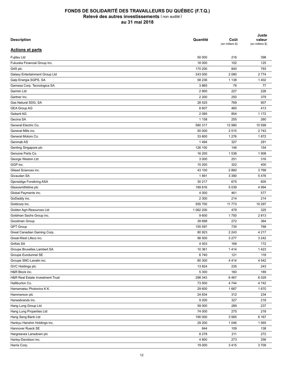| <b>Description</b>                   | Quantité          | Coût<br>(en milliers \$) | Juste<br>valeur<br>(en milliers \$) |
|--------------------------------------|-------------------|--------------------------|-------------------------------------|
| <b>Actions et parts</b>              |                   |                          |                                     |
| Fujitsu Ltd                          | 50 000            | 216                      | 398                                 |
| Fukuoka Financial Group inc.         | 18 000            | 102                      | 125                                 |
| G4S plc                              | 170 200           | 840                      | 793                                 |
| Galaxy Entertainment Group Ltd       | 243 000           | 2 0 8 0                  | 2 7 7 4                             |
| Galp Energia SGPS, SA                | 58 236            | 1 1 3 8                  | 1 4 0 2                             |
| Gamesa Corp. Tecnologica SA          | 3865              | 76                       | 77                                  |
| Garmin Ltd                           | 2 9 0 0           | 227                      | 226                                 |
| Gartner inc.                         | 2 2 0 0           | 250                      | 379                                 |
| Gas Natural SDG, SA                  | 28 5 25           | 769                      | 907                                 |
| <b>GEA Group AG</b>                  | 8 607             | 460                      | 413                                 |
| Geberit AG                           | 2 0 8 5           | 854                      | 1 172                               |
| Gecina SA                            | 1 1 5 8           | 255                      | 260                                 |
| General Electric Co.                 | 580 317           | 12 980                   | 10 599                              |
| General Mills inc.                   | 50 000            | 2515                     | 2743                                |
| General Motors Co.                   | 33 800            | 1 2 7 6                  | 1872                                |
| Genmab AS                            | 1494              | 327                      | 291                                 |
| Genting Singapore plc                | 126 100           | 146                      | 154                                 |
| Genuine Parts Co.                    | 16 200            | 1538                     | 1 9 0 8                             |
| George Weston Ltd                    | 3 0 0 0           | 251                      | 316                                 |
| GGP inc.                             | 15 200            | 322                      | 400                                 |
| Gilead Sciences inc.                 | 43 100            | 2860                     | 3768                                |
| Givaudan SA                          | 1891              | 3 3 9 0                  | 5476                                |
| Gjensidige Forsikring ASA            | 30 217            | 675                      | 605                                 |
| Glaxosmithkline plc                  | 189816            | 5 0 3 9                  | 4 9 9 4                             |
| Global Payments inc.                 | 4 0 0 0           | 461                      | 577                                 |
| GoDaddy inc.                         | 2 3 0 0           | 214                      | 214                                 |
| Goldcorp inc.                        | 555 700           | 11 7 7 3                 | 10 297                              |
| Golden Agri-Resources Ltd            | 1 062 200         | 478                      | 325                                 |
| Goldman Sachs Group inc.             | 9600              | 1750                     | 2813                                |
| Goodman Group                        | 39 698            | 272                      | 364                                 |
| <b>GPT Group</b>                     | 155 597           | 735                      | 768                                 |
| Great Canadian Gaming Corp.          | 80 923            | 2 2 4 3                  | 4 2 1 7                             |
|                                      | 98 500            | 3 2 7 7                  | 3 2 4 2                             |
| Great-West Lifeco inc.<br>Grifols SA |                   | 169                      | 172                                 |
| Groupe Bruxelles Lambert SA          | 4 5 0 3<br>10 361 | 1414                     | 1423                                |
| Groupe Eurotunnel SE                 | 6740              |                          |                                     |
|                                      |                   | 121                      | 118                                 |
| Groupe SNC-Lavalin inc.              | 80 300            | 4414                     | 4 5 4 2                             |
| GVC Holdings plc                     | 13 8 24           | 235                      | 243                                 |
| H&R Block inc.                       | 5 3 0 0           | 160                      | 189                                 |
| H&R Real Estate Investment Trust     | 298 343           | 6467                     | 6 0 29                              |
| Halliburton Co.                      | 73 500            | 4 7 4 4                  | 4742                                |
| Hamamatsu Photonics K.K.             | 29 600            | 1667                     | 1670                                |
| Hammerson plc                        | 24 834            | 312                      | 234                                 |
| Hanesbrands inc.                     | 9 2 0 0           | 327                      | 218                                 |
| Hang Lung Group Ltd                  | 59 000            | 289                      | 237                                 |
| Hang Lung Properties Ltd             | 74 000            | 275                      | 218                                 |
| Hang Seng Bank Ltd                   | 190 000           | 3565                     | 6 1 6 7                             |
| Hankyu Hanshin Holdings inc.         | 29 200            | 1 0 4 6                  | 1565                                |
| Hannover Rueck SE                    | 844               | 109                      | 138                                 |
| Hargreaves Lansdown plc              | 8 2 7 8           | 211                      | 272                                 |
| Harley-Davidson inc.                 | 4 800             | 273                      | 256                                 |
| Harris Corp.                         | 19 000            | 3415                     | 3709                                |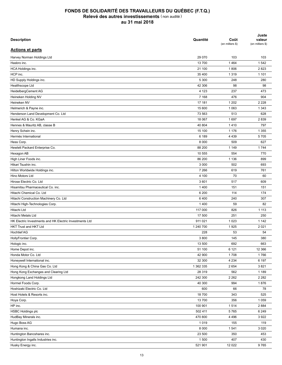| <b>Description</b>                                      | Quantité  | Coût<br>(en milliers \$) | Juste<br>valeur<br>(en milliers \$) |
|---------------------------------------------------------|-----------|--------------------------|-------------------------------------|
| <b>Actions et parts</b>                                 |           |                          |                                     |
| Harvey Norman Holdings Ltd                              | 29 0 70   | 103                      | 103                                 |
| Hasbro inc.                                             | 13700     | 1 4 6 4                  | 1542                                |
| HCA Holdings inc.                                       | 21 100    | 1806                     | 2823                                |
| HCP inc.                                                | 35 400    | 1 3 1 9                  | 1 1 0 1                             |
| HD Supply Holdings inc.                                 | 5 300     | 248                      | 280                                 |
| Healthscope Ltd                                         | 42 306    | 98                       | 98                                  |
| HeidelbergCement AG                                     | 4 1 2 3   | 237                      | 473                                 |
| Heineken Holding NV                                     | 7 1 6 8   | 476                      | 904                                 |
| Heineken NV                                             | 17 181    | 1 202                    | 2 2 2 8                             |
| Helmerich & Payne inc.                                  | 15 600    | 1 0 6 3                  | 1 3 4 3                             |
| Henderson Land Development Co. Ltd                      | 73 563    | 513                      | 628                                 |
| Henkel AG & Co. KGaA                                    | 18 067    | 1697                     | 2839                                |
| Hennes & Mauritz AB, classe B                           | 40 804    | 1410                     | 797                                 |
| Henry Schein inc.                                       | 15 100    | 1 1 7 6                  | 1 3 5 5                             |
| Hermès International                                    | 6 189     | 4 4 3 9                  | 5705                                |
| Hess Corp.                                              | 8 0 0 0   | 509                      | 627                                 |
| Hewlett Packard Enterprise Co.                          | 88 200    | 1 1 4 9                  | 1744                                |
| Hexagon AB                                              | 10 555    | 554                      | 770                                 |
| High Liner Foods inc.                                   | 86 200    | 1 1 3 6                  | 899                                 |
| Hikari Tsushin inc.                                     | 3 0 0 0   | 502                      | 693                                 |
| Hilton Worldwide Holdings inc.                          | 7 2 6 6   | 619                      | 761                                 |
| Hino Motors Ltd                                         | 4 100     | 70                       | 60                                  |
| Hirose Electric Co. Ltd                                 | 3 601     | 517                      | 609                                 |
| Hisamitsu Pharmaceutical Co. inc.                       | 1 4 0 0   |                          | 151                                 |
|                                                         |           | 151                      |                                     |
| Hitachi Chemical Co. Ltd                                | 6 200     | 114                      | 174                                 |
| Hitachi Construction Machinery Co. Ltd                  | 6400      | 240                      | 307                                 |
| Hitachi High-Technologies Corp.                         | 1 4 0 0   | 59                       | 82                                  |
| Hitachi Ltd                                             | 117 000   | 826                      | 1 1 1 3                             |
| <b>Hitachi Metals Ltd</b>                               | 17 500    | 251                      | 250                                 |
| HK Electric Investments and HK Electric Investments Ltd | 911 021   | 1 0 2 3                  | 1 1 4 2                             |
| <b>HKT Trust and HKT Ltd</b>                            | 1 240 700 | 1925                     | 2 0 2 1                             |
| <b>Hochtief AG</b>                                      | 228       | 53                       | 54                                  |
| HollyFrontier Corp.                                     | 3800      | 145                      | 380                                 |
| Hologic inc.                                            | 13 500    | 692                      | 663                                 |
| Home Depot inc.                                         | 51 100    | 6 1 2 1                  | 12 3 66                             |
| Honda Motor Co. Ltd                                     | 42 900    | 1708                     | 1766                                |
| Honeywell International inc.                            | 32 300    | 4 2 3 4                  | 6 197                               |
| Hong Kong & China Gas Co. Ltd                           | 1 362 335 | 2 6 5 4                  | 3821                                |
| Hong Kong Exchanges and Clearing Ltd                    | 28 319    | 562                      | 1 1 8 9                             |
| Hongkong Land Holdings Ltd                              | 242 300   | 2 2 6 2                  | 2 2 8 2                             |
| Hormel Foods Corp.                                      | 40 300    | 994                      | 1876                                |
| Hoshizaki Electric Co. Ltd                              | 600       | 66                       | 78                                  |
| Host Hotels & Resorts inc.                              | 18 700    | 343                      | 525                                 |
| Hoya Corp.                                              | 13 700    | 356                      | 1 0 5 9                             |
| HP inc.                                                 | 100 901   | 1514                     | 2 8 8 4                             |
| <b>HSBC Holdings plc</b>                                | 502 411   | 5765                     | 6 2 4 9                             |
| HudBay Minerals inc.                                    | 470 800   | 4 4 9 6                  | 3922                                |
| Hugo Boss AG                                            | 1019      | 155                      | 119                                 |
| Humana inc.                                             | 8 0 0 0   | 1541                     | 3 0 2 0                             |
| Huntington Bancshares inc.                              | 23 500    | 350                      | 453                                 |
| Huntington Ingalls Industries inc.                      | 1 500     | 407                      | 430                                 |
| Husky Energy inc.                                       | 521 901   | 12 0 22                  | 9765                                |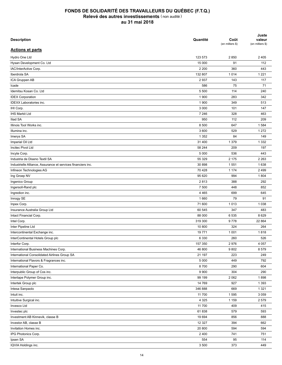| <b>Description</b>                                           | Quantité | Coût<br>(en milliers \$) | Juste<br>valeur<br>(en milliers \$) |
|--------------------------------------------------------------|----------|--------------------------|-------------------------------------|
| <b>Actions et parts</b>                                      |          |                          |                                     |
| Hydro One Ltd                                                | 123 573  | 2850                     | 2 4 0 5                             |
| Hysan Development Co. Ltd                                    | 15 000   | 91                       | 112                                 |
| IAC/InterActive Corp.                                        | 2 2 0 0  | 360                      | 443                                 |
| Iberdrola SA                                                 | 132 807  | 1014                     | 1 2 2 1                             |
| ICA Gruppen AB                                               | 2937     | 143                      | 117                                 |
| Icade                                                        | 586      | 75                       | 71                                  |
| Idemitsu Kosan Co. Ltd                                       | 5 500    | 114                      | 240                                 |
| <b>IDEX Corporation</b>                                      | 1 900    | 283                      | 342                                 |
| <b>IDEXX Laboratories inc.</b>                               | 1 900    | 349                      | 513                                 |
| IHI Corp.                                                    | 3 0 0 0  | 101                      | 147                                 |
| <b>IHS Markit Ltd</b>                                        | 7 2 4 6  | 328                      | 463                                 |
| <b>Iliad SA</b>                                              | 950      | 112                      | 209                                 |
| Illinois Tool Works inc.                                     | 8 500    | 647                      | 1584                                |
| Illumina inc.                                                | 3 600    | 529                      | 1 2 7 2                             |
| Imerys SA                                                    | 1 3 5 2  | 84                       | 149                                 |
| Imperial Oil Ltd                                             | 31 400   | 1 3 7 9                  | 1 3 3 2                             |
| <b>Incited Pivot Ltd</b>                                     | 58 244   | 209                      | 197                                 |
| Incyte Corp.                                                 | 5 0 0 0  | 536                      | 443                                 |
| Industria de Diseno Textil SA                                | 55 329   | 2 175                    | 2 2 6 3                             |
|                                                              | 30 898   | 1 5 5 1                  | 1638                                |
| Industrielle Alliance, Assurance et services financiers inc. |          |                          |                                     |
| Infineon Technologies AG                                     | 70 428   | 1 1 7 4                  | 2 4 9 9                             |
| Ing Groep NV                                                 | 95 620   | 994                      | 1804                                |
| Ingenico Group                                               | 2813     | 388                      | 292                                 |
| Ingersoll-Rand plc                                           | 7 500    | 448                      | 852                                 |
| Ingredion inc.                                               | 4 4 6 5  | 699                      | 645                                 |
| Innogy SE                                                    | 1660     | 79                       | 91                                  |
| Inpex Corp.                                                  | 71 600   | 1013                     | 1 0 3 8                             |
| Insurance Australia Group Ltd                                | 60 545   | 347                      | 483                                 |
| Intact Financial Corp.                                       | 88 000   | 6535                     | 8629                                |
| Intel Corp.                                                  | 319 300  | 9778                     | 22 864                              |
| Inter Pipeline Ltd                                           | 10 800   | 324                      | 264                                 |
| Intercontinental Exchange inc.                               | 19771    | 1 0 0 1                  | 1818                                |
| InterContinental Hotels Group plc                            | 6 3 3 0  | 260                      | 526                                 |
| Interfor Corp.                                               | 157 350  | 2976                     | 4 0 5 7                             |
| International Business Machines Corp.                        | 46 800   | 9802                     | 8579                                |
| International Consolidated Airlines Group SA                 | 21 197   | 223                      | 249                                 |
| International Flavors & Fragrances inc.                      | 5 0 0 0  | 449                      | 792                                 |
| International Paper Co.                                      | 8700     | 290                      | 604                                 |
| Interpublic Group of Cos inc.                                | 9 9 0 0  | 304                      | 290                                 |
| Intertape Polymer Group inc.                                 | 99 199   | 2 0 6 2                  | 1898                                |
| Intertek Group plc                                           | 14 769   | 927                      | 1 3 9 3                             |
| Intesa Sanpaolo                                              | 346 888  | 669                      | 1 3 2 1                             |
| Intuit inc.                                                  | 11 700   | 1595                     | 3 0 5 9                             |
| Intuitive Surgical inc.                                      | 4 3 2 5  | 1 1 5 9                  | 2579                                |
| Invesco Ltd                                                  | 11 700   | 409                      | 415                                 |
| Investec plc                                                 | 61838    | 579                      | 593                                 |
| Investment AB Kinnevik, classe B                             | 19 694   | 856                      | 888                                 |
| Investor AB, classe B                                        | 12 3 27  | 394                      | 662                                 |
| Invitation Homes inc.                                        | 20 800   | 594                      | 594                                 |
| IPG Photonics Corp.                                          | 2 4 0 0  | 741                      | 751                                 |
| Ipsen SA                                                     | 554      | 95                       | 114                                 |
| IQVIA Holdings inc.                                          | 3 500    | 373                      | 449                                 |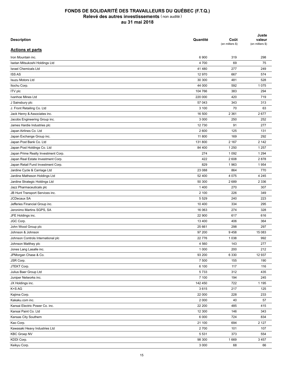| <b>Description</b>                             | Quantité | Coût<br>(en milliers \$) | Juste<br>valeur<br>(en milliers \$) |
|------------------------------------------------|----------|--------------------------|-------------------------------------|
| <b>Actions et parts</b>                        |          |                          |                                     |
| Iron Mountain inc.                             | 6 900    | 319                      | 298                                 |
| Isetan Mitsukoshi Holdings Ltd                 | 4700     | 69                       | 75                                  |
| <b>Israel Chemicals Ltd</b>                    | 41 480   | 277                      | 249                                 |
| <b>ISS AS</b>                                  | 12 970   | 667                      | 574                                 |
| <b>Isuzu Motors Ltd</b>                        | 30 300   | 481                      | 528                                 |
| Itochu Corp.                                   | 44 000   | 592                      | 1075                                |
| ITV plc                                        | 104 766  | 383                      | 294                                 |
| Ivanhoe Mines Ltd                              | 220 000  | 420                      | 719                                 |
| J Sainsbury plc                                | 57 043   | 343                      | 313                                 |
| J. Front Retailing Co. Ltd                     | 3 100    | 70                       | 63                                  |
| Jack Henry & Associates inc.                   | 16 500   | 2 3 6 1                  | 2677                                |
| Jacobs Engineering Group inc.                  | 3 0 0 0  | 250                      | 252                                 |
| James Hardie Industries plc                    | 12730    | 91                       | 277                                 |
| Japan Airlines Co. Ltd                         | 2 600    | 125                      | 131                                 |
| Japan Exchange Group inc.                      | 11 800   | 169                      | 292                                 |
| Japan Post Bank Co. Ltd                        | 131 800  | 2 1 6 7                  | 2 1 4 2                             |
| Japan Post Holdings Co. Ltd                    | 84 400   | 1 2 5 0                  | 1 2 5 7                             |
| Japan Prime Realty Investment Corp.            | 274      | 1 0 9 2                  | 1 2 9 4                             |
| Japan Real Estate Investment Corp.             | 422      | 2 608                    | 2878                                |
| Japan Retail Fund Investment Corp.             | 829      | 1963                     | 1954                                |
| Jardine Cycle & Carriage Ltd                   | 23 088   | 864                      | 770                                 |
| Jardine Matheson Holdings Ltd                  | 52 400   | 4 0 7 5                  | 4 2 4 5                             |
| Jardine Strategic Holdings Ltd                 | 50 300   | 2689                     | 2 3 3 6                             |
| Jazz Pharmaceuticals plc                       | 1 4 0 0  | 270                      | 307                                 |
|                                                | 2 100    | 226                      | 349                                 |
| JB Hunt Transport Services inc.<br>JCDecaux SA | 5 5 2 9  | 240                      | 223                                 |
|                                                |          | 334                      | 295                                 |
| Jefferies Financial Group inc.                 | 10 400   |                          |                                     |
| Jeronimo Martins SGPS, SA                      | 16 063   | 274                      | 328                                 |
| JFE Holdings inc.                              | 22 900   | 617                      | 616                                 |
| JGC Corp.                                      | 13 400   | 406                      | 364                                 |
| John Wood Group plc                            | 25 661   | 298                      | 297                                 |
| Johnson & Johnson                              | 97 200   | 9458                     | 15 083                              |
| Johnson Controls International plc             | 22 776   | 1 0 3 8                  | 992                                 |
| Johnson Matthey plc                            | 4 5 6 0  | 143                      | 277                                 |
| Jones Lang Lasalle inc.                        | 1 0 0 0  | 200                      | 212                                 |
| JPMorgan Chase & Co.                           | 93 200   | 6 3 3 0                  | 12 937                              |
| JSR Corp.                                      | 7 500    | 155                      | 190                                 |
| JTEKT Corp.                                    | 6 100    | 117                      | 116                                 |
| Julius Baer Group Ltd                          | 5733     | 312                      | 435                                 |
| Juniper Networks inc.                          | 7 100    | 194                      | 245                                 |
| JX Holdings inc.                               | 142 450  | 722                      | 1 1 9 5                             |
| K+S AG                                         | 3615     | 217                      | 125                                 |
| Kajima Corp.                                   | 22 000   | 228                      | 233                                 |
| Kakaku.com inc.                                | 2 0 0 0  | 40                       | 57                                  |
| Kansai Electric Power Co. inc.                 | 22 200   | 485                      | 415                                 |
| Kansai Paint Co. Ltd                           | 12 300   | 146                      | 343                                 |
| Kansas City Southern                           | 6 0 0 0  | 724                      | 834                                 |
| Kao Corp.                                      | 21 100   | 694                      | 2 1 2 7                             |
| Kawasaki Heavy Industries Ltd                  | 2700     | 101                      | 107                                 |
| <b>KBC Groep NV</b>                            | 5 5 3 1  | 373                      | 554                                 |
| KDDI Corp.                                     | 98 300   | 1669                     | 3 4 5 7                             |
| Keikyu Corp.                                   | 3 0 0 0  | 68                       | 66                                  |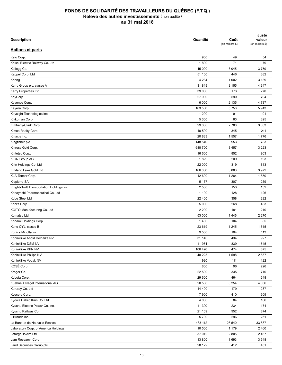| <b>Description</b>                                  | Quantité    | Coût<br>(en milliers \$) | Juste<br>valeur<br>(en milliers \$) |
|-----------------------------------------------------|-------------|--------------------------|-------------------------------------|
| <b>Actions et parts</b>                             |             |                          |                                     |
| Keio Corp.                                          | 900         | 49                       | 54                                  |
| Keisei Electric Railway Co. Ltd                     | 1800        | 71                       | 79                                  |
| Kellogg Co.                                         | 45 000      | 3 0 4 5                  | 3759                                |
| Keppel Corp. Ltd                                    | 51 100      | 446                      | 382                                 |
| Kering                                              | 4 2 3 4     | 1 0 0 2                  | 3 1 3 9                             |
| Kerry Group plc, classe A                           | 31 849      | 3 1 5 5                  | 4 3 4 7                             |
| Kerry Properties Ltd                                | 39 000      | 173                      | 270                                 |
| KeyCorp                                             | 27 900      | 590                      | 704                                 |
| Keyence Corp.                                       | 6 0 0 0     | 2 1 3 5                  | 4787                                |
| Keyera Corp.                                        | 163 500     | 5756                     | 5943                                |
| Keysight Technologies inc.                          | 1 200       | 91                       | 91                                  |
| Kikkoman Corp.                                      | 5 300       | 63                       | 325                                 |
| Kimberly-Clark Corp.                                | 29 300      | 2788                     | 3833                                |
| Kimco Realty Corp.                                  | 10 500      | 345                      | 211                                 |
| Kinaxis inc.                                        | 20 833      | 1 5 5 7                  | 1776                                |
| Kingfisher plc                                      | 148 540     | 953                      | 783                                 |
| Kinross Gold Corp.                                  | 688 700     | 3 4 5 7                  | 3 2 2 3                             |
| Kintetsu Corp.                                      | 16 600      | 852                      | 903                                 |
| KION Group AG                                       | 1829        | 209                      | 193                                 |
| Kirin Holdings Co. Ltd                              | 22 000      | 319                      | 813                                 |
| Kirkland Lake Gold Ltd                              | 166 600     | 3 0 8 3                  | 3972                                |
| KLA-Tencor Corp.                                    | 12 600      | 1 2 8 4                  | 1850                                |
| Klepierre SA                                        | 5 1 3 7     | 307                      | 259                                 |
| Knight-Swift Transportation Holdings inc.           | 2 500       | 153                      | 132                                 |
| Kobayashi Pharmaceutical Co. Ltd                    | 1 100       | 128                      | 126                                 |
| Kobe Steel Ltd                                      | 22 400      | 358                      | 292                                 |
| Kohl's Corp.                                        | 5 0 0 0     | 268                      | 433                                 |
| KOITO Manufacturing Co. Ltd                         | 2 2 0 0     | 181                      | 210                                 |
| Komatsu Ltd                                         | 53 000      | 1446                     | 2 2 7 0                             |
| Konami Holdings Corp.                               | 1 4 0 0     | 104                      | 85                                  |
| Kone OYJ, classe B                                  | 23 619      | 1 2 4 5                  | 1515                                |
| Konica Minolta inc.                                 | 9 500       | 104                      | 113                                 |
|                                                     | 31 140      | 434                      | 927                                 |
| Koninklijke Ahold Delhaize NV<br>Koninklijke DSM NV | 11 974      | 839                      | 1545                                |
| Koninklijke KPN NV                                  | 106 426     | 474                      | 375                                 |
|                                                     | 48 225      |                          |                                     |
| Koninklijke Philips NV<br>Koninklijke Vopak NV      |             | 1598                     | 2 5 5 7                             |
| KOSÉ Corp.                                          | 1920<br>800 | 111<br>96                | 122                                 |
|                                                     |             |                          | 226                                 |
| Kroger Co.                                          | 22 500      | 335                      | 710                                 |
| Kubota Corp.                                        | 29 600      | 464                      | 648                                 |
| Kuehne + Nagel International AG                     | 20 586      | 3 2 5 4                  | 4 0 3 6                             |
| Kuraray Co. Ltd                                     | 14 400      | 179                      | 287                                 |
| Kyocera Corp.                                       | 7 900       | 410                      | 609                                 |
| Kyowa Hakko Kirin Co. Ltd                           | 4 0 0 0     | 84                       | 106                                 |
| Kyushu Electric Power Co. inc.                      | 11 300      | 234                      | 174                                 |
| Kyushu Railway Co.                                  | 21 109      | 952                      | 874                                 |
| L Brands inc.                                       | 5700        | 296                      | 251                                 |
| La Banque de Nouvelle-Écosse                        | 433 112     | 28 540                   | 33 887                              |
| Laboratory Corp. of America Holdings                | 10 500      | 1 1 7 9                  | 2460                                |
| LafargeHolcim Ltd                                   | 37 012      | 2 8 0 5                  | 2467                                |
| Lam Research Corp.                                  | 13 800      | 1693                     | 3 5 4 8                             |
| Land Securities Group plc                           | 28 122      | 412                      | 451                                 |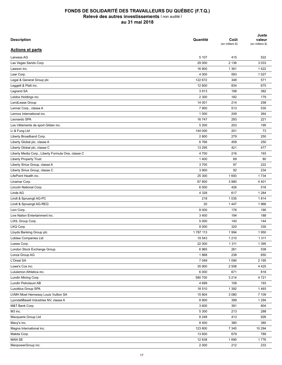| <b>Description</b>                                              | Quantité | Coût<br>(en milliers \$) | Juste<br>valeur<br>(en milliers \$) |
|-----------------------------------------------------------------|----------|--------------------------|-------------------------------------|
| <b>Actions et parts</b>                                         |          |                          |                                     |
| Lanxess AG                                                      | 5 107    | 415                      | 522                                 |
| Las Vegas Sands Corp.                                           | 29 000   | 2 1 3 6                  | 3 0 3 3                             |
| Lawson inc.                                                     | 16 800   | 1 3 6 1                  | 1422                                |
| Lear Corp.                                                      | 4 0 0 0  | 593                      | 1 0 2 7                             |
| Legal & General Group plc                                       | 122 672  | 348                      | 571                                 |
| Leggett & Platt inc.                                            | 12 600   | 834                      | 675                                 |
| Legrand SA                                                      | 3913     | 198                      | 382                                 |
| Leidos Holdings inc.                                            | 2 3 0 0  | 182                      | 179                                 |
| LendLease Group                                                 | 14 001   | 214                      | 258                                 |
| Lennar Corp., classe A                                          | 7 9 0 0  | 513                      | 530                                 |
| Lennox International inc.                                       | 1 0 0 0  | 249                      | 264                                 |
| Leonardo SPA                                                    | 16 747   | 293                      | 221                                 |
| Les Vêtements de sport Gildan inc.                              | 5 200    | 203                      | 195                                 |
| Li & Fung Ltd                                                   | 144 000  | 201                      | 73                                  |
| Liberty Broadband Corp.                                         | 2800     | 279                      | 250                                 |
| Liberty Global plc, classe A                                    | 6766     | 459                      | 250                                 |
| Liberty Global plc, classe C                                    | 13 295   | 421                      | 477                                 |
| Liberty Media Corp., Liberty Formula One, classe C              | 4700     | 216                      | 193                                 |
|                                                                 | 1 4 0 0  |                          | 80                                  |
| <b>Liberty Property Trust</b><br>Liberty Sirius Group, classe A | 3700     | 69<br>87                 | 222                                 |
|                                                                 |          |                          |                                     |
| Liberty Sirius Group, classe C                                  | 3 900    | 92                       | 234                                 |
| LifePoint Health inc.                                           | 25 300   | 1 6 9 3                  | 1 7 3 4                             |
| Linamar Corp.                                                   | 67 800   | 3 9 8 0                  | 4 4 0 1                             |
| Lincoln National Corp.                                          | 6 0 0 0  | 426                      | 516                                 |
| Linde AG                                                        | 4 3 2 8  | 617                      | 1 2 8 4                             |
| Lindt & Spruengli AG-PC                                         | 218      | 1 0 3 5                  | 1814                                |
| Lindt & Spruengli AG-REG                                        | 20       | 1 4 4 7                  | 1966                                |
| Lion Corp.                                                      | 8 0 0 0  | 176                      | 190                                 |
| Live Nation Entertainment inc.                                  | 3 4 0 0  | 194                      | 188                                 |
| LIXIL Group Corp.                                               | 5 0 0 0  | 140                      | 144                                 |
| LKQ Corp.                                                       | 8 0 0 0  | 320                      | 330                                 |
| Lloyds Banking Group plc                                        | 1787113  | 1 9 9 4                  | 1950                                |
| Loblaw Companies Ltd                                            | 19 543   | 1 2 1 0                  | 1 3 1 1                             |
| Loews Corp.                                                     | 22 000   | 1 3 1 1                  | 1 3 9 5                             |
| London Stock Exchange Group                                     | 6965     | 261                      | 538                                 |
| Lonza Group AG                                                  | 1868     | 238                      | 650                                 |
| L'Oreal SA                                                      | 7 0 4 9  | 1 0 9 0                  | 2 1 9 5                             |
| Lowe's Cos inc.                                                 | 35 900   | 2 5 0 8                  | 4 4 2 5                             |
| Lululemon Athletica inc.                                        | 6 0 0 0  | 671                      | 818                                 |
| Lundin Mining Corp.                                             | 580 700  | 3 2 1 4                  | 4 7 2 1                             |
| Lundin Petroleum AB                                             | 4 6 9 9  | 108                      | 193                                 |
| Luxottica Group SPA                                             | 18 510   | 1 3 9 2                  | 1493                                |
| LVMH Moet Hennessy Louis Vuitton SA                             | 15 804   | 3 0 8 0                  | 7 109                               |
| LyondellBasell Industries NV, classe A                          | 8 9 0 0  | 399                      | 1 2 9 4                             |
| M&T Bank Corp.                                                  | 3 600    | 391                      | 804                                 |
| M3 inc.                                                         | 5 300    | 213                      | 288                                 |
| Macquarie Group Ltd                                             | 8 2 4 8  | 413                      | 926                                 |
| Macy's inc.                                                     | 8 4 0 0  | 380                      | 380                                 |
| Magna International inc.                                        | 123 800  | 7 3 4 5                  | 10 294                              |
| Makita Corp.                                                    | 13 600   | 679                      | 789                                 |
| MAN SE                                                          | 12 638   | 1690                     | 1776                                |
| ManpowerGroup inc.                                              | 2 0 0 0  | 212                      | 233                                 |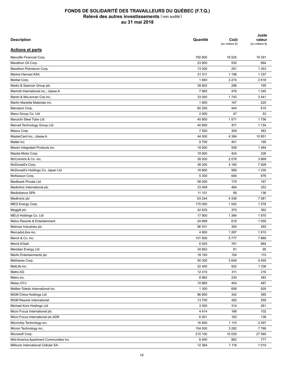| <b>Description</b>                     | Quantité        | Coût<br>(en milliers \$) | Juste<br>valeur<br>(en milliers \$) |
|----------------------------------------|-----------------|--------------------------|-------------------------------------|
| <b>Actions et parts</b>                |                 |                          |                                     |
| Manulife Financial Corp.               | 792 800         | 16 525                   | 19 391                              |
| Marathon Oil Corp.                     | 23 900          | 530                      | 664                                 |
| Marathon Petroleum Corp.               | 13 200          | 291                      | 1 3 5 3                             |
| Marine Harvest ASA                     | 51 511          | 1 1 9 6                  | 1 3 3 7                             |
| Markel Corp.                           | 1840            | 2 2 7 4                  | 2618                                |
| Marks & Spencer Group plc              | 39 802          | 296                      | 195                                 |
| Marriott International inc., classe A  | 7660            | 476                      | 1 3 4 5                             |
| Marsh & McLennan Cos inc.              | 33 000          | 1743                     | 3 4 4 1                             |
| Martin Marietta Materials inc.         | 1800            | 167                      | 520                                 |
| Marubeni Corp.                         | 60 200          | 444                      | 610                                 |
| Marui Group Co. Ltd                    | 2 0 0 0         | 47                       | 53                                  |
| Maruichi Steel Tube Ltd                | 40 800          | 1571                     | 1756                                |
| Marvell Technology Group Ltd           | 40 600          | 811                      | 1 1 3 4                             |
| Masco Corp.                            | 7 500           | 309                      | 363                                 |
| MasterCard inc., classe A              | 44 000          | 4 3 8 4                  | 10 851                              |
| Mattel inc.                            | 9700            | 451                      | 195                                 |
| Maxim Integrated Products inc.         | 19 500          | 938                      | 1484                                |
| Mazda Motor Corp.                      | 19 900          | 424                      | 326                                 |
| McCormick & Co. inc.                   | 28 000          | 2078                     | 3 6 6 9                             |
| McDonald's Corp.                       | 38 200          | 4 1 6 5                  | 7929                                |
| McDonald's Holdings Co. Japan Ltd      | 18 800          | 589                      | 1 2 3 0                             |
|                                        |                 |                          |                                     |
| McKesson Corp.<br>Medibank Private Ltd | 5 300<br>58 000 | 646                      | 976<br>167                          |
|                                        |                 | 175                      |                                     |
| Mediclinic International plc           | 33 408          | 484                      | 353                                 |
| Mediobanca SPA                         | 11 101          | 99                       | 136                                 |
| Medtronic plc                          | 63 244          | 4 3 3 6                  | 7 081                               |
| MEG Energy Corp.                       | 170 000         | 1 5 4 2                  | 1578                                |
| Meggitt plc                            | 42 635          | 370                      | 362                                 |
| MEIJI Holdings Co. Ltd                 | 17800           | 1 3 8 4                  | 1970                                |
| Melco Resorts & Entertainment          | 24 899          | 618                      | 1 0 5 5                             |
| Melrose Industries plc                 | 96 531          | 393                      | 393                                 |
| MercadoLibre inc.                      | 4 800           | 1 2 6 7                  | 1810                                |
| Merck & Co. inc.                       | 101 900         | 5777                     | 7869                                |
| Merck KGaA                             | 6525            | 781                      | 864                                 |
| Meridian Energy Ltd                    | 34 852          | 91                       | 95                                  |
| Merlin Entertainments plc              | 18 150          | 154                      | 115                                 |
| Methanex Corp.                         | 50 300          | 3649                     | 4 4 5 5                             |
| MetLife inc.                           | 22 400          | 922                      | 1 3 3 6                             |
| Metro AG                               | 12 4 15         | 311                      | 216                                 |
| Metro inc.                             | 8 9 6 2         | 230                      | 383                                 |
| Metso OYJ                              | 10 865          | 454                      | 487                                 |
| Mettler-Toledo International inc.      | 1 300           | 606                      | 929                                 |
| MGM China Holdings Ltd                 | 96 800          | 342                      | 365                                 |
| <b>MGM Resorts International</b>       | 13 700          | 492                      | 559                                 |
| Michael Kors Holdings Ltd              | 3 500           | 314                      | 261                                 |
| Micro Focus International plc          | 4414            | 166                      | 102                                 |
| Micro Focus International plc ADR      | 6 0 0 1         | 183                      | 138                                 |
| Microchip Technology inc.              | 16 600          | 1 1 1 0                  | 2 0 9 7                             |
| Micron Technology inc.                 | 104 000         | 3 2 8 2                  | 7769                                |
| Microsoft Corp.                        | 215 100         | 10 0 25                  | 27 580                              |
| Mid-America Apartment Communities inc. | 6400            | 862                      | 777                                 |
| Millicom International Cellular SA     | 12 3 64         | 1 1 1 8                  | 1010                                |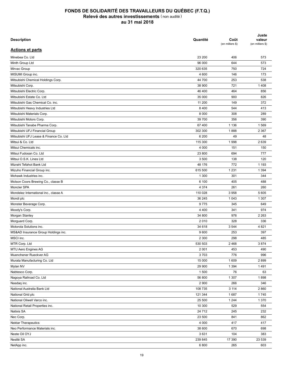| <b>Description</b>                     | Quantité | Coût<br>(en milliers \$) | Juste<br>valeur<br>(en milliers \$) |
|----------------------------------------|----------|--------------------------|-------------------------------------|
| <b>Actions et parts</b>                |          |                          |                                     |
| Minebea Co. Ltd                        | 23 200   | 406                      | 573                                 |
| Minth Group Ltd                        | 96 000   | 644                      | 573                                 |
| Mirvac Group                           | 320 635  | 750                      | 724                                 |
| MISUMI Group inc.                      | 4 600    | 146                      | 173                                 |
| Mitsubishi Chemical Holdings Corp.     | 44 700   | 253                      | 538                                 |
| Mitsubishi Corp.                       | 38 900   | 721                      | 1408                                |
| Mitsubishi Electric Corp.              | 46 400   | 464                      | 856                                 |
| Mitsubishi Estate Co. Ltd              | 35 000   | 900                      | 826                                 |
| Mitsubishi Gas Chemical Co. inc.       | 11 200   | 149                      | 372                                 |
| Mitsubishi Heavy Industries Ltd        | 8 4 0 0  | 544                      | 413                                 |
| Mitsubishi Materials Corp.             | 8 0 0 0  | 308                      | 289                                 |
| Mitsubishi Motors Corp.                | 39 700   | 356                      | 390                                 |
| Mitsubishi Tanabe Pharma Corp.         | 67 400   | 1 1 3 6                  | 1569                                |
| Mitsubishi UFJ Financial Group         | 302 300  | 1888                     | 2 3 6 7                             |
| Mitsubishi UFJ Lease & Finance Co. Ltd | 6 200    | 49                       | 48                                  |
| Mitsui & Co. Ltd                       | 115 300  | 1998                     | 2639                                |
| Mitsui Chemicals inc.                  | 4 0 0 0  | 151                      | 150                                 |
| Mitsui Fudosan Co. Ltd                 | 23 800   | 694                      | 777                                 |
| Mitsui O.S.K. Lines Ltd                | 3 500    | 138                      | 120                                 |
| Mizrahi Tefahot Bank Ltd               | 48 176   | 772                      | 1 1 9 3                             |
|                                        |          |                          |                                     |
| Mizuho Financial Group inc.            | 615 500  | 1 2 3 1                  | 1 3 9 4                             |
| Mohawk Industries inc.                 | 1 300    | 301                      | 344                                 |
| Molson Coors Brewing Co., classe B     | 6 100    | 405                      | 488                                 |
| Moncler SPA                            | 4 3 7 4  | 261                      | 260                                 |
| Mondelez International inc., classe A  | 110 028  | 3958                     | 5 6 0 5                             |
| Mondi plc                              | 36 245   | 1 0 4 3                  | 1 3 0 7                             |
| Monster Beverage Corp.                 | 9775     | 345                      | 649                                 |
| Moody's Corp.                          | 4 4 0 0  | 341                      | 974                                 |
| Morgan Stanley                         | 34 800   | 976                      | 2 2 6 3                             |
| Morguard Corp.                         | 2010     | 328                      | 336                                 |
| Motorola Solutions inc.                | 34 618   | 3544                     | 4 8 21                              |
| MS&AD Insurance Group Holdings inc.    | 9600     | 253                      | 397                                 |
| MSCI inc.                              | 2 3 0 0  | 298                      | 485                                 |
| MTR Corp. Ltd                          | 530 503  | 2468                     | 3874                                |
| MTU Aero Engines AG                    | 2 0 0 1  | 453                      | 490                                 |
| Muenchener Rueckver AG                 | 3703     | 776                      | 996                                 |
| Murata Manufacturing Co. Ltd           | 15 000   | 1 609                    | 2899                                |
| Mylan NV                               | 29 900   | 1 3 9 4                  | 1491                                |
| Nabtesco Corp.                         | 1500     | 76                       | 63                                  |
| Nagoya Railroad Co. Ltd                | 56 800   | 1 307                    | 1898                                |
| Nasdaq inc.                            | 2 900    | 266                      | 346                                 |
| National Australia Bank Ltd            | 108 735  | 3 1 1 4                  | 2860                                |
| National Grid plc                      | 121 344  | 1687                     | 1745                                |
| National Oilwell Varco inc.            | 25 500   | 1 2 4 4                  | 1 370                               |
| National Retail Properties inc.        | 10 300   | 529                      | 554                                 |
| <b>Natixis SA</b>                      | 24 712   | 245                      | 232                                 |
| Nec Corp.                              | 23 500   | 841                      | 862                                 |
| <b>Nektar Therapeutics</b>             | 4 0 0 0  | 417                      | 417                                 |
| Neo Performance Materials inc.         | 38 600   | 670                      | 698                                 |
| Neste Oil OYJ                          | 3631     | 104                      | 383                                 |
| Nestlé SA                              | 239 845  | 17 390                   | 23 539                              |
| NetApp inc.                            | 6800     | 265                      | 603                                 |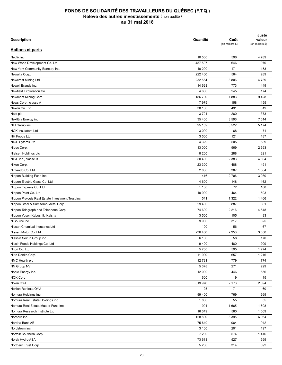| <b>Description</b>                                | Quantité | Coût<br>(en milliers \$) | Juste<br>valeur<br>(en milliers \$) |
|---------------------------------------------------|----------|--------------------------|-------------------------------------|
| <b>Actions et parts</b>                           |          |                          |                                     |
| Netflix inc.                                      | 10 500   | 596                      | 4789                                |
| New World Development Co. Ltd                     | 487 597  | 646                      | 970                                 |
| New York Community Bancorp inc.                   | 10 200   | 171                      | 153                                 |
| Newalta Corp.                                     | 222 400  | 564                      | 289                                 |
| Newcrest Mining Ltd                               | 232 564  | 3806                     | 4739                                |
| Newell Brands inc.                                | 14 693   | 773                      | 449                                 |
| Newfield Exploration Co.                          | 4 600    | 245                      | 174                                 |
| Newmont Mining Corp.                              | 186 700  | 7883                     | 9428                                |
| News Corp., classe A                              | 7975     | 158                      | 155                                 |
| Nexon Co. Ltd                                     | 38 100   | 491                      | 819                                 |
| Next plc                                          | 3724     | 280                      | 373                                 |
| NextEra Energy inc.                               | 35 400   | 3596                     | 7614                                |
| NFI Group inc.                                    | 95 159   | 3522                     | 5 1 7 4                             |
| <b>NGK Insulators Ltd</b>                         | 3 0 0 0  | 68                       | 71                                  |
| NH Foods Ltd                                      | 3 500    | 121                      | 187                                 |
| NICE Sytems Ltd                                   | 4 3 2 9  | 505                      | 589                                 |
| Nidec Corp.                                       | 13 000   | 969                      | 2 5 9 3                             |
| Nielsen Holdings plc                              | 8 2 0 0  | 288                      | 321                                 |
| NIKE inc., classe B                               | 50 400   | 2 3 8 3                  | 4 6 9 4                             |
| Nikon Corp.                                       | 23 300   | 488                      | 491                                 |
| Nintendo Co. Ltd                                  | 2800     | 387                      | 1 504                               |
|                                                   | 416      | 2706                     | 3 0 3 0                             |
| Nippon Building Fund inc.                         | 4 600    | 148                      | 162                                 |
| Nippon Electric Glass Co. Ltd                     |          |                          |                                     |
| Nippon Express Co. Ltd                            | 1 100    | 72                       | 108                                 |
| Nippon Paint Co. Ltd                              | 10 900   | 464                      | 593                                 |
| Nippon Prologis Real Estate Investment Trust inc. | 541      | 1 3 2 2                  | 1466                                |
| Nippon Steel & Sumitomo Metal Corp.               | 29 400   | 887                      | 801                                 |
| Nippon Telegraph and Telephone Corp.              | 74 600   | 2 2 1 6                  | 4 5 4 8                             |
| Nippon Yusen Kabushiki Kaisha                     | 3 500    | 105                      | 93                                  |
| NiSource inc.                                     | 9 9 0 0  | 317                      | 325                                 |
| Nissan Chemical Industries Ltd                    | 1 100    | 56                       | 67                                  |
| Nissan Motor Co. Ltd                              | 236 400  | 2953                     | 3 0 5 0                             |
| Nisshin Seifun Group inc.                         | 6 180    | 58                       | 170                                 |
| Nissin Foods Holdings Co. Ltd                     | 9400     | 480                      | 909                                 |
| Nitori Co. Ltd                                    | 5700     | 595                      | 1 2 7 4                             |
| Nitto Denko Corp.                                 | 11 900   | 657                      | 1 2 1 6                             |
| NMC Health plc                                    | 12 731   | 779                      | 774                                 |
| NN Group NV                                       | 5 3 7 8  | 271                      | 299                                 |
| Noble Energy inc.                                 | 12 000   | 446                      | 556                                 |
| NOK Corp.                                         | 600      | 19                       | 15                                  |
| Nokia OYJ                                         | 319 976  | 2 173                    | 2 3 9 4                             |
| Nokian Renkaat OYJ                                | 1 1 9 5  | 71                       | 60                                  |
| Nomura Holdings inc.                              | 99 400   | 769                      | 669                                 |
| Nomura Real Estate Holdings inc.                  | 1800     | 55                       | 55                                  |
| Nomura Real Estate Master Fund inc.               | 994      | 1 6 6 5                  | 1808                                |
| Nomura Research Institute Ltd                     | 16 349   | 560                      | 1 0 6 9                             |
| Norbord inc.                                      | 128 800  | 3 3 9 5                  | 6964                                |
| Nordea Bank AB                                    | 75 649   | 984                      | 942                                 |
| Nordstrom inc.                                    | 3 100    | 201                      | 197                                 |
| Norfolk Southern Corp.                            | 7 200    | 574                      | 1416                                |
| Norsk Hydro ASA                                   | 73 618   | 527                      | 599                                 |
| Northern Trust Corp.                              | 5 200    | 314                      | 692                                 |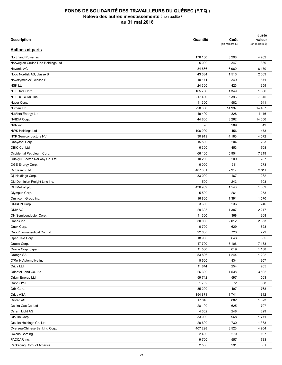| <b>Description</b>                 | Quantité | Coût<br>(en milliers \$) | Juste<br>valeur<br>(en milliers \$) |
|------------------------------------|----------|--------------------------|-------------------------------------|
| <b>Actions et parts</b>            |          |                          |                                     |
| Northland Power inc.               | 178 100  | 3 2 9 8                  | 4 2 6 2                             |
| Norwegian Cruise Line Holdings Ltd | 5 0 0 0  | 347                      | 339                                 |
| Novartis AG                        | 84 866   | 6960                     | 8 1 7 0                             |
| Novo Nordisk AS, classe B          | 43 384   | 1516                     | 2669                                |
| Novozymes AS, classe B             | 10 171   | 349                      | 671                                 |
| <b>NSK Ltd</b>                     | 24 300   | 423                      | 359                                 |
| NTT Data Corp.                     | 105 700  | 1 3 4 9                  | 1536                                |
| NTT DOCOMO inc.                    | 217400   | 5 3 9 6                  | 7 3 1 5                             |
| Nucor Corp.                        | 11 300   | 582                      | 941                                 |
| <b>Nutrien Ltd</b>                 | 220 800  | 14 937                   | 14 487                              |
| NuVista Energy Ltd                 | 119 400  | 828                      | 1 1 1 6                             |
| NVIDIA Corp.                       | 44 800   | 3 2 6 2                  | 14 656                              |
| NVR inc.                           | 90       | 289                      | 349                                 |
| NWS Holdings Ltd                   | 196 000  | 456                      | 473                                 |
| <b>NXP Semiconductors NV</b>       | 30 919   | 4 183                    | 4 5 7 2                             |
| Obayashi Corp.                     | 15 500   | 204                      | 203                                 |
| OBIC Co. Ltd                       | 6 300    | 453                      | 708                                 |
| Occidental Petroleum Corp.         | 66 100   | 5 9 5 4                  | 7 2 1 9                             |
| Odakyu Electric Railway Co. Ltd    | 10 200   | 209                      | 287                                 |
| OGE Energy Corp.                   | 6 0 0 0  | 211                      | 273                                 |
| Oil Search Ltd                     | 407831   | 2917                     | 3 3 1 1                             |
| Oji Holdings Corp.                 | 33 000   | 167                      | 282                                 |
| Old Dominion Freight Line inc.     | 1 500    | 243                      | 303                                 |
| Old Mutual plc                     | 436 969  | 1 5 4 3                  | 1809                                |
| Olympus Corp.                      | 5 500    | 261                      | 253                                 |
| Omnicom Group inc.                 | 16 800   | 1 3 9 1                  | 1570                                |
|                                    | 3 600    | 236                      | 246                                 |
| OMRON Corp.<br>OMV AG              |          |                          |                                     |
|                                    | 29 303   | 1 3 8 7                  | 2 2 1 7                             |
| ON Semiconductor Corp.             | 11 300   | 368                      | 368                                 |
| Oneok inc.                         | 30 000   | 2012                     | 2653                                |
| Onex Corp.                         | 6700     | 629                      | 623                                 |
| Ono Pharmaceutical Co. Ltd         | 22 600   | 723                      | 729                                 |
| Open Text Corp.                    | 18 900   | 643                      | 855                                 |
| Oracle Corp.                       | 117 700  | 5 10 6                   | 7 1 3 3                             |
| Oracle Corp. Japan                 | 11 500   | 619                      | 1 1 3 8                             |
| Orange SA                          | 53 896   | 1 2 4 4                  | 1 2 0 2                             |
| O'Reilly Automotive inc.           | 5 600    | 834                      | 1957                                |
| Orica Ltd                          | 11 844   | 254                      | 205                                 |
| Oriental Land Co. Ltd              | 26 300   | 1538                     | 3 5 0 2                             |
| Origin Energy Ltd                  | 59 742   | 597                      | 563                                 |
| Orion OYJ                          | 1782     | 72                       | 68                                  |
| Orix Corp.                         | 35 200   | 497                      | 768                                 |
| Orkla ASA                          | 154 871  | 1741                     | 1812                                |
| Orsted AS                          | 17 040   | 882                      | 1 3 2 3                             |
| Osaka Gas Co. Ltd                  | 28 100   | 625                      | 797                                 |
| Osram Licht AG                     | 4 3 0 2  | 248                      | 329                                 |
| Otsuka Corp.                       | 33 000   | 968                      | 1771                                |
| Otsuka Holdings Co. Ltd            | 20 600   | 730                      | 1 3 3 3                             |
| Oversea-Chinese Banking Corp.      | 407 298  | 3523                     | 4 9 5 4                             |
| Owens Corning                      | 2 4 0 0  | 270                      | 197                                 |
| PACCAR inc.                        | 9700     | 557                      | 783                                 |
| Packaging Corp. of America         | 2 500    | 291                      | 381                                 |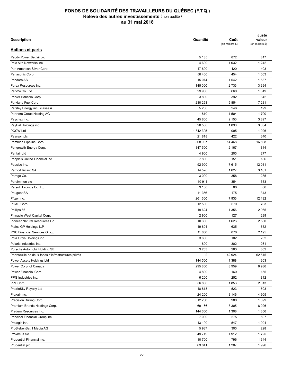| <b>Description</b>                                  | Quantité          | Coût<br>(en milliers \$) | Juste<br>valeur<br>(en milliers \$) |
|-----------------------------------------------------|-------------------|--------------------------|-------------------------------------|
| <b>Actions et parts</b>                             |                   |                          |                                     |
| Paddy Power Betfair plc                             | 5 1 8 5           | 872                      | 817                                 |
| Palo Alto Networks inc.                             | 4 600             | 1 0 3 2                  | 1 2 4 2                             |
| Pan American Silver Corp.                           | 17 600            | 420                      | 403                                 |
| Panasonic Corp.                                     | 56 400            | 454                      | 1 0 0 3                             |
| Pandora AS                                          | 15 0 74           | 1542                     | 1537                                |
| Parex Resources inc.                                | 145 000           | 2733                     | 3 3 9 4                             |
| Park24 Co. Ltd                                      | 29 900            | 660                      | 1 0 4 9                             |
| Parker Hannifin Corp.                               | 3800              | 392                      | 842                                 |
| Parkland Fuel Corp.                                 | 230 253           | 5854                     | 7 2 8 1                             |
| Parsley Energy inc., classe A                       | 5 200             | 246                      | 199                                 |
| Partners Group Holding AG                           | 1810              | 1 504                    | 1700                                |
| Paychex inc.                                        | 45 800            | 2 1 5 3                  | 3897                                |
| PayPal Holdings inc.                                | 28 500            | 1 0 3 0                  | 3 0 3 4                             |
| <b>PCCW Ltd</b>                                     | 1 342 395         | 995                      | 1 0 2 6                             |
| Pearson plc                                         | 21818             | 422                      | 340                                 |
| Pembina Pipeline Corp.                              | 368 037           | 14 4 68                  | 16 598                              |
| Pengrowth Energy Corp.                              | 847 500           | 2 1 6 7                  | 814                                 |
| Pentair Ltd                                         | 4 9 0 0           | 203                      | 277                                 |
| People's United Financial inc.                      | 7800              | 151                      | 186                                 |
|                                                     | 92 900            | 7615                     | 12 081                              |
| Pepsico inc.<br>Pernod Ricard SA                    | 14 528            | 1627                     | 3 1 6 1                             |
|                                                     |                   |                          |                                     |
| Perrigo Co.                                         | 3 0 0 0<br>10 911 | 358<br>354               | 285<br>533                          |
| Persimmon plc                                       |                   |                          |                                     |
| Persol Holdings Co. Ltd                             | 3 100             | 86                       | 86                                  |
| Peugeot SA                                          | 11 356            | 175                      | 343                                 |
| Pfizer inc.                                         | 261 600           | 7933                     | 12 192                              |
| PG&E Corp.                                          | 12 500            | 570                      | 703                                 |
| Phillips 66                                         | 19 624            | 1 3 5 6                  | 2 9 6 5                             |
| Pinnacle West Capital Corp.                         | 2 9 0 0           | 127                      | 299                                 |
| Pioneer Natural Resources Co.                       | 10 300            | 1626                     | 2 5 8 0                             |
| Plains GP Holdings L.P.                             | 19 804            | 635                      | 632                                 |
| PNC Financial Services Group                        | 11 800            | 876                      | 2 1 9 5                             |
| Pola Orbis Holdings inc.                            | 3 600             | 102                      | 232                                 |
| Polaris Industries inc.                             | 1800              | 302                      | 261                                 |
| Porsche Automobil Holding SE                        | 3 2 0 3           | 283                      | 302                                 |
| Portefeuille de deux fonds d'infrastructures privés | $\overline{2}$    | 42 924                   | 62 515                              |
| Power Assets Holdings Ltd                           | 144 500           | 1 3 8 8                  | 1 3 0 3                             |
| Power Corp. of Canada                               | 295 800           | 8959                     | 8936                                |
| Power Financial Corp.                               | 4 800             | 160                      | 155                                 |
| PPG Industries inc.                                 | 6 200             | 252                      | 812                                 |
| PPL Corp.                                           | 56 800            | 1853                     | 2013                                |
| PrairieSky Royalty Ltd                              | 18813             | 523                      | 503                                 |
| Praxair inc.                                        | 24 200            | 3 1 4 6                  | 4 9 0 5                             |
| Precision Drilling Corp.                            | 312 200           | 980                      | 1 3 9 9                             |
| Premium Brands Holdings Corp.                       | 69 166            | 3 3 0 5                  | 8 0 2 6                             |
| Pretium Resources inc.                              | 144 600           | 1 3 0 8                  | 1 3 5 6                             |
| Principal Financial Group inc.                      | 7 0 0 0           | 275                      | 507                                 |
| Prologis inc.                                       | 13 100            | 547                      | 1 0 9 4                             |
| ProSiebenSat.1 Media AG                             | 5987              | 303                      | 228                                 |
| Proximus SA                                         | 49 719            | 1912                     | 1725                                |
| Prudential Financial inc.                           | 10 700            | 796                      | 1 3 4 4                             |
| Prudential plc                                      | 63 841            | 1 207                    | 1996                                |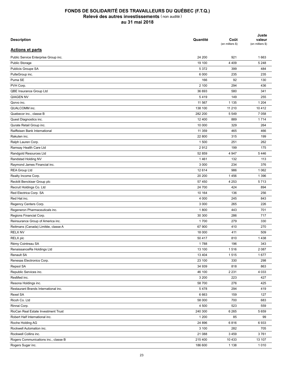| <b>Description</b>                                  | Quantité | Coût<br>(en milliers \$) | Juste<br>valeur<br>(en milliers \$) |
|-----------------------------------------------------|----------|--------------------------|-------------------------------------|
| <b>Actions et parts</b>                             |          |                          |                                     |
| Public Service Enterprise Group inc.                | 24 200   | 921                      | 1663                                |
| Public Storage                                      | 19 100   | 4 4 0 9                  | 5 2 4 8                             |
| Publicis Groupe SA                                  | 5 3 7 2  | 399                      | 484                                 |
| PulteGroup inc.                                     | 6 0 0 0  | 235                      | 235                                 |
| Puma SE                                             | 166      | 92                       | 130                                 |
| PVH Corp.                                           | 2 100    | 294                      | 436                                 |
| QBE Insurance Group Ltd                             | 36 693   | 580                      | 341                                 |
| <b>QIAGEN NV</b>                                    | 5419     | 149                      | 255                                 |
| Qorvo inc.                                          | 11 567   | 1 1 3 5                  | 1 2 0 4                             |
| QUALCOMM inc.                                       | 138 100  | 11 210                   | 10 4 12                             |
| Quebecor inc., classe B                             | 282 200  | 5 5 4 9                  | 7 0 5 8                             |
| Quest Diagnostics inc.                              | 12 400   | 889                      | 1714                                |
| Qurate Retail Group inc.                            | 10 000   | 329                      | 264                                 |
| Raiffeisen Bank International                       | 11 359   | 465                      | 466                                 |
| Rakuten inc.                                        | 22 800   | 315                      | 199                                 |
| Ralph Lauren Corp.                                  | 1 500    | 251                      | 262                                 |
| Ramsay Health Care Ltd                              | 2912     | 199                      | 175                                 |
|                                                     | 52 859   | 4 9 4 7                  | 5446                                |
| Randgold Resources Ltd                              |          |                          |                                     |
| Randstad Holding NV<br>Raymond James Financial inc. | 1461     | 132                      | 113                                 |
|                                                     | 3 0 0 0  | 234                      | 376                                 |
| <b>REA Group Ltd</b>                                | 12 614   | 986                      | 1 0 6 2                             |
| Realty Income Corp.                                 | 20 200   | 1456                     | 1 3 9 6                             |
| Reckitt Benckiser Group plc                         | 57 450   | 4 2 5 3                  | 5713                                |
| Recruit Holdings Co. Ltd                            | 24 700   | 424                      | 894                                 |
| Red Electrica Corp. SA                              | 10 164   | 136                      | 256                                 |
| Red Hat inc.                                        | 4 0 0 0  | 245                      | 843                                 |
| Regency Centers Corp.                               | 3 0 0 0  | 265                      | 226                                 |
| Regeneron Pharmaceuticals inc.                      | 1800     | 443                      | 701                                 |
| Regions Financial Corp.                             | 30 300   | 286                      | 717                                 |
| Reinsurance Group of America inc.                   | 1700     | 279                      | 330                                 |
| Reitmans (Canada) Limitée, classe A                 | 67 900   | 410                      | 270                                 |
| <b>RELX NV</b>                                      | 18 000   | 411                      | 509                                 |
| RELX plc                                            | 50 417   | 810                      | 1438                                |
| Rémy Cointreau SA                                   | 1788     | 196                      | 343                                 |
| RenaissanceRe Holdings Ltd                          | 13 100   | 1516                     | 2 0 8 7                             |
| Renault SA                                          | 13 4 04  | 1515                     | 1677                                |
| Renesas Electronics Corp.                           | 23 100   | 330                      | 298                                 |
| Repsol SA                                           | 34 939   | 818                      | 863                                 |
| Republic Services inc.                              | 46 100   | 2 2 3 1                  | 4 0 3 3                             |
| ResMed inc.                                         | 3 2 0 0  | 223                      | 427                                 |
| Resona Holdings inc.                                | 58 700   | 276                      | 425                                 |
| Restaurant Brands International inc.                | 5478     | 294                      | 419                                 |
| Rexel SA                                            | 6 6 6 3  | 159                      | 127                                 |
| Ricoh Co. Ltd                                       | 58 000   | 700                      | 683                                 |
| Rinnai Corp.                                        | 4 500    | 523                      | 559                                 |
| RioCan Real Estate Investment Trust                 | 240 300  | 6 2 6 5                  | 5 6 5 9                             |
| Robert Half International inc.                      | 1 200    | 85                       | 99                                  |
| Roche Holding AG                                    | 24 896   | 6816                     | 6933                                |
| Rockwell Automation inc.                            | 3 100    | 282                      | 705                                 |
| Rockwell Collins inc.                               | 21 088   | 3 4 5 9                  | 3761                                |
| Rogers Communications inc., classe B                | 215 400  | 10 433                   | 13 107                              |
| Rogers Sugar inc.                                   | 186 600  | 1 1 3 8                  | 1010                                |
|                                                     |          |                          |                                     |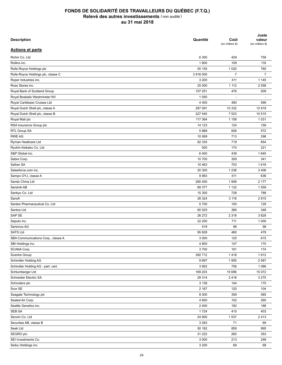| 6 300<br>429<br>759<br>109<br>116<br>1800<br>55 155<br>1 0 2 0<br>785<br>$\overline{7}$<br>$\overline{7}$<br>3916005<br>Rolls-Royce Holdings plc, classe C<br>411<br>3 200<br>1 1 4 5<br>25 000<br>1 1 1 2<br>2 5 5 8<br>107 251<br>476<br>509<br>Royal Bank of Scotland Group<br>Royal Boskalis Westminster NV<br>1 0 5 0<br>$\overline{\phantom{a}}$<br><u>.</u><br>Royal Caribbean Cruises Ltd<br>4 4 0 0<br>599<br>490<br>Royal Dutch Shell plc, classe A<br>287 081<br>10 332<br>12919<br>Royal Dutch Shell plc, classe B<br>227 545<br>7 5 23<br>10 515<br>1 0 3 1<br>Royal Mail plc<br>117 364<br>1 1 5 8<br>RSA Insurance Group plc<br>14 123<br>124<br>159<br>RTL Group SA<br>5868<br>572<br>606<br><b>RWE AG</b><br>10 069<br>713<br>296<br>719<br>Ryman Healtcare Ltd<br>82 335<br>854<br>Ryohin Keikaku Co. Ltd<br>500<br>174<br>221<br>S&P Global inc.<br>6400<br>439<br>1640<br>10 700<br>Sabre Corp.<br>309<br>341<br>Safran SA<br>10 4 63<br>703<br>1618<br>20 300<br>1 2 3 8<br>3 4 0 6<br>Salesforce.com inc.<br>Sampo OYJ, classe A<br>9983<br>511<br>636<br>Sands China Ltd<br>280 400<br>1 9 0 8<br>2 177<br>Sandvik AB<br>69 377<br>1 1 3 2<br>1559<br>Sankyo Co. Ltd<br>728<br>788<br>15 300<br>28 3 24<br>2815<br>Sanofi<br>3 1 1 6<br>Santen Pharmaceutical Co. Ltd<br>5700<br>100<br>129<br>Santos Ltd<br>60 525<br>366<br>348<br>SAP SE<br>26 27 2<br>2 3 1 8<br>3829<br>22 200<br>711<br>1 0 0 0<br>Saputo inc.<br>Sartorius AG<br>519<br>98<br>98<br><b>SATS Ltd</b><br>95 628<br>480<br>479<br>3 0 0 0<br>125<br>615<br>4 800<br>147<br>170<br>3700<br>174<br>191<br>392712<br>1612<br>1418<br>9697<br>2 5 8 7<br>1955<br>3 9 5 2<br>756<br>1 0 8 6<br>169 203<br>15 072<br>15 696<br>29 314<br>2418<br>3 2 7 5<br>3 1 3 6<br>144<br>175<br>2 167<br>120<br>104<br>8 0 0 0<br>359<br>585<br>4 600<br>102<br>260<br>2 4 0 0<br>182<br>188<br>1724<br>410<br>403<br>24 900<br>1537<br>2413<br>3 2 8 3<br>71<br>69<br>50 182<br>859<br>995<br>31 222<br>353<br>260<br>3 0 0 0<br>213<br>248 | <b>Description</b>                 | Quantité | Coût<br>(en milliers \$) | Juste<br>valeur<br>(en milliers \$) |
|------------------------------------------------------------------------------------------------------------------------------------------------------------------------------------------------------------------------------------------------------------------------------------------------------------------------------------------------------------------------------------------------------------------------------------------------------------------------------------------------------------------------------------------------------------------------------------------------------------------------------------------------------------------------------------------------------------------------------------------------------------------------------------------------------------------------------------------------------------------------------------------------------------------------------------------------------------------------------------------------------------------------------------------------------------------------------------------------------------------------------------------------------------------------------------------------------------------------------------------------------------------------------------------------------------------------------------------------------------------------------------------------------------------------------------------------------------------------------------------------------------------------------------------------------------------------------------------------------------------------------------------------------------------------------------------------------------------------------------------------------------------------------------------------------------------------------------------------------------------------------------------------------------------------------------------------------------------------------------------------------------------------|------------------------------------|----------|--------------------------|-------------------------------------|
|                                                                                                                                                                                                                                                                                                                                                                                                                                                                                                                                                                                                                                                                                                                                                                                                                                                                                                                                                                                                                                                                                                                                                                                                                                                                                                                                                                                                                                                                                                                                                                                                                                                                                                                                                                                                                                                                                                                                                                                                                        | <b>Actions et parts</b>            |          |                          |                                     |
|                                                                                                                                                                                                                                                                                                                                                                                                                                                                                                                                                                                                                                                                                                                                                                                                                                                                                                                                                                                                                                                                                                                                                                                                                                                                                                                                                                                                                                                                                                                                                                                                                                                                                                                                                                                                                                                                                                                                                                                                                        | Rohm Co. Ltd                       |          |                          |                                     |
|                                                                                                                                                                                                                                                                                                                                                                                                                                                                                                                                                                                                                                                                                                                                                                                                                                                                                                                                                                                                                                                                                                                                                                                                                                                                                                                                                                                                                                                                                                                                                                                                                                                                                                                                                                                                                                                                                                                                                                                                                        | Rollins inc.                       |          |                          |                                     |
|                                                                                                                                                                                                                                                                                                                                                                                                                                                                                                                                                                                                                                                                                                                                                                                                                                                                                                                                                                                                                                                                                                                                                                                                                                                                                                                                                                                                                                                                                                                                                                                                                                                                                                                                                                                                                                                                                                                                                                                                                        | Rolls-Royce Holdings plc           |          |                          |                                     |
|                                                                                                                                                                                                                                                                                                                                                                                                                                                                                                                                                                                                                                                                                                                                                                                                                                                                                                                                                                                                                                                                                                                                                                                                                                                                                                                                                                                                                                                                                                                                                                                                                                                                                                                                                                                                                                                                                                                                                                                                                        |                                    |          |                          |                                     |
|                                                                                                                                                                                                                                                                                                                                                                                                                                                                                                                                                                                                                                                                                                                                                                                                                                                                                                                                                                                                                                                                                                                                                                                                                                                                                                                                                                                                                                                                                                                                                                                                                                                                                                                                                                                                                                                                                                                                                                                                                        | Roper Industries inc.              |          |                          |                                     |
|                                                                                                                                                                                                                                                                                                                                                                                                                                                                                                                                                                                                                                                                                                                                                                                                                                                                                                                                                                                                                                                                                                                                                                                                                                                                                                                                                                                                                                                                                                                                                                                                                                                                                                                                                                                                                                                                                                                                                                                                                        | Ross Stores inc.                   |          |                          |                                     |
|                                                                                                                                                                                                                                                                                                                                                                                                                                                                                                                                                                                                                                                                                                                                                                                                                                                                                                                                                                                                                                                                                                                                                                                                                                                                                                                                                                                                                                                                                                                                                                                                                                                                                                                                                                                                                                                                                                                                                                                                                        |                                    |          |                          |                                     |
|                                                                                                                                                                                                                                                                                                                                                                                                                                                                                                                                                                                                                                                                                                                                                                                                                                                                                                                                                                                                                                                                                                                                                                                                                                                                                                                                                                                                                                                                                                                                                                                                                                                                                                                                                                                                                                                                                                                                                                                                                        |                                    |          |                          |                                     |
|                                                                                                                                                                                                                                                                                                                                                                                                                                                                                                                                                                                                                                                                                                                                                                                                                                                                                                                                                                                                                                                                                                                                                                                                                                                                                                                                                                                                                                                                                                                                                                                                                                                                                                                                                                                                                                                                                                                                                                                                                        |                                    |          |                          |                                     |
|                                                                                                                                                                                                                                                                                                                                                                                                                                                                                                                                                                                                                                                                                                                                                                                                                                                                                                                                                                                                                                                                                                                                                                                                                                                                                                                                                                                                                                                                                                                                                                                                                                                                                                                                                                                                                                                                                                                                                                                                                        |                                    |          |                          |                                     |
|                                                                                                                                                                                                                                                                                                                                                                                                                                                                                                                                                                                                                                                                                                                                                                                                                                                                                                                                                                                                                                                                                                                                                                                                                                                                                                                                                                                                                                                                                                                                                                                                                                                                                                                                                                                                                                                                                                                                                                                                                        |                                    |          |                          |                                     |
|                                                                                                                                                                                                                                                                                                                                                                                                                                                                                                                                                                                                                                                                                                                                                                                                                                                                                                                                                                                                                                                                                                                                                                                                                                                                                                                                                                                                                                                                                                                                                                                                                                                                                                                                                                                                                                                                                                                                                                                                                        |                                    |          |                          |                                     |
|                                                                                                                                                                                                                                                                                                                                                                                                                                                                                                                                                                                                                                                                                                                                                                                                                                                                                                                                                                                                                                                                                                                                                                                                                                                                                                                                                                                                                                                                                                                                                                                                                                                                                                                                                                                                                                                                                                                                                                                                                        |                                    |          |                          |                                     |
|                                                                                                                                                                                                                                                                                                                                                                                                                                                                                                                                                                                                                                                                                                                                                                                                                                                                                                                                                                                                                                                                                                                                                                                                                                                                                                                                                                                                                                                                                                                                                                                                                                                                                                                                                                                                                                                                                                                                                                                                                        |                                    |          |                          |                                     |
|                                                                                                                                                                                                                                                                                                                                                                                                                                                                                                                                                                                                                                                                                                                                                                                                                                                                                                                                                                                                                                                                                                                                                                                                                                                                                                                                                                                                                                                                                                                                                                                                                                                                                                                                                                                                                                                                                                                                                                                                                        |                                    |          |                          |                                     |
|                                                                                                                                                                                                                                                                                                                                                                                                                                                                                                                                                                                                                                                                                                                                                                                                                                                                                                                                                                                                                                                                                                                                                                                                                                                                                                                                                                                                                                                                                                                                                                                                                                                                                                                                                                                                                                                                                                                                                                                                                        |                                    |          |                          |                                     |
|                                                                                                                                                                                                                                                                                                                                                                                                                                                                                                                                                                                                                                                                                                                                                                                                                                                                                                                                                                                                                                                                                                                                                                                                                                                                                                                                                                                                                                                                                                                                                                                                                                                                                                                                                                                                                                                                                                                                                                                                                        |                                    |          |                          |                                     |
|                                                                                                                                                                                                                                                                                                                                                                                                                                                                                                                                                                                                                                                                                                                                                                                                                                                                                                                                                                                                                                                                                                                                                                                                                                                                                                                                                                                                                                                                                                                                                                                                                                                                                                                                                                                                                                                                                                                                                                                                                        |                                    |          |                          |                                     |
|                                                                                                                                                                                                                                                                                                                                                                                                                                                                                                                                                                                                                                                                                                                                                                                                                                                                                                                                                                                                                                                                                                                                                                                                                                                                                                                                                                                                                                                                                                                                                                                                                                                                                                                                                                                                                                                                                                                                                                                                                        |                                    |          |                          |                                     |
|                                                                                                                                                                                                                                                                                                                                                                                                                                                                                                                                                                                                                                                                                                                                                                                                                                                                                                                                                                                                                                                                                                                                                                                                                                                                                                                                                                                                                                                                                                                                                                                                                                                                                                                                                                                                                                                                                                                                                                                                                        |                                    |          |                          |                                     |
|                                                                                                                                                                                                                                                                                                                                                                                                                                                                                                                                                                                                                                                                                                                                                                                                                                                                                                                                                                                                                                                                                                                                                                                                                                                                                                                                                                                                                                                                                                                                                                                                                                                                                                                                                                                                                                                                                                                                                                                                                        |                                    |          |                          |                                     |
|                                                                                                                                                                                                                                                                                                                                                                                                                                                                                                                                                                                                                                                                                                                                                                                                                                                                                                                                                                                                                                                                                                                                                                                                                                                                                                                                                                                                                                                                                                                                                                                                                                                                                                                                                                                                                                                                                                                                                                                                                        |                                    |          |                          |                                     |
|                                                                                                                                                                                                                                                                                                                                                                                                                                                                                                                                                                                                                                                                                                                                                                                                                                                                                                                                                                                                                                                                                                                                                                                                                                                                                                                                                                                                                                                                                                                                                                                                                                                                                                                                                                                                                                                                                                                                                                                                                        |                                    |          |                          |                                     |
|                                                                                                                                                                                                                                                                                                                                                                                                                                                                                                                                                                                                                                                                                                                                                                                                                                                                                                                                                                                                                                                                                                                                                                                                                                                                                                                                                                                                                                                                                                                                                                                                                                                                                                                                                                                                                                                                                                                                                                                                                        |                                    |          |                          |                                     |
|                                                                                                                                                                                                                                                                                                                                                                                                                                                                                                                                                                                                                                                                                                                                                                                                                                                                                                                                                                                                                                                                                                                                                                                                                                                                                                                                                                                                                                                                                                                                                                                                                                                                                                                                                                                                                                                                                                                                                                                                                        |                                    |          |                          |                                     |
|                                                                                                                                                                                                                                                                                                                                                                                                                                                                                                                                                                                                                                                                                                                                                                                                                                                                                                                                                                                                                                                                                                                                                                                                                                                                                                                                                                                                                                                                                                                                                                                                                                                                                                                                                                                                                                                                                                                                                                                                                        |                                    |          |                          |                                     |
|                                                                                                                                                                                                                                                                                                                                                                                                                                                                                                                                                                                                                                                                                                                                                                                                                                                                                                                                                                                                                                                                                                                                                                                                                                                                                                                                                                                                                                                                                                                                                                                                                                                                                                                                                                                                                                                                                                                                                                                                                        |                                    |          |                          |                                     |
|                                                                                                                                                                                                                                                                                                                                                                                                                                                                                                                                                                                                                                                                                                                                                                                                                                                                                                                                                                                                                                                                                                                                                                                                                                                                                                                                                                                                                                                                                                                                                                                                                                                                                                                                                                                                                                                                                                                                                                                                                        |                                    |          |                          |                                     |
|                                                                                                                                                                                                                                                                                                                                                                                                                                                                                                                                                                                                                                                                                                                                                                                                                                                                                                                                                                                                                                                                                                                                                                                                                                                                                                                                                                                                                                                                                                                                                                                                                                                                                                                                                                                                                                                                                                                                                                                                                        |                                    |          |                          |                                     |
|                                                                                                                                                                                                                                                                                                                                                                                                                                                                                                                                                                                                                                                                                                                                                                                                                                                                                                                                                                                                                                                                                                                                                                                                                                                                                                                                                                                                                                                                                                                                                                                                                                                                                                                                                                                                                                                                                                                                                                                                                        |                                    |          |                          |                                     |
|                                                                                                                                                                                                                                                                                                                                                                                                                                                                                                                                                                                                                                                                                                                                                                                                                                                                                                                                                                                                                                                                                                                                                                                                                                                                                                                                                                                                                                                                                                                                                                                                                                                                                                                                                                                                                                                                                                                                                                                                                        |                                    |          |                          |                                     |
|                                                                                                                                                                                                                                                                                                                                                                                                                                                                                                                                                                                                                                                                                                                                                                                                                                                                                                                                                                                                                                                                                                                                                                                                                                                                                                                                                                                                                                                                                                                                                                                                                                                                                                                                                                                                                                                                                                                                                                                                                        |                                    |          |                          |                                     |
|                                                                                                                                                                                                                                                                                                                                                                                                                                                                                                                                                                                                                                                                                                                                                                                                                                                                                                                                                                                                                                                                                                                                                                                                                                                                                                                                                                                                                                                                                                                                                                                                                                                                                                                                                                                                                                                                                                                                                                                                                        |                                    |          |                          |                                     |
|                                                                                                                                                                                                                                                                                                                                                                                                                                                                                                                                                                                                                                                                                                                                                                                                                                                                                                                                                                                                                                                                                                                                                                                                                                                                                                                                                                                                                                                                                                                                                                                                                                                                                                                                                                                                                                                                                                                                                                                                                        | SBA Communications Corp., classe A |          |                          |                                     |
|                                                                                                                                                                                                                                                                                                                                                                                                                                                                                                                                                                                                                                                                                                                                                                                                                                                                                                                                                                                                                                                                                                                                                                                                                                                                                                                                                                                                                                                                                                                                                                                                                                                                                                                                                                                                                                                                                                                                                                                                                        | SBI Holdings inc.                  |          |                          |                                     |
|                                                                                                                                                                                                                                                                                                                                                                                                                                                                                                                                                                                                                                                                                                                                                                                                                                                                                                                                                                                                                                                                                                                                                                                                                                                                                                                                                                                                                                                                                                                                                                                                                                                                                                                                                                                                                                                                                                                                                                                                                        | SCANA Corp.                        |          |                          |                                     |
|                                                                                                                                                                                                                                                                                                                                                                                                                                                                                                                                                                                                                                                                                                                                                                                                                                                                                                                                                                                                                                                                                                                                                                                                                                                                                                                                                                                                                                                                                                                                                                                                                                                                                                                                                                                                                                                                                                                                                                                                                        | Scentre Group                      |          |                          |                                     |
|                                                                                                                                                                                                                                                                                                                                                                                                                                                                                                                                                                                                                                                                                                                                                                                                                                                                                                                                                                                                                                                                                                                                                                                                                                                                                                                                                                                                                                                                                                                                                                                                                                                                                                                                                                                                                                                                                                                                                                                                                        | Schindler Holding AG               |          |                          |                                     |
|                                                                                                                                                                                                                                                                                                                                                                                                                                                                                                                                                                                                                                                                                                                                                                                                                                                                                                                                                                                                                                                                                                                                                                                                                                                                                                                                                                                                                                                                                                                                                                                                                                                                                                                                                                                                                                                                                                                                                                                                                        | Schindler Holding AG - part. cert. |          |                          |                                     |
|                                                                                                                                                                                                                                                                                                                                                                                                                                                                                                                                                                                                                                                                                                                                                                                                                                                                                                                                                                                                                                                                                                                                                                                                                                                                                                                                                                                                                                                                                                                                                                                                                                                                                                                                                                                                                                                                                                                                                                                                                        | Schlumberger Ltd                   |          |                          |                                     |
|                                                                                                                                                                                                                                                                                                                                                                                                                                                                                                                                                                                                                                                                                                                                                                                                                                                                                                                                                                                                                                                                                                                                                                                                                                                                                                                                                                                                                                                                                                                                                                                                                                                                                                                                                                                                                                                                                                                                                                                                                        | Schneider Electric SA              |          |                          |                                     |
|                                                                                                                                                                                                                                                                                                                                                                                                                                                                                                                                                                                                                                                                                                                                                                                                                                                                                                                                                                                                                                                                                                                                                                                                                                                                                                                                                                                                                                                                                                                                                                                                                                                                                                                                                                                                                                                                                                                                                                                                                        | Schroders plc                      |          |                          |                                     |
|                                                                                                                                                                                                                                                                                                                                                                                                                                                                                                                                                                                                                                                                                                                                                                                                                                                                                                                                                                                                                                                                                                                                                                                                                                                                                                                                                                                                                                                                                                                                                                                                                                                                                                                                                                                                                                                                                                                                                                                                                        | Scor SE                            |          |                          |                                     |
|                                                                                                                                                                                                                                                                                                                                                                                                                                                                                                                                                                                                                                                                                                                                                                                                                                                                                                                                                                                                                                                                                                                                                                                                                                                                                                                                                                                                                                                                                                                                                                                                                                                                                                                                                                                                                                                                                                                                                                                                                        | Seagate Technology plc             |          |                          |                                     |
|                                                                                                                                                                                                                                                                                                                                                                                                                                                                                                                                                                                                                                                                                                                                                                                                                                                                                                                                                                                                                                                                                                                                                                                                                                                                                                                                                                                                                                                                                                                                                                                                                                                                                                                                                                                                                                                                                                                                                                                                                        | Sealed Air Corp.                   |          |                          |                                     |
|                                                                                                                                                                                                                                                                                                                                                                                                                                                                                                                                                                                                                                                                                                                                                                                                                                                                                                                                                                                                                                                                                                                                                                                                                                                                                                                                                                                                                                                                                                                                                                                                                                                                                                                                                                                                                                                                                                                                                                                                                        | Seattle Genetics inc.              |          |                          |                                     |
|                                                                                                                                                                                                                                                                                                                                                                                                                                                                                                                                                                                                                                                                                                                                                                                                                                                                                                                                                                                                                                                                                                                                                                                                                                                                                                                                                                                                                                                                                                                                                                                                                                                                                                                                                                                                                                                                                                                                                                                                                        | <b>SEB SA</b>                      |          |                          |                                     |
|                                                                                                                                                                                                                                                                                                                                                                                                                                                                                                                                                                                                                                                                                                                                                                                                                                                                                                                                                                                                                                                                                                                                                                                                                                                                                                                                                                                                                                                                                                                                                                                                                                                                                                                                                                                                                                                                                                                                                                                                                        | Secom Co. Ltd                      |          |                          |                                     |
|                                                                                                                                                                                                                                                                                                                                                                                                                                                                                                                                                                                                                                                                                                                                                                                                                                                                                                                                                                                                                                                                                                                                                                                                                                                                                                                                                                                                                                                                                                                                                                                                                                                                                                                                                                                                                                                                                                                                                                                                                        | Securitas AB, classe B             |          |                          |                                     |
|                                                                                                                                                                                                                                                                                                                                                                                                                                                                                                                                                                                                                                                                                                                                                                                                                                                                                                                                                                                                                                                                                                                                                                                                                                                                                                                                                                                                                                                                                                                                                                                                                                                                                                                                                                                                                                                                                                                                                                                                                        | Seek Ltd                           |          |                          |                                     |
|                                                                                                                                                                                                                                                                                                                                                                                                                                                                                                                                                                                                                                                                                                                                                                                                                                                                                                                                                                                                                                                                                                                                                                                                                                                                                                                                                                                                                                                                                                                                                                                                                                                                                                                                                                                                                                                                                                                                                                                                                        | SEGRO plc                          |          |                          |                                     |
|                                                                                                                                                                                                                                                                                                                                                                                                                                                                                                                                                                                                                                                                                                                                                                                                                                                                                                                                                                                                                                                                                                                                                                                                                                                                                                                                                                                                                                                                                                                                                                                                                                                                                                                                                                                                                                                                                                                                                                                                                        | SEI Investments Co.                |          |                          |                                     |
|                                                                                                                                                                                                                                                                                                                                                                                                                                                                                                                                                                                                                                                                                                                                                                                                                                                                                                                                                                                                                                                                                                                                                                                                                                                                                                                                                                                                                                                                                                                                                                                                                                                                                                                                                                                                                                                                                                                                                                                                                        | Seibu Holdings inc.                | 3 200    | 69                       | 68                                  |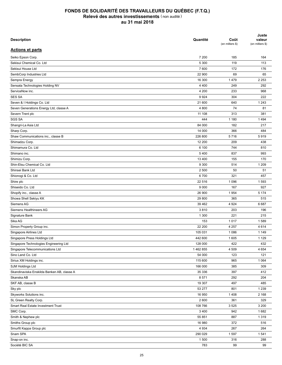| <b>Description</b>                         | Quantité | Coût<br>(en milliers \$) | Juste<br>valeur<br>(en milliers \$) |
|--------------------------------------------|----------|--------------------------|-------------------------------------|
| <b>Actions et parts</b>                    |          |                          |                                     |
| Seiko Epson Corp.                          | 7 200    | 185                      | 164                                 |
| Sekisui Chemical Co. Ltd                   | 5 300    | 119                      | 113                                 |
| Sekisui House Ltd                          | 7 600    | 172                      | 176                                 |
| SembCorp Industries Ltd                    | 22 900   | 69                       | 65                                  |
| Sempra Energy                              | 16 300   | 1479                     | 2 2 5 3                             |
| Sensata Technologies Holding NV            | 4 4 0 0  | 249                      | 292                                 |
| ServiceNow inc.                            | 4 200    | 233                      | 968                                 |
| <b>SES SA</b>                              | 9924     | 304                      | 222                                 |
| Seven & I Holdings Co. Ltd                 | 21 600   | 640                      | 1 2 4 3                             |
| Seven Generations Energy Ltd, classe A     | 4 800    | 74                       | 81                                  |
| Severn Trent plc                           | 11 108   | 313                      | 381                                 |
| <b>SGS SA</b>                              | 444      | 1 1 8 0                  | 1494                                |
| Shangri-La Asia Ltd                        | 84 000   | 182                      | 217                                 |
| Sharp Corp.                                | 14 000   | 366                      | 484                                 |
| Shaw Communications inc., classe B         | 226 800  | 5716                     | 5919                                |
| Shimadzu Corp.                             | 12 200   | 209                      | 438                                 |
| Shimamura Co. Ltd                          | 6 100    | 744                      | 810                                 |
| Shimano inc.                               | 5400     | 837                      | 993                                 |
| Shimizu Corp.                              | 13 400   | 155                      | 170                                 |
| Shin-Etsu Chemical Co. Ltd                 | 9 3 0 0  | 514                      | 1 2 0 9                             |
| Shinsei Bank Ltd                           | 2 500    | 50                       | 51                                  |
| Shionogi & Co. Ltd                         | 6700     | 321                      | 457                                 |
| Shire plc                                  | 22 516   | 1 0 9 6                  | 1593                                |
| Shiseido Co. Ltd                           | 9 0 0 0  | 167                      | 927                                 |
| Shopify inc., classe A                     | 26 900   | 1954                     | 5 1 7 4                             |
| Showa Shell Sekiyu KK                      | 29 800   | 365                      | 515                                 |
| Siemens AG                                 | 39 462   | 4 9 24                   | 6 6 8 7                             |
| Siemens Healthineers AG                    | 3810     | 203                      | 196                                 |
| Signature Bank                             | 1 300    | 221                      | 215                                 |
| Sika AG                                    | 153      | 1017                     | 1589                                |
|                                            | 22 200   | 4 2 5 7                  | 4614                                |
| Simon Property Group inc.                  |          |                          |                                     |
| Singapore Airlines Ltd                     | 105 031  | 1 0 8 6                  | 1 1 4 9                             |
| Singapore Press Holdings Ltd               | 442 600  | 1 605                    | 1 1 2 9                             |
| Singapore Technologies Engineering Ltd     | 128 000  | 422                      | 432                                 |
| Singapore Telecommunications Ltd           | 1462855  | 4 5 0 9                  | 4 6 5 4                             |
| Sino Land Co. Ltd                          | 54 000   | 123                      | 121                                 |
| Sirius XM Holdings inc.                    | 115 600  | 965                      | 1 0 6 4                             |
| SJM Holdings Ltd                           | 166 000  | 385                      | 309                                 |
| Skandinaviska Enskilda Banken AB, classe A | 35 336   | 397                      | 412                                 |
| Skanska AB                                 | 8571     | 292                      | 204                                 |
| SKF AB, classe B                           | 19 307   | 497                      | 485                                 |
| Sky plc                                    | 53 277   | 801                      | 1 2 3 9                             |
| Skyworks Solutions inc.                    | 16 950   | 1 4 0 8                  | 2 1 6 8                             |
| SL Green Realty Corp.                      | 2 600    | 361                      | 329                                 |
| Smart Real Estate Investment Trust         | 108 766  | 3525                     | 3 200                               |
| SMC Corp.                                  | 3 4 0 0  | 942                      | 1682                                |
| Smith & Nephew plc                         | 55 851   | 887                      | 1 3 1 9                             |
| Smiths Group plc                           | 16 980   | 372                      | 516                                 |
| Smurfit Kappa Group plc                    | 4 9 3 4  | 267                      | 264                                 |
| Snam SPA                                   | 290 029  | 1597                     | 1541                                |
| Snap-on inc.                               | 1500     | 316                      | 288                                 |
| Société BIC SA                             | 783      | 99                       | 99                                  |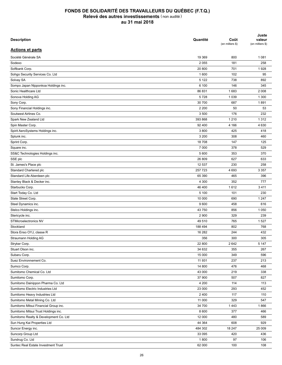| <b>Description</b>                    | Quantité | Coût<br>(en milliers \$) | Juste<br>valeur<br>(en milliers \$) |
|---------------------------------------|----------|--------------------------|-------------------------------------|
| <b>Actions et parts</b>               |          |                          |                                     |
| Société Générale SA                   | 19 369   | 800                      | 1 0 8 1                             |
| Sodexo                                | 2 0 5 5  | 181                      | 258                                 |
| Softbank Corp.                        | 20 800   | 701                      | 1928                                |
| Sohgo Security Services Co. Ltd       | 1 600    | 102                      | 95                                  |
| Solvay SA                             | 5 1 2 2  | 738                      | 892                                 |
| Sompo Japan Nipponkoa Holdings inc.   | 6 100    | 146                      | 345                                 |
| Sonic Healthcare Ltd                  | 86 831   | 1683                     | 2 0 0 8                             |
| Sonova Holding AG                     | 5728     | 1 0 3 9                  | 1 300                               |
| Sony Corp.                            | 30 700   | 687                      | 1891                                |
| Sony Financial Holdings inc.          | 2 2 0 0  | 50                       | 53                                  |
| Soutwest Airlines Co.                 | 3 500    | 176                      | 232                                 |
| Spark New Zealand Ltd                 | 393 868  | 1 2 1 0                  | 1 3 1 2                             |
| Spin Master Corp.                     | 92 400   | 4 1 6 6                  | 4 6 3 0                             |
| Spirit AeroSystems Holdings inc.      | 3800     | 425                      | 418                                 |
| Splunk inc.                           | 3 200    | 308                      | 460                                 |
| Sprint Corp.                          | 18 708   | 147                      | 125                                 |
| Square inc.                           | 7 000    | 378                      | 529                                 |
| SS&C Technologies Holdings inc.       | 5 600    | 353                      | 370                                 |
| SSE plc                               | 26 809   | 627                      | 633                                 |
| St. James's Place plc                 | 12 537   | 230                      | 258                                 |
| Standard Chartered plc                | 257 723  | 4 6 9 3                  | 3 3 5 7                             |
| Standard Life Aberdeen plc            | 65 390   | 465                      | 396                                 |
| Stanley Black & Decker inc.           | 4 3 0 0  | 352                      | 777                                 |
|                                       | 46 400   | 1612                     | 3411                                |
| Starbucks Corp.                       |          |                          |                                     |
| Start Today Co. Ltd                   | 5 100    | 101                      | 230                                 |
| State Street Corp.                    | 10 000   | 690                      | 1 2 4 7                             |
| Steel Dynamics inc.                   | 9600     | 458                      | 616                                 |
| Stelco Holdings inc.                  | 43 750   | 856                      | 1 0 5 0                             |
| Stericycle inc.                       | 2 9 0 0  | 329                      | 239                                 |
| <b>STMicroelectronics NV</b>          | 49 510   | 765                      | 1527                                |
| Stockland                             | 188 494  | 802                      | 768                                 |
| Stora Enso OYJ, classe R              | 16 282   | 244                      | 432                                 |
| Straumann Holding AG                  | 356      | 300                      | 305                                 |
| Stryker Corp.                         | 22 800   | 2642                     | 5 1 4 7                             |
| Stuart Olson inc.                     | 34 632   | 355                      | 267                                 |
| Subaru Corp.                          | 15 000   | 349                      | 596                                 |
| Suez Environnement Co.                | 11 931   | 237                      | 213                                 |
| Sumco Corp.                           | 14 800   | 476                      | 468                                 |
| Sumitomo Chemical Co. Ltd             | 43 000   | 219                      | 338                                 |
| Sumitomo Corp.                        | 37 900   | 507                      | 827                                 |
| Sumitomo Dainippon Pharma Co. Ltd     | 4 200    | 114                      | 113                                 |
| Sumitomo Electric Industries Ltd      | 23 000   | 293                      | 452                                 |
| Sumitomo Heavy Industries Ltd         | 2 4 0 0  | 117                      | 110                                 |
| Sumitomo Metal Mining Co. Ltd         | 11 000   | 329                      | 547                                 |
| Sumitomo Mitsui Financial Group inc.  | 34 700   | 1443                     | 1866                                |
| Sumitomo Mitsui Trust Holdings inc.   | 8 600    | 377                      | 466                                 |
| Sumitomo Realty & Development Co. Ltd | 12 000   | 480                      | 589                                 |
| Sun Hung Kai Properties Ltd           | 44 364   | 608                      | 929                                 |
| Suncor Energy inc.                    | 484 302  | 18 247                   | 25 009                              |
| Suncorp Group Ltd                     | 33 095   | 420                      | 436                                 |
| Sundrug Co. Ltd                       | 1800     | 97                       | 106                                 |
| Suntec Real Estate Investment Trust   | 62 000   | 100                      | 108                                 |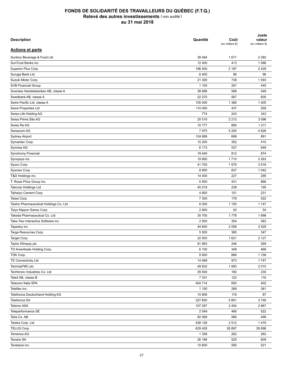| <b>Description</b>                     | Quantité | Coût<br>(en milliers \$) | Juste<br>valeur<br>(en milliers \$) |
|----------------------------------------|----------|--------------------------|-------------------------------------|
| <b>Actions et parts</b>                |          |                          |                                     |
| Suntory Beverage & Food Ltd            | 39 4 94  | 1671                     | 2 2 8 2                             |
| SunTrust Banks inc.                    | 12 400   | 413                      | 1 0 8 6                             |
| Superior Plus Corp.                    | 196 400  | 2 187                    | 2429                                |
| Suruga Bank Ltd                        | 6400     | 96                       | 96                                  |
| Suzuki Motor Corp.                     | 21 300   | 738                      | 1 5 9 3                             |
| SVB Financial Group                    | 1 100    | 291                      | 445                                 |
| Svenska Handelsbanken AB, classe A     | 38 696   | 588                      | 549                                 |
| Swedbank AB, classe A                  | 22 270   | 567                      | 600                                 |
| Swire Pacific Ltd, classe A            | 105 000  | 1 3 6 8                  | 1 4 0 5                             |
| Swire Properties Ltd                   | 110 000  | 437                      | 559                                 |
| Swiss Life Holding AG                  | 774      | 243                      | 343                                 |
| Swiss Prime Site AG                    | 25 518   | 2 2 1 2                  | 3 0 9 6                             |
| Swiss Re AG                            | 10777    | 890                      | 1 2 1 1                             |
| Swisscom AG                            | 7975     | 5 2 0 5                  | 4 6 2 6                             |
| Sydney Airport                         | 124 689  | 698                      | 891                                 |
| Symantec Corp.                         | 15 200   | 352                      | 410                                 |
| Symrise AG                             | 6 173    | 537                      | 649                                 |
| Synchrony Financial                    | 19 4 45  | 812                      | 874                                 |
| Synopsys inc.                          | 19800    | 1710                     | 2 2 6 3                             |
| Sysco Corp.                            | 41700    | 1579                     | 3518                                |
| Sysmex Corp.                           | 8 9 0 0  | 837                      | 1 0 4 2                             |
| T&D Holdings inc.                      | 14 400   | 227                      | 295                                 |
| T. Rowe Price Group inc.               | 5 500    | 431                      | 866                                 |
| <b>Tabcorp Holdings Ltd</b>            | 45 518   | 238                      | 195                                 |
| Taiheiyo Cement Corp.                  | 4 800    | 101                      | 231                                 |
| Taisei Corp.                           | 7 300    | 176                      | 522                                 |
| Taisho Pharmaceutical Holdings Co. Ltd | 8 3 0 0  | 1 1 5 0                  | 1 1 4 7                             |
| Taiyo Nippon Sanso Corp.               | 2800     | 50                       | 54                                  |
| Takeda Pharmaceutical Co. Ltd          | 35 700   | 1778                     | 1898                                |
| Take-Two Interactive Software inc.     | 2 500    | 354                      | 363                                 |
|                                        | 44 600   | 2 5 5 8                  |                                     |
| Tapestry inc.                          |          |                          | 2 5 2 9                             |
| Targa Resources Corp.                  | 5 500    | 385                      | 347                                 |
| Target Corp.                           | 22 500   | 1 6 2 1                  | 2 1 2 7                             |
| Taylor Wimpey plc                      | 81 963   | 246                      | 269                                 |
| TD Ameritrade Holding Corp.            | 6 100    | 348                      | 468                                 |
| TDK Corp.                              | 9 9 0 0  | 666                      | 1 1 5 6                             |
| TE Connectivity Ltd                    | 14 4 69  | 973                      | 1747                                |
| TechnipFMC plc                         | 49 832   | 1993                     | 2015                                |
| Techtronic Industries Co. Ltd          | 29 500   | 160                      | 230                                 |
| Tele2 AB, classe B                     | 7 3 3 1  | 122                      | 116                                 |
| Telecom Italia SPA                     | 404 714  | 650                      | 402                                 |
| Teleflex inc.                          | 1 100    | 289                      | 381                                 |
| Telefonica Deutschland Holding AG      | 15 806   | 119                      | 87                                  |
| Telefonica SA                          | 327 800  | 5801                     | 3746                                |
| <b>Telenor ASA</b>                     | 107 297  | 2 4 5 4                  | 2867                                |
| Teleperformance SE                     | 2 5 4 9  | 466                      | 522                                 |
| Telia Co. AB                           | 82 068   | 566                      | 498                                 |
| Telstra Corp. Ltd                      | 538 128  | 2512                     | 1479                                |
| TELUS Corp.                            | 629 428  | 26 897                   | 28 696                              |
| Temenos AG                             | 1 3 5 8  | 262                      | 262                                 |
| Tenaris SA                             | 26 186   | 525                      | 609                                 |
| Teradyne inc.                          | 10 600   | 595                      | 521                                 |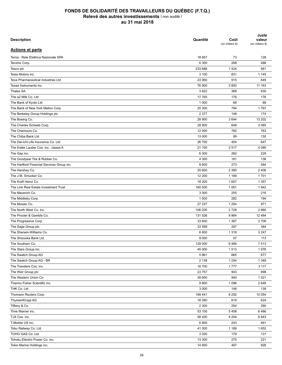| <b>Description</b>                         | Quantité | Coût<br>(en milliers \$) | Juste<br>valeur<br>(en milliers \$) |
|--------------------------------------------|----------|--------------------------|-------------------------------------|
| <b>Actions et parts</b>                    |          |                          |                                     |
| Terna - Rete Elettrica Nazionale SPA       | 18 657   | 73                       | 128                                 |
| Terumo Corp.                               | 6 300    | 288                      | 486                                 |
| Tesco plc                                  | 233 688  | 1424                     | 991                                 |
| Tesla Motors inc.                          | 3 100    | 831                      | 1 1 4 5                             |
| Teva Pharmaceutical Industries Ltd         | 23 060   | 915                      | 649                                 |
| Texas Instruments inc.                     | 76 900   | 3850                     | 11 163                              |
| Thales SA                                  | 3822     | 368                      | 630                                 |
| The a2 Milk Co. Ltd                        | 17 765   | 176                      | 176                                 |
| The Bank of Kyoto Ltd                      | 1 0 0 0  | 68                       | 68                                  |
| The Bank of New York Mellon Corp.          | 25 300   | 794                      | 1797                                |
| The Berkeley Group Holdings plc            | 2 3 7 7  | 148                      | 174                                 |
| The Boeing Co.                             | 28 900   | 3644                     | 13 20 2                             |
| The Charles Schwab Corp.                   | 28 900   | 648                      | 2 0 8 5                             |
| The Chemours Co.                           | 12 000   | 780                      | 763                                 |
| The Chiba Bank Ltd                         | 13 000   | 99                       | 130                                 |
| The Dai-ichi Life Insurance Co. Ltd        | 26 700   | 404                      | 647                                 |
|                                            | 21 100   | 2517                     | 4 0 9 0                             |
| The Estée Lauder Cos. inc., classe A       |          |                          |                                     |
| The Gap inc.                               | 6 300    | 262                      | 229                                 |
| The Goodyear Tire & Rubber Co.             | 4 300    | 181                      | 136                                 |
| The Hartford Financial Services Group inc. | 8 600    | 273                      | 584                                 |
| The Hershey Co.                            | 20 600   | 2 3 9 0                  | 2 4 0 6                             |
| The J.M. Smucker Co.                       | 12 200   | 1 1 6 9                  | 1701                                |
| The Kraft Heinz Co.                        | 18 200   | 1657                     | 1 3 5 7                             |
| The Link Real Estate Investment Trust      | 160 500  | 1 0 6 1                  | 1842                                |
| The Macerich Co.                           | 3 0 0 0  | 255                      | 216                                 |
| The Middleby Corp.                         | 1 500    | 282                      | 194                                 |
| The Mosaic Co.                             | 27 237   | 1 2 5 4                  | 971                                 |
| The North West Co. inc.                    | 106 200  | 2728                     | 2 9 8 0                             |
| The Procter & Gamble Co.                   | 131 526  | 9964                     | 12 4 8 4                            |
| The Progressive Corp.                      | 33 600   | 1 3 6 7                  | 2706                                |
| The Sage Group plc                         | 33 599   | 297                      | 384                                 |
| The Sherwin-Williams Co.                   | 6 600    | 1 3 1 9                  | 3 2 4 7                             |
| The Shizuoka Bank Ltd                      | 9 0 0 0  | 97                       | 113                                 |
| The Southern Co.                           | 129 000  | 6489                     | 7513                                |
| The Stars Group inc.                       | 45 000   | 1513                     | 1976                                |
| The Swatch Group AG                        | 5861     | 665                      | 677                                 |
| The Swatch Group AG - BR                   | 2 1 3 8  | 1 2 5 4                  | 1 3 4 9                             |
| The Travelers Cos. inc.                    | 18700    | 1777                     | 3 1 1 7                             |
| The Weir Group plc                         | 23 757   | 943                      | 898                                 |
| The Western Union Co.                      | 39 600   | 940                      | 1 0 2 1                             |
| Thermo Fisher Scientific inc.              | 9800     | 1 0 9 6                  | 2 6 4 8                             |
| THK Co. Ltd                                | 3 0 0 0  | 148                      | 139                                 |
| Thomson Reuters Corp.                      | 199 441  | 8 2 9 2                  | 10 054                              |
| ThyssenKrupp AG                            | 18 280   | 619                      | 624                                 |
| Tiffany & Co.                              | 2 3 0 0  | 254                      | 390                                 |
| Time Warner inc.                           | 53 100   | 5408                     | 6486                                |
| TJX Cos. inc.                              | 58 400   | 4 204                    | 6843                                |
| T-Mobile US inc.                           | 6800     | 243                      | 491                                 |
| Tobu Railway Co. Ltd                       | 41 000   | 1 1 8 9                  | 1652                                |
| TOHO GAS Co. Ltd                           | 3 200    | 179                      | 131                                 |
| Tohoku Electric Power Co. inc.             | 13 300   | 275                      | 221                                 |
| Tokio Marine Holdings inc.                 | 14 800   | 497                      | 926                                 |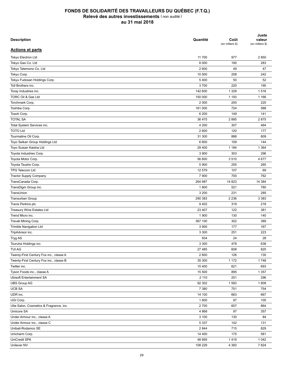| <b>Description</b>                      | Quantité | Coût<br>(en milliers \$) | Juste<br>valeur<br>(en milliers \$) |
|-----------------------------------------|----------|--------------------------|-------------------------------------|
| <b>Actions et parts</b>                 |          |                          |                                     |
| Tokyo Electron Ltd                      | 11 700   | 977                      | 2850                                |
| Tokyo Gas Co. Ltd                       | 8 0 0 0  | 190                      | 283                                 |
| Tokyo Tatemono Co. Ltd                  | 2 600    | 49                       | 47                                  |
| Tokyu Corp.                             | 10 500   | 208                      | 242                                 |
| Tokyu Fudosan Holdings Corp.            | 5 4 0 0  | 50                       | 52                                  |
| Toll Brothers inc.                      | 3700     | 220                      | 190                                 |
| Toray Industries inc.                   | 142 600  | 1 3 2 9                  | 1516                                |
| TORC Oil & Gas Ltd                      | 150 000  | 1 1 9 3                  | 1 1 6 6                             |
| Torchmark Corp.                         | 2 0 0 0  | 200                      | 220                                 |
| Toshiba Corp.                           | 161 000  | 724                      | 588                                 |
| Tosoh Corp.                             | 6 200    | 149                      | 141                                 |
| <b>TOTAL SA</b>                         | 36 475   | 2885                     | 2875                                |
| Total System Services inc.              | 4 200    | 307                      | 464                                 |
| <b>TOTO Ltd</b>                         | 2 600    | 120                      | 177                                 |
|                                         |          |                          |                                     |
| Tourmaline Oil Corp.                    | 31 300   | 888                      | 809                                 |
| Toyo Seikan Group Holdings Ltd          | 6 600    | 109                      | 144                                 |
| Toyo Suisan Kaisha Ltd                  | 29 400   | 1 1 8 4                  | 1 3 6 4                             |
| Toyota Industries Corp.                 | 3 9 0 0  | 303                      | 296                                 |
| Toyota Motor Corp.                      | 56 600   | 3510                     | 4 6 7 7                             |
| Toyota Tsusho Corp.                     | 5 9 0 0  | 255                      | 265                                 |
| TPG Telecom Ltd                         | 12 579   | 107                      | 69                                  |
| <b>Tractor Supply Company</b>           | 7 9 0 0  | 700                      | 762                                 |
| TransCanada Corp.                       | 264 987  | 14 823                   | 14 3 84                             |
| TransDigm Group inc.                    | 1800     | 521                      | 780                                 |
| TransUnion                              | 3 2 0 0  | 231                      | 285                                 |
| Transurban Group                        | 290 383  | 2 2 3 6                  | 3 3 8 3                             |
| Travis Perkins plc                      | 9402     | 319                      | 218                                 |
| <b>Treasury Wine Estates Ltd</b>        | 23 407   | 122                      | 381                                 |
| Trend Micro inc.                        | 1 900    | 130                      | 140                                 |
| Trevali Mining Corp.                    | 367 100  | 302                      | 389                                 |
| <b>Trimble Navigation Ltd</b>           | 3 9 0 0  | 177                      | 167                                 |
| TripAdvisor inc.                        | 3 3 0 0  | 251                      | 223                                 |
| Tryg AS                                 | 934      | 24                       | 28                                  |
| Tsuruha Holdings inc.                   | 3 3 0 0  | 478                      | 638                                 |
| <b>TUI AG</b>                           | 27 485   | 608                      | 825                                 |
| Twenty-First Century Fox inc., classe A | 2 600    | 126                      | 130                                 |
| Twenty-First Century Fox inc., classe B | 35 300   | 1 1 7 2                  | 1748                                |
| Twitter inc.                            | 15 400   | 621                      | 693                                 |
| Tyson Foods inc., classe A              | 15 500   | 895                      | 1 3 5 7                             |
| <b>Ubisoft Entertainment SA</b>         | 2 110    | 251                      | 296                                 |
| <b>UBS Group AG</b>                     | 92 302   | 1583                     | 1809                                |
| <b>UCB SA</b>                           | 7 3 8 0  | 751                      | 754                                 |
| UDR inc.                                | 14 100   | 663                      | 667                                 |
| UGI Corp.                               | 1600     | 97                       | 105                                 |
| Ulta Salon, Cosmetics & Fragrance, inc. | 2700     | 607                      | 864                                 |
| Umicore SA                              | 4 8 6 8  | 97                       | 357                                 |
| Under Armour inc., classe A             | 3 100    | 130                      | 84                                  |
| Under Armour inc., classe C             | 5 3 3 7  | 142                      | 131                                 |
| Unibail-Rodamco SE                      | 2 8 4 4  | 715                      | 829                                 |
| Unicharm Corp.                          | 14 400   | 175                      | 581                                 |
| UniCredit SPA                           | 48 695   | 1419                     | 1 0 4 2                             |
| Unilever NV                             | 108 229  | 4 3 8 3                  | 7824                                |
|                                         |          |                          |                                     |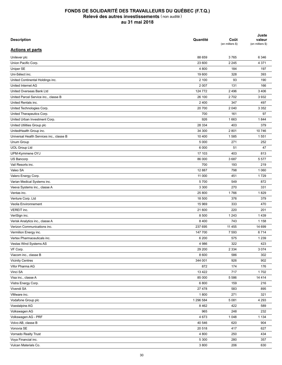| <b>Description</b>                       | Quantité  | Coût<br>(en milliers \$) | Juste<br>valeur<br>(en milliers \$) |
|------------------------------------------|-----------|--------------------------|-------------------------------------|
| <b>Actions et parts</b>                  |           |                          |                                     |
| Unilever plc                             | 88 659    | 3765                     | 6 3 4 6                             |
| Union Pacific Corp.                      | 23 600    | 2 2 4 5                  | 4 3 7 1                             |
| Uniper SE                                | 4 800     | 184                      | 197                                 |
| Uni-Sélect inc.                          | 19 600    | 328                      | 393                                 |
| United Continental Holdings inc.         | 2 100     | 93                       | 190                                 |
| United Internet AG                       | 2 0 0 7   | 131                      | 166                                 |
| United Overseas Bank Ltd                 | 124 772   | 2 4 9 6                  | 3 4 0 6                             |
| United Parcel Service inc., classe B     | 26 100    | 2702                     | 3932                                |
| United Rentals inc.                      | 2 4 0 0   | 347                      | 497                                 |
| United Technologies Corp.                | 20 700    | 2 0 4 0                  | 3 3 5 2                             |
| United Therapeutics Corp.                | 700       | 161                      | 97                                  |
| United Urban Investment Corp.            | 926       | 1663                     | 1844                                |
| United Utilities Group plc               | 28 334    | 403                      | 379                                 |
| UnitedHealth Group inc.                  | 34 300    | 2 8 0 1                  | 10746                               |
| Universal Health Services inc., classe B | 10 400    | 1585                     | 1551                                |
| Unum Group                               | 5 0 0 0   | 271                      | 252                                 |
| <b>UOL Group Ltd</b>                     | 6 0 0 0   | 51                       | 47                                  |
| UPM-Kymmene OYJ                          | 17 103    | 403                      | 813                                 |
| US Bancorp                               | 86 000    | 3687                     | 5577                                |
| Vail Resorts inc.                        | 700       | 193                      | 219                                 |
| Valeo SA                                 | 12 887    | 798                      | 1 0 6 0                             |
| Valero Energy Corp.                      | 11 000    | 451                      | 1729                                |
| Varian Medical Systems inc.              | 5700      | 549                      | 872                                 |
| Veeva Systems inc., classe A             | 3 3 0 0   | 270                      | 331                                 |
| Ventas inc.                              | 25 800    | 1766                     | 1829                                |
| Venture Corp. Ltd                        | 18 500    | 376                      | 379                                 |
| Veolia Environnement                     | 15 969    | 333                      | 470                                 |
| VEREIT inc.                              | 21 600    | 220                      | 201                                 |
| VeriSign inc.                            | 8 500     | 1 2 4 3                  | 1439                                |
| Verisk Analytics inc., classe A          | 8 4 0 0   | 743                      | 1 1 5 8                             |
| Verizon Communications inc.              | 237 695   | 11 4 5 5                 | 14 699                              |
| Vermilion Energy inc.                    |           |                          |                                     |
|                                          | 147 700   | 7 5 9 3                  | 6714                                |
| Vertex Pharmaceuticals inc.              | 6 200     | 575                      | 1 2 3 9                             |
| Vestas Wind Systems AS                   | 4 9 8 6   | 322                      | 423                                 |
| VF Corp.                                 | 29 200    | 2 3 3 4                  | 3 0 7 4                             |
| Viacom inc., classe B                    | 8 600     | 586                      | 302                                 |
| <b>Vicinity Centres</b>                  | 344 001   | 926                      | 902                                 |
| Vifor Pharma AG                          | 872       | 174                      | 176                                 |
| Vinci SA                                 | 13 4 22   | 717                      | 1702                                |
| Visa inc., classe A                      | 85 000    | 5 5 8 6                  | 14 4 14                             |
| Vistra Energy Corp.                      | 6800      | 159                      | 216                                 |
| Vivendi SA                               | 27 478    | 583                      | 895                                 |
| VMware inc.                              | 1800      | 271                      | 321                                 |
| Vodafone Group plc                       | 1 296 584 | 5 0 8 1                  | 4 2 9 3                             |
| Voestalpine AG                           | 8 4 6 2   | 422                      | 589                                 |
| Volkswagen AG                            | 965       | 248                      | 232                                 |
| Volkswagen AG - PRF                      | 4 6 7 3   | 1 0 4 8                  | 1 1 3 4                             |
| Volvo AB, classe B                       | 40 546    | 620                      | 904                                 |
| Vonovia SE                               | 20 518    | 417                      | 627                                 |
| Vornado Realty Trust                     | 4 8 0 0   | 250                      | 434                                 |
| Voya Financial inc.                      | 5 3 0 0   | 280                      | 357                                 |
| Vulcan Materials Co.                     | 3 800     | 206                      | 630                                 |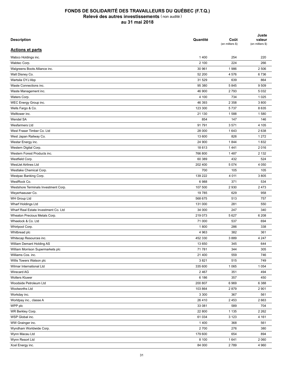| <b>Description</b>                   | Quantité | Coût<br>(en milliers \$) | Juste<br>valeur<br>(en milliers \$) |
|--------------------------------------|----------|--------------------------|-------------------------------------|
| <b>Actions et parts</b>              |          |                          |                                     |
| Wabco Holdings inc.                  | 1400     | 254                      | 220                                 |
| Wabtec Corp.                         | 2 100    | 224                      | 266                                 |
| Walgreens Boots Alliance inc.        | 30 961   | 1986                     | 2 506                               |
| Walt Disney Co.                      | 52 200   | 4576                     | 6736                                |
| Wartsila OYJ Abp                     | 31 529   | 639                      | 864                                 |
| Waste Connections inc.               | 95 380   | 5845                     | 9509                                |
| Waste Management inc.                | 46 900   | 2793                     | 5 0 3 2                             |
| Waters Corp.                         | 4 100    | 734                      | 1 0 2 5                             |
| WEC Energy Group inc.                | 46 393   | 2 3 5 8                  | 3800                                |
| Wells Fargo & Co.                    | 123 300  | 5737                     | 8 6 3 5                             |
| Welltower inc.                       | 21 130   | 1588                     | 1580                                |
| Wendel SA                            | 854      | 147                      | 146                                 |
| Wesfarmers Ltd                       | 91791    | 3571                     | 4 105                               |
| West Fraser Timber Co. Ltd.          | 28 000   | 1643                     | 2 6 3 8                             |
| West Japan Railway Co.               | 13 600   | 826                      | 1 2 7 2                             |
| Westar Energy inc.                   | 24 900   | 1844                     | 1832                                |
| Western Digital Corp.                | 18 613   | 1441                     | 2016                                |
| Western Forest Products inc.         | 766 800  | 1487                     | 2 1 3 2                             |
| Westfield Corp.                      | 60 389   | 432                      | 524                                 |
| WestJet Airlines Ltd                 | 202 400  | 5 0 7 4                  | 4 0 5 0                             |
| Westlake Chemical Corp.              | 700      | 105                      | 105                                 |
| Westpac Banking Corp.                | 139 222  | 4 0 1 1                  | 3805                                |
| WestRock Co.                         | 6988     | 371                      | 534                                 |
|                                      |          |                          |                                     |
| Westshore Terminals Investment Corp. | 107 500  | 2930                     | 2473                                |
| Weyerhaeuser Co.                     | 19785    | 629                      | 958                                 |
| WH Group Ltd                         | 568 675  | 513                      | 757                                 |
| Wharf Holdings Ltd                   | 131 000  | 281                      | 550                                 |
| Wharf Real Estate Investment Co. Ltd | 34 000   | 247                      | 340                                 |
| Wheaton Precious Metals Corp.        | 219 073  | 5 6 27                   | 6 2 0 8                             |
| Wheelock & Co. Ltd                   | 71 000   | 537                      | 694                                 |
| Whirlpool Corp.                      | 1800     | 286                      | 338                                 |
| Whitbread plc                        | 4 9 63   | 382                      | 361                                 |
| Whitecap Resources inc.              | 452 330  | 3889                     | 4 2 4 7                             |
| William Demant Holding AS            | 13 650   | 345                      | 644                                 |
| William Morrison Supermarkets plc    | 71 781   | 344                      | 305                                 |
| Williams Cos. inc.                   | 21 400   | 559                      | 746                                 |
| Willis Towers Watson plc             | 3821     | 515                      | 749                                 |
| Wilmar International Ltd             | 335 600  | 1 0 6 5                  | 1 0 5 4                             |
| Wirecard AG                          | 2 4 6 7  | 351                      | 494                                 |
| <b>Wolters Kluwer</b>                | 6 186    | 357                      | 450                                 |
| Woodside Petroleum Ltd               | 200 807  | 6969                     | 6 3 8 8                             |
| Woolworths Ltd                       | 103 864  | 2879                     | 2 9 0 1                             |
| Workday inc.                         | 3 3 0 0  | 367                      | 561                                 |
| Worldpay inc., classe A              | 26 410   | 2 4 5 3                  | 2 6 6 3                             |
| WPP plc                              | 33 081   | 589                      | 704                                 |
| WR Berkley Corp.                     | 22 800   | 1 1 3 5                  | 2 2 6 2                             |
| WSP Global inc.                      | 61 034   | 3 1 2 3                  | 4 1 6 1                             |
| WW Grainger inc.                     | 1400     | 368                      | 561                                 |
| Wyndham Worldwide Corp.              | 2700     | 276                      | 380                                 |
| Wynn Macau Ltd                       | 179 600  | 654                      | 894                                 |
| Wynn Resort Ltd                      | 8 100    | 1641                     | 2 0 6 0                             |
| Xcel Energy inc.                     | 84 000   | 2789                     | 4 9 6 0                             |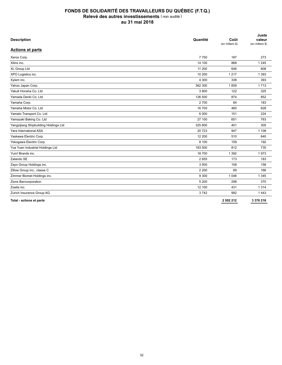| <b>Description</b>                    | Quantité | Coût<br>(en milliers \$) | Juste<br>valeur<br>(en milliers \$) |
|---------------------------------------|----------|--------------------------|-------------------------------------|
| <b>Actions et parts</b>               |          |                          |                                     |
| Xerox Corp.                           | 7750     | 187                      | 273                                 |
| Xilinx inc.                           | 14 100   | 868                      | 1 2 4 5                             |
| XL Group Ltd                          | 11 200   | 646                      | 808                                 |
| XPO Logistics inc.                    | 10 200   | 1 2 1 7                  | 1 3 9 3                             |
| Xylem inc.                            | 4 300    | 338                      | 393                                 |
| Yahoo Japan Corp.                     | 362 300  | 1859                     | 1713                                |
| Yakult Honsha Co. Ltd                 | 3800     | 122                      | 325                                 |
| Yamada Denki Co. Ltd                  | 126 500  | 874                      | 852                                 |
| Yamaha Corp.                          | 2700     | 84                       | 183                                 |
| Yamaha Motor Co. Ltd                  | 16 700   | 460                      | 628                                 |
| Yamato Transport Co. Ltd              | 6 0 0 0  | 151                      | 224                                 |
| Yamazaki Baking Co. Ltd               | 27 100   | 651                      | 763                                 |
| Yangzijiang Shipbuilding Holdings Ltd | 325 800  | 401                      | 305                                 |
| Yara International ASA                | 20 723   | 947                      | 1 1 0 8                             |
| Yaskawa Electric Corp.                | 12 200   | 510                      | 640                                 |
| Yokogawa Electric Corp.               | 8 100    | 159                      | 192                                 |
| Yue Yuen Industrial Holdings Ltd      | 183 500  | 812                      | 735                                 |
| Yum! Brands inc.                      | 18700    | 1 3 9 2                  | 1973                                |
| Zalando SE                            | 2655     | 173                      | 183                                 |
| Zayo Group Holdings inc.              | 3 500    | 158                      | 158                                 |
| Zillow Group inc., classe C           | 2 2 0 0  | 69                       | 166                                 |
| Zimmer Biomet Holdings inc.           | 9 3 0 0  | 1 0 4 8                  | 1 3 4 5                             |
| Zions Bancorporation                  | 5 200    | 298                      | 370                                 |
| Zoetis inc.                           | 12 100   | 431                      | 1 3 1 4                             |
| Zurich Insurance Group AG             | 3742     | 992                      | 1443                                |
| Total - actions et parts              |          | 2 502 212                | 3 376 216                           |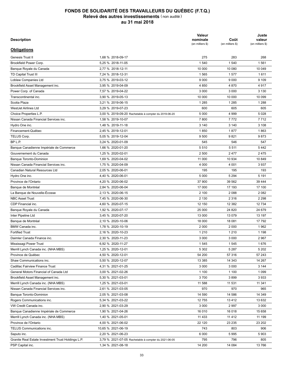| Description                                        |                                                      | <b>Valeur</b><br>nominale<br>(en milliers \$) | Coût<br>(en milliers \$) | Juste<br>valeur<br>(en milliers \$) |
|----------------------------------------------------|------------------------------------------------------|-----------------------------------------------|--------------------------|-------------------------------------|
| <b>Obligations</b>                                 |                                                      |                                               |                          |                                     |
| Genesis Trust II                                   | 1.68 % 2018-09-17                                    | 275                                           | 283                      | 268                                 |
| Brookfield Power Corp.                             | 5,25 % 2018-11-05                                    | 1 540                                         | 1 5 4 0                  | 1561                                |
| Banque Royale du Canada                            | 2,77 % 2018-12-11                                    | 10 000                                        | 10 080                   | 10 049                              |
| TD Capital Trust III                               | 7,24 % 2018-12-31                                    | 1565                                          | 1577                     | 1611                                |
| Loblaw Companies Ltd                               | 3,75 % 2019-03-12                                    | 9 0 0 0                                       | 9 0 0 0                  | 9 1 0 9                             |
| Brookfield Asset Management inc.                   | 3,95 % 2019-04-09                                    | 4 8 5 0                                       | 4 8 7 0                  | 4917                                |
| Power Corp. of Canada                              | 7,57 % 2019-04-22                                    | 3 0 0 0                                       | 3 0 0 0                  | 3 1 3 0                             |
| Transcontinental inc.                              | 3.90 % 2019-05-13                                    | 10 000                                        | 10 000                   | 10 099                              |
| Scotia Plaza                                       | 3,21 % 2019-06-15                                    | 1 2 8 5                                       | 1 2 8 5                  | 1 2 8 8                             |
| <b>WestJet Airlines Ltd</b>                        | 3,29 % 2019-07-23                                    | 600                                           | 605                      | 605                                 |
| Choice Properties L.P.                             | 3,00 % 2019-09-20 Rachetable à compter du 2019-06-20 | 5 0 0 0                                       | 4 9 9 9                  | 5 0 28                              |
| Nissan Canada Financial Services inc.              | 1,58 % 2019-10-07                                    | 7800                                          | 7772                     | 7712                                |
| Hydro One inc.                                     | 1,48 % 2019-11-18                                    | 3 1 4 0                                       | 3 1 4 0                  | 3 1 0 8                             |
| Financement-Québec                                 | 2,45 % 2019-12-01                                    | 1850                                          | 1877                     | 1863                                |
| TELUS Corp.                                        | 5.05 % 2019-12-04                                    | 9 500                                         | 9821                     | 9873                                |
| BP L.P.                                            | 3,24 % 2020-01-09                                    | 545                                           | 546                      | 547                                 |
| Banque Canadienne Impériale de Commerce            | 1,66 % 2020-01-20                                    | 5510                                          | 5 5 1 1                  | 5442                                |
| Gouvernement du Canada                             | 1,25 % 2020-02-01                                    | 2 500                                         | 2477                     | 2475                                |
| <b>Banque Toronto-Dominion</b>                     | 1,69 % 2020-04-02                                    | 11 000                                        | 10 934                   | 10 849                              |
| Nissan Canada Financial Services inc.              | 1,75 % 2020-04-09                                    | 4 0 0 0                                       | 4 0 0 1                  | 3937                                |
| Canadian Natural Resources Ltd                     | 2,05 % 2020-06-01                                    | 195                                           | 195                      | 193                                 |
| Hydro One inc.                                     | 4,40 % 2020-06-01                                    | 5 0 0 0                                       | 5 2 9 4                  | 5 1 9 1                             |
| Province de l'Ontario                              | 4,20 % 2020-06-02                                    | 37 900                                        | 39 562                   | 39 444                              |
| Banque de Montréal                                 | 2,84 % 2020-06-04                                    | 17 000                                        | 17 193                   | 17 100                              |
| La Banque de Nouvelle-Écosse                       | 2,13 % 2020-06-15                                    | 2 100                                         | 2 0 8 8                  | 2 0 8 2                             |
| <b>NBC Asset Trust</b>                             | 7,45 % 2020-06-30                                    | 2 1 3 0                                       | 2 3 1 6                  | 2 2 9 8                             |
| CDP Financial inc.                                 | 4,60 % 2020-07-15                                    | 12 150                                        | 12 3 8 2                 | 12 7 34                             |
|                                                    |                                                      |                                               |                          |                                     |
| Banque Royale du Canada                            | 1,92 % 2020-07-17                                    | 25 000                                        | 24 8 20                  | 24 679                              |
| Inter Pipeline Ltd                                 | 3,45 % 2020-07-20                                    | 13 000                                        | 13 079                   | 13 197                              |
| Banque de Montréal                                 | 2,10 % 2020-10-06                                    | 18 000                                        | 18 081                   | 17792                               |
| BMW Canada inc.                                    | 1,78 % 2020-10-19                                    | 2 0 0 0                                       | 2 0 0 0                  | 1962                                |
| <b>Fortified Trust</b>                             | 2,16 % 2020-10-23                                    | 1 2 1 0                                       | 1 2 1 0                  | 1 1 9 8                             |
| Daimler Canada Finance inc.                        | 2,30 % 2020-11-23                                    | 3 0 0 0                                       | 3 0 0 0                  | 2967                                |
| Mississagi Power Trust                             | 6,92 % 2020-11-27                                    | 1545                                          | 1545                     | 1676                                |
| Merrill Lynch Canada inc. (NHA MBS)                | 1,25 % 2020-12-01                                    | 5 3 0 2                                       | 5 2 8 7                  | 5 2 0 2                             |
| Province de Québec                                 | 4,50 % 2020-12-01                                    | 54 200                                        | 57 316                   | 57 243                              |
| Shaw Communications inc.                           | 5,50 % 2020-12-07                                    | 13 3 8 5                                      | 14 343                   | 14 267                              |
| Cadillac Fairview Finance Trust                    | 4,31 % 2021-01-25                                    | 3 0 0 0                                       | 3 0 0 0                  | 3 1 4 4                             |
| General Motors Financial of Canada Ltd             | 3,00 % 2021-02-26                                    | 1 100                                         | 1 100                    | 1 0 9 9                             |
| Brookfield Asset Management inc.                   | 5,30 % 2021-03-01                                    | 3700                                          | 3899                     | 3933                                |
| Merrill Lynch Canada inc. (NHA MBS)                | 1,25 % 2021-03-01                                    | 11 588                                        | 11 531                   | 11 341                              |
| Nissan Canada Financial Services inc.              | 2,61 % 2021-03-05                                    | 970                                           | 970                      | 965                                 |
| <b>Banque Toronto-Dominion</b>                     | 2,05 % 2021-03-08                                    | 14 590                                        | 14 586                   | 14 349                              |
| Rogers Communications inc.                         | 5,34 % 2021-03-22                                    | 12755                                         | 13412                    | 13 632                              |
| VW Credit Canada inc.                              | 2,90 % 2021-03-29                                    | 3 0 0 0                                       | 2997                     | 3 0 0 0                             |
| Banque Canadienne Impériale de Commerce            | 1,90 % 2021-04-26                                    | 16 010                                        | 16 018                   | 15 658                              |
| Merrill Lynch Canada inc. (NHA MBS)                | 1,40 % 2021-05-01                                    | 11 4 3 3                                      | 11 4 12                  | 11 199                              |
| Province de l'Ontario                              | 4,00 % 2021-06-02                                    | 22 120                                        | 23 235                   | 23 202                              |
| TELUS Communications inc.                          | 10,65 % 2021-06-19                                   | 743                                           | 803                      | 906                                 |
| Saputo inc.                                        | 2,20 % 2021-06-23                                    | 6 000                                         | 5995                     | 5903                                |
| Granite Real Estate Investment Trust Holdings L.P. | 3,79 % 2021-07-05 Rachetable à compter du 2021-06-05 | 795                                           | 796                      | 805                                 |
| PSP Capital inc.                                   | 1,34 % 2021-08-18                                    | 14 200                                        | 14 084                   | 13766                               |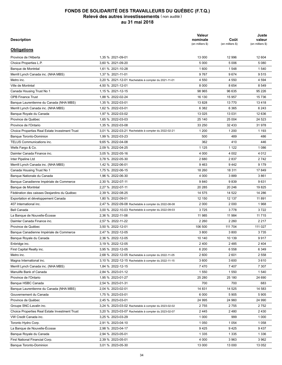| Description                                           |                                                      | <b>Valeur</b><br>nominale<br>(en milliers \$) | Coût<br>(en milliers \$) | Juste<br>valeur<br>(en milliers \$) |
|-------------------------------------------------------|------------------------------------------------------|-----------------------------------------------|--------------------------|-------------------------------------|
| <b>Obligations</b>                                    |                                                      |                                               |                          |                                     |
| Province de l'Alberta                                 | 1.35 % 2021-09-01                                    | 13 000                                        | 12 996                   | 12 604                              |
| Choice Properties L.P.                                | 3,60 % 2021-09-20                                    | 5 0 0 0                                       | 5 0 0 6                  | 5 0 8 0                             |
| Banque de Montréal                                    | 1,61 % 2021-10-28                                    | 1600                                          | 1548                     | 1 5 4 0                             |
| Merrill Lynch Canada inc. (NHA MBS)                   | 1,37 % 2021-11-01                                    | 9767                                          | 9674                     | 9515                                |
| Metro inc.                                            | 3,20 % 2021-12-01 Rachetable à compter du 2021-11-01 | 4 5 5 0                                       | 4 5 5 0                  | 4 5 9 4                             |
| Ville de Montréal                                     | 4,50 % 2021-12-01                                    | 8 0 0 0                                       | 8 6 5 4                  | 8 5 4 9                             |
| Canada Housing Trust No 1                             | 1,15 % 2021-12-15                                    | 98 965                                        | 96 635                   | 95 226                              |
| <b>OPB Finance Trust</b>                              | 1,88 % 2022-02-24                                    | 16 130                                        | 15 957                   | 15 736                              |
| Banque Laurentienne du Canada (NHA MBS)               | 1,35 % 2022-03-01                                    | 13828                                         | 13 770                   | 13418                               |
| Merrill Lynch Canada inc. (NHA MBS)                   | 1,62 % 2022-03-01                                    | 6 3 8 2                                       | 6 3 6 5                  | 6 2 4 3                             |
| Banque Royale du Canada                               | 1,97 % 2022-03-02                                    | 13 0 25                                       | 13 0 31                  | 12 636                              |
| Province de Québec                                    | 1,65 % 2022-03-03                                    | 25 140                                        | 25 004                   | 24 5 23                             |
| Province de l'Ontario                                 | 1,35 % 2022-03-08                                    | 33 250                                        | 32 433                   | 31 978                              |
| Choice Properties Real Estate Investment Trust        | 3,01 % 2022-03-21 Rachetable à compter du 2022-02-21 | 1 200                                         | 1 200                    | 1 1 9 3                             |
| Banque Toronto-Dominion                               | 1,99 % 2022-03-23                                    | 500                                           | 489                      | 486                                 |
| TELUS Communications inc.                             | 9,65 % 2022-04-08                                    | 362                                           | 410                      | 446                                 |
| Wells Fargo & Co.                                     | 2,09 % 2022-04-25                                    | 1 1 2 5                                       | 1 1 2 2                  | 1 0 8 6                             |
| Daimler Canada Finance inc.                           | 3,05 % 2022-05-16                                    | 4 0 0 0                                       | 4 0 0 2                  | 4 0 1 2                             |
| Inter Pipeline Ltd                                    | 3,78 % 2022-05-30                                    | 2680                                          | 2837                     | 2 7 4 2                             |
| Merrill Lynch Canada inc. (NHA MBS)                   | 1,42 % 2022-06-01                                    | 9463                                          | 9442                     | 9 1 7 9                             |
| Canada Housing Trust No 1                             | 1,75 % 2022-06-15                                    | 18 260                                        | 18 311                   | 17849                               |
| Banque Nationale du Canada                            | 1,96 % 2022-06-30                                    | 4 0 0 0                                       | 3889                     | 3861                                |
| Banque Canadienne Impériale de Commerce               | 2,30 % 2022-07-11                                    | 9840                                          | 9839                     | 9631                                |
| Banque de Montréal                                    | 2,27 % 2022-07-11                                    | 20 285                                        | 20 24 6                  | 19825                               |
| Fédération des caisses Desjardins du Québec           | 2,39 % 2022-08-25                                    | 14 575                                        | 14 522                   | 14 28 6                             |
| Exportation et développement Canada                   | 1,80 % 2022-09-01                                    | 12 150                                        | 12 137                   | 11891                               |
| 407 International inc.                                | 2,47 % 2022-09-08 Rachetable à compter du 2022-08-08 | 2 0 0 0                                       | 2 0 0 0                  | 1968                                |
| <b>Bell Canada</b>                                    | 3,00 % 2022-10-03 Rachetable à compter du 2022-09-03 | 3725                                          | 3778                     | 3722                                |
| La Banque de Nouvelle-Écosse                          | 2,36 % 2022-11-08                                    | 11 985                                        | 11 984                   | 11 7 15                             |
| Daimler Canada Finance inc.                           | 2,57 % 2022-11-22                                    | 2 2 6 0                                       | 2 2 6 0                  | 2 2 1 7                             |
| Province de Québec                                    | 3,50 % 2022-12-01                                    | 106 500                                       | 111 704                  | 111 027                             |
| Banque Canadienne Impériale de Commerce               | 2.47 % 2022-12-05                                    | 3800                                          | 3800                     | 3735                                |
| Banque Royale du Canada                               | 2,36 % 2022-12-05                                    | 10 140                                        | 10 139                   | 9917                                |
|                                                       | 3,19 % 2022-12-05                                    | 2400                                          | 2485                     | 2 4 0 4                             |
| Enbridge inc.<br>First Capital Realty inc.            | 3,95 % 2022-12-05                                    | 6 200                                         | 6 5 5 8                  | 6 3 4 9                             |
| Metro inc.                                            | 2,68 % 2022-12-05 Rachetable à compter du 2022-11-05 | 2 600                                         | 2601                     | 2 5 5 8                             |
| Magna International inc.                              |                                                      | 3 600                                         | 3 600                    | 3610                                |
|                                                       | 3,10 % 2022-12-15 Rachetable à compter du 2022-11-15 | 7470                                          | 7407                     | 7 3 0 7                             |
| Merrill Lynch Canada inc. (NHA MBS)                   | 1,84 % 2022-12-15                                    |                                               |                          |                                     |
| Manulife Bank of Canada                               | 2,84 % 2023-01-12                                    | 1 550                                         | 1 5 5 0                  | 1 540                               |
| Province de l'Ontario                                 | 1,95 % 2023-01-27                                    | 25 280                                        | 25 180                   | 24 690                              |
| Banque HSBC Canada                                    | 2,54 % 2023-01-31                                    | 700                                           | 700                      | 683                                 |
| Banque Laurentienne du Canada (NHA MBS)               | 2,04 % 2023-02-01                                    | 14 831                                        | 14 525                   | 14 583                              |
| Gouvernement du Canada                                | 1,75 % 2023-03-01                                    | 6 0 0 0                                       | 5 9 0 5                  | 5905                                |
| Province de Québec                                    | 2,45 % 2023-03-01                                    | 24 995                                        | 24 960                   | 24 990                              |
| Groupe SNC-Lavalin inc.                               | 3,24 % 2023-03-02 Rachetable à compter du 2023-02-02 | 2755                                          | 2755                     | 2752                                |
| <b>Choice Properties Real Estate Investment Trust</b> | 3,20 % 2023-03-07 Rachetable à compter du 2023-02-07 | 2445                                          | 2480                     | 2 4 3 0                             |
| VW Credit Canada inc.                                 | 3,25 % 2023-03-29                                    | 1 0 0 0                                       | 999                      | 1 0 0 0                             |
| Toronto Hydro Corp.                                   | 2,91 % 2023-04-10                                    | 1 0 5 0                                       | 1 0 5 4                  | 1 0 5 8                             |
| La Banque de Nouvelle-Écosse                          | 2,98 % 2023-04-17                                    | 9425                                          | 9425                     | 9437                                |
| Banque Royale du Canada                               | 2,94 % 2023-05-01                                    | 1 3 3 5                                       | 1 3 3 5                  | 1 3 3 6                             |
| First National Financial Corp.                        | 2,39 % 2023-05-01                                    | 4 0 0 0                                       | 3 9 6 3                  | 3 9 6 2                             |
| Banque Toronto-Dominion                               | 3,01 % 2023-05-30                                    | 13 000                                        | 13 000                   | 13 052                              |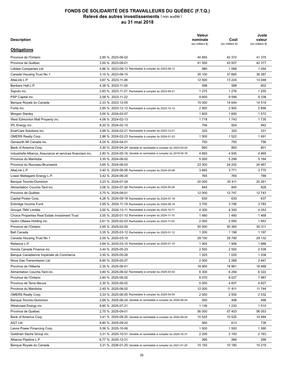| Description                                                  |                                                                  | Valeur<br>nominale<br>(en milliers \$) | Coût<br>(en milliers \$) | Juste<br>valeur<br>(en milliers \$) |
|--------------------------------------------------------------|------------------------------------------------------------------|----------------------------------------|--------------------------|-------------------------------------|
| <b>Obligations</b>                                           |                                                                  |                                        |                          |                                     |
| Province de l'Ontario                                        | 2,85 % 2023-06-02                                                | 40 855                                 | 42 372                   | 41 375                              |
| Province de Québec                                           | 3.00 % 2023-09-01                                                | 41 500                                 | 43 007                   | 42 377                              |
| Loblaw Companies Ltd                                         | 4,86 % 2023-09-12 Rachetable à compter du 2023-06-12             | 980                                    | 1 0 6 8                  | 1 0 5 4                             |
| Canada Housing Trust No 1                                    | 3,15 % 2023-09-15                                                | 35 100                                 | 37 665                   | 36 287                              |
| AltaLink L.P.                                                | 3,67 % 2023-11-06                                                | 12 500                                 | 13 2 24                  | 13 048                              |
| Bankers Hall L.P.                                            | 4,38 % 2023-11-20                                                | 598                                    | 598                      | 602                                 |
| Saputo inc.                                                  | 2.83 % 2023-11-21 Rachetable à compter du 2023-09-21             | 1 2 7 5                                | 1 2 7 6                  | 1 2 5 5                             |
| PSP Capital inc.                                             | 2,09 % 2023-11-22                                                | 9600                                   | 9 5 9 9                  | 9 3 3 8                             |
| Banque Royale du Canada                                      | 2,33 % 2023-12-05                                                | 15 000                                 | 14 644                   | 14 519                              |
| Fortis inc.                                                  | 2,85 % 2023-12-12 Rachetable à compter du 2023-10-12             | 2 9 0 0                                | 2 9 0 0                  | 2856                                |
| Morgan Stanley                                               | 3,00 % 2024-02-07                                                | 1600                                   | 1600                     | 1572                                |
| West Edmonton Mall Property inc.                             | 4,06 % 2024-02-13                                                | 1 7 1 8                                | 1743                     | 1735                                |
| IPL Energy inc.                                              | 8,20 % 2024-02-15                                                | 756                                    | 924                      | 942                                 |
| EnerCare Solutions inc.                                      | 3,99 % 2024-02-21 Rachetable à compter du 2023-12-21             | 325                                    | 325                      | 331                                 |
| <b>OMERS Realty Corp.</b>                                    | 2,86 % 2024-02-23 Rachetable à compter du 2024-01-23             | 1 500                                  | 1522                     | 1491                                |
| Genworth MI Canada inc.                                      | 4,24 % 2024-04-01                                                | 750                                    | 750                      | 756                                 |
| Bank of America Corp.                                        | 3,30 % 2024-04-24 Variable et rachetable à compter du 2023-04-24 | 800                                    | 800                      | 801                                 |
| Industrielle Alliance, Assurance et services financiers inc. | 2,80 % 2024-05-16 Variable et rachetable à compter du 2019-05-16 | 4 8 5 0                                | 4 9 3 5                  | 4 8 6 5                             |
| Province du Manitoba                                         | 3,30 % 2024-06-02                                                | 5 0 0 0                                | 5 2 9 9                  | 5 1 6 4                             |
| Province du Nouveau-Brunswick                                | 3,65 % 2024-06-03                                                | 23 300                                 | 24 25 2                  | 24 4 6 7                            |
| AltaLink L.P.                                                |                                                                  | 3 6 6 5                                | 3 7 7 1                  | 3770                                |
|                                                              | 3,40 % 2024-06-06 Rachetable à compter du 2024-03-06             |                                        |                          |                                     |
| Lower Mattagami Energy L.P.                                  | 3,42 % 2024-06-20                                                | 765                                    | 765                      | 788                                 |
| Banque Toronto-Dominion                                      | 3,23 % 2024-07-24                                                | 20 000                                 | 20 411                   | 20 261                              |
| Alimentation Couche-Tard inc.                                | 3,06 % 2024-07-26 Rachetable à compter du 2024-05-26             | 845                                    | 845                      | 828                                 |
| Province de Québec                                           | 3,75 % 2024-09-01                                                | 12 000                                 | 12747                    | 12743                               |
| Capital Power Corp.                                          | 4,28 % 2024-09-18 Rachetable à compter du 2024-07-18             | 630                                    | 630                      | 637                                 |
| Enbridge Income Fund                                         | 3,95 % 2024-11-19 Rachetable à compter du 2024-08-19             | 3700                                   | 3746                     | 3783                                |
| Groupe TMX Limitée                                           | 3,00 % 2024-12-11 Rachetable à compter du 2024-10-11             | 4 3 0 0                                | 4 300                    | 4 2 5 3                             |
| <b>Choice Properties Real Estate Investment Trust</b>        | 3,55 % 2025-01-10 Rachetable à compter du 2024-11-10             | 1480                                   | 1480                     | 1468                                |
| Hydro Ottawa Holding inc.                                    | 2,61 % 2025-02-03 Rachetable à compter du 2024-11-03             | 2 0 0 0                                | 2 0 0 0                  | 1953                                |
| Province de l'Ontario                                        | 2,65 % 2025-02-05                                                | 50 500                                 | 50 383                   | 50 311                              |
| <b>Bell Canada</b>                                           | 3.35 % 2025-03-12 Rachetable à compter du 2025-01-12             | 1 200                                  | 1 1 9 8                  | 1 1 9 7                             |
| Canada Housing Trust No 1                                    | 2,55 % 2025-03-15                                                | 29 100                                 | 29 790                   | 29 132                              |
| Reliance L.P.                                                | 3,84 % 2025-03-15 Rachetable à compter du 2025-01-15             | 1905                                   | 1906                     | 1888                                |
| Honda Canada Finance inc.                                    | 3,44 % 2025-05-23                                                | 2 500                                  | 2 500                    | 2 5 3 8                             |
| Banque Canadienne Impériale de Commerce                      | 3,30 % 2025-05-26                                                | 1 0 2 5                                | 1 0 2 5                  | 1 0 3 8                             |
| Nova Gas Transmission Ltd                                    | 8,90 % 2025-05-27                                                | 2 0 0 0                                | 2 2 6 8                  | 2647                                |
| Province de l'Alberta                                        | 2,35 % 2025-06-01                                                | 18 950                                 | 18 961                   | 18 4 68                             |
| Alimentation Couche-Tard inc.                                | 3,60 % 2025-06-02 Rachetable à compter du 2025-03-02             | 6 3 0 0                                | 6 2 9 4                  | 6 3 2 2                             |
| Province de l'Ontario                                        | 2,60 % 2025-06-02                                                | 8070                                   | 8 0 2 7                  | 7987                                |
| Province de Terre-Neuve                                      | 2,30 % 2025-06-02                                                | 5 0 0 0                                | 4 8 3 7                  | 4 8 27                              |
| Province du Manitoba                                         | 2,45 % 2025-06-02                                                | 12 000                                 | 11 811                   | 11 744                              |
| <b>OMERS Realty Corp.</b>                                    | 3,33 % 2025-06-05 Rachetable à compter du 2025-04-05             | 2 500                                  | 2 500                    | 2 5 3 2                             |
| Banque Toronto-Dominion                                      | 2,69 % 2025-06-24 Variable et rachetable à compter du 2020-06-24 | 500                                    | 498                      | 498                                 |
| Westcoast Energy inc.                                        | 8,85 % 2025-07-21                                                | 1 1 3 6                                | 1 2 3 3                  | 1510                                |
| Province de Québec                                           | 2,75 % 2025-09-01                                                | 56 000                                 | 57 403                   | 56 053                              |
| Bank of America Corp.                                        | 3,41 % 2025-09-20 Variable et rachetable à compter du 2024-09-20 | 10 525                                 | 10 525                   | 10 4 84                             |
| <b>AGT Ltd</b>                                               | 8,80 % 2025-09-22                                                | 560                                    | 613                      | 738                                 |
| Lievre Power Financing Corp.                                 | 5,56 % 2025-10-06                                                | 1 500                                  | 1 500                    | 1590                                |
| Goldman Sachs Group inc.                                     | 3,31 % 2025-10-31 Variable et rachetable à compter du 2024-10-31 | 2 2 0 0                                | 2 1 9 3                  | 2 1 6 3                             |
| Alliance Pipeline L.P.                                       | 6,77 % 2025-12-31                                                | 266                                    | 266                      | 299                                 |
| Banque Royale du Canada                                      | 3,31 % 2026-01-20 Variable et rachetable à compter du 2021-01-20 | 10 150                                 | 10 180                   | 10 219                              |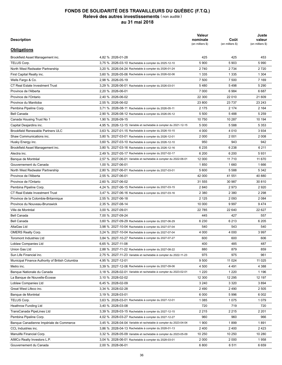| <b>Description</b>                              |                                                                  | Valeur<br>nominale<br>(en milliers \$) | Coût<br>(en milliers \$) | Juste<br>valeur<br>(en milliers \$) |
|-------------------------------------------------|------------------------------------------------------------------|----------------------------------------|--------------------------|-------------------------------------|
| <b>Obligations</b>                              |                                                                  |                                        |                          |                                     |
| Brookfield Asset Management inc.                | 4,82 % 2026-01-28                                                | 425                                    | 425                      | 453                                 |
| TELUS Corp.                                     | 3,75 % 2026-03-10 Rachetable à compter du 2025-12-10             | 5 9 0 0                                | 5903                     | 5990                                |
| North West Redwater Partnership                 | 3,20 % 2026-04-24 Rachetable à compter du 2026-01-24             | 2740                                   | 2 7 3 4                  | 2720                                |
| First Capital Realty inc.                       | 3,60 % 2026-05-06 Rachetable à compter du 2026-02-06             | 1 3 3 5                                | 1 3 3 5                  | 1 3 0 4                             |
| Wells Fargo & Co.                               | 2,98 % 2026-05-19                                                | 7 500                                  | 7 500                    | 7 1 6 9                             |
| <b>CT Real Estate Investment Trust</b>          | 3,29 % 2026-06-01 Rachetable à compter du 2026-03-01             | 5480                                   | 5498                     | 5 2 9 0                             |
| Province de l'Alberta                           | 2.20 % 2026-06-01                                                | 7 0 0 0                                | 6984                     | 6687                                |
| Province de l'Ontario                           | 2,40 % 2026-06-02                                                | 22 300                                 | 22 010                   | 21 609                              |
| Province du Manitoba                            | 2,55 % 2026-06-02                                                | 23 800                                 | 23 7 37                  | 23 24 3                             |
| Pembina Pipeline Corp.                          | 3,71 % 2026-08-11 Rachetable à compter du 2026-05-11             | 2 1 7 5                                | 2 1 7 4                  | 2 1 6 4                             |
| <b>Bell Canada</b>                              | 2,90 % 2026-08-12 Rachetable à compter du 2026-05-12             | 5 500                                  | 5488                     | 5 2 5 9                             |
| Canada Housing Trust No 1                       | 1,90 % 2026-09-15                                                | 10 750                                 | 10 287                   | 10 194                              |
| Capital Desjardins inc.                         | 4,95 % 2026-12-15 Variable et rachetable à compter du 2021-12-15 | 5 0 0 0                                | 5 5 8 8                  | 5 3 5 3                             |
| <b>Brookfield Renewable Partners ULC</b>        | 3,63 % 2027-01-15 Rachetable à compter du 2026-10-15             | 4 0 0 0                                | 4 0 1 0                  | 3 9 3 4                             |
| Shaw Communications inc.                        | 3,80 % 2027-03-01 Rachetable à compter du 2026-12-01             | 2 0 0 0                                | 2 0 0 1                  | 2 0 0 8                             |
| Husky Energy inc.                               | 3,60 % 2027-03-10 Rachetable à compter du 2026-12-10             | 950                                    | 943                      | 942                                 |
| Brookfield Asset Management inc.                | 3,80 % 2027-03-16 Rachetable à compter du 2026-12-16             | 6 2 3 5                                | 6 2 3 8                  | 6 2 1 1                             |
| Alectra inc.                                    | 2,49 % 2027-05-17 Rachetable à compter du 2027-02-17             | 6 200                                  | 6 200                    | 5931                                |
| Banque de Montréal                              | 2,57 % 2027-06-01 Variable et rachetable à compter du 2022-06-01 | 12 000                                 | 11 7 10                  | 11 670                              |
| Gouvernement du Canada                          | 1,00 % 2027-06-01                                                | 1850                                   | 1660                     | 1666                                |
| North West Redwater Partnership                 | 2,80 % 2027-06-01 Rachetable à compter du 2027-03-01             | 5 600                                  | 5 5 8 8                  | 5 3 4 2                             |
| Province de l'Alberta                           | 2,55 % 2027-06-01                                                | 42 000                                 | 41 551                   | 40 880                              |
| Province de l'Ontario                           | 2,60 % 2027-06-02                                                | 31 555                                 | 30 987                   | 30 810                              |
|                                                 |                                                                  | 2 8 4 0                                | 2973                     | 2920                                |
| Pembina Pipeline Corp.                          | 4,24 % 2027-06-15 Rachetable à compter du 2027-03-15             |                                        |                          |                                     |
| <b>CT Real Estate Investment Trust</b>          | 3,47 % 2027-06-16 Rachetable à compter du 2027-03-16             | 2 3 8 0                                | 2 3 8 0                  | 2 2 9 8                             |
| Province de la Colombie-Britannique             | 2,55 % 2027-06-18                                                | 2 1 2 5                                | 2 0 9 3                  | 2 0 8 4                             |
| Province du Nouveau-Brunswick                   | 2,35 % 2027-08-14                                                | 10 000                                 | 9997                     | 9474                                |
| Ville de Montréal                               | 3,00 % 2027-09-01                                                | 22 7 85                                | 22 640                   | 22 6 27                             |
| <b>Bell Canada</b>                              | 7,00 % 2027-09-24                                                | 445                                    | 427                      | 557                                 |
| <b>Bell Canada</b>                              | 3,60 % 2027-09-29 Rachetable à compter du 2027-06-29             | 6 2 3 0                                | 6 2 1 3                  | 6 2 0 5                             |
| AltaGas Ltd                                     | 3,98 % 2027-10-04 Rachetable à compter du 2027-07-04             | 540                                    | 543                      | 540                                 |
| <b>OMERS Realty Corp.</b>                       | 3,24 % 2027-10-04 Rachetable à compter du 2027-07-04             | 4 0 0 0                                | 4 0 0 0                  | 3 9 9 7                             |
| Toromont Industries Ltd                         | 3,84 % 2027-10-27 Rachetable à compter du 2027-07-27             | 600                                    | 600                      | 606                                 |
| Loblaw Companies Ltd                            | 6,65 % 2027-11-08                                                | 400                                    | 485                      | 487                                 |
| Union Gas Ltd                                   | 2,88 % 2027-11-22 Rachetable à compter du 2027-08-22             | 880                                    | 879                      | 859                                 |
| Sun Life Financial inc.                         | 2,75 % 2027-11-23 Variable et rachetable à compter du 2022-11-23 | 975                                    | 975                      | 961                                 |
| Municipal Finance Authority of British Columbia | 4,95 % 2027-12-01                                                | 9 500                                  | 11 0 24                  | 11 0 25                             |
| Metro inc.                                      | 3,39 % 2027-12-06 Rachetable à compter du 2027-09-06             | 4 500                                  | 4 4 9 1                  | 4 3 8 8                             |
| Banque Nationale du Canada                      | 3,18 % 2028-02-01 Variable et rachetable à compter du 2023-02-01 | 1 2 2 0                                | 1 2 2 0                  | 1 1 9 6                             |
| La Banque de Nouvelle-Écosse                    | 3,10 % 2028-02-02                                                | 12 300                                 | 12 295                   | 12 197                              |
| Loblaw Companies Ltd                            | 6,45 % 2028-02-09                                                | 3 2 4 0                                | 3 3 2 0                  | 3894                                |
| Great West Lifeco inc.                          | 3,34 % 2028-02-28                                                | 2490                                   | 2490                     | 2 5 0 5                             |
| Banque de Montréal                              | 3,19 % 2028-03-01                                                | 6 0 0 0                                | 5996                     | 6 0 0 2                             |
| TELUS Corp.                                     | 3,63 % 2028-03-01 Rachetable à compter du 2027-12-01             | 1 0 8 5                                | 1075                     | 1079                                |
| <b>Heathrow Funding Ltd</b>                     | 3,40 % 2028-03-08                                                | 720                                    | 719                      | 720                                 |
| TransCanada PipeLines Ltd                       | 3,39 % 2028-03-15 Rachetable à compter du 2027-12-15             | 2 2 1 5                                | 2 2 1 5                  | 2 2 0 1                             |
| Pembina Pipeline Corp.                          | 4,02 % 2028-03-27 Rachetable à compter du 2027-12-27             | 960                                    | 960                      | 966                                 |
| Banque Canadienne Impériale de Commerce         | 3,45 % 2028-04-04 Variable et rachetable à compter du 2023-04-04 | 1 900                                  | 1899                     | 1891                                |
| CCL Industries inc.                             | 3,86 % 2028-04-13 Rachetable à compter du 2028-01-13             | 2400                                   | 2 4 0 0                  | 2423                                |
| Manulife Financial Corp.                        | 3,32 % 2028-05-09 Variable et rachetable à compter du 2023-05-09 | 10 250                                 | 10 250                   | 10 280                              |
| AIMCo Realty Investors L.P.                     | 3,04 % 2028-06-01 Rachetable à compter du 2028-03-01             | 2 0 0 0                                | 2 0 0 0                  | 1958                                |
| Gouvernement du Canada                          | 2,00 % 2028-06-01                                                | 6800                                   | 6511                     | 6659                                |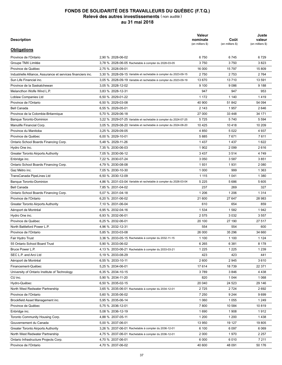| <b>Description</b>                                           |                                                                  | Valeur<br>nominale<br>(en milliers \$) | Coût<br>(en milliers \$) | Juste<br>valeur<br>(en milliers \$) |
|--------------------------------------------------------------|------------------------------------------------------------------|----------------------------------------|--------------------------|-------------------------------------|
| <b>Obligations</b>                                           |                                                                  |                                        |                          |                                     |
| Province de l'Ontario                                        | 2,90 % 2028-06-02                                                | 6750                                   | 6745                     | 6729                                |
| Groupe TMX Limitée                                           | 3,78 % 2028-06-05 Rachetable à compter du 2028-03-05             | 3750                                   | 3750                     | 3823                                |
| Province de Québec                                           | 2,75 % 2028-09-01                                                | 16 000                                 | 15 797                   | 15 809                              |
| Industrielle Alliance, Assurance et services financiers inc. | 3,30 % 2028-09-15 Variable et rachetable à compter du 2023-09-15 | 2750                                   | 2753                     | 2 7 6 4                             |
| Sun Life Financial inc.                                      | 3,05 % 2028-09-19 Variable et rachetable à compter du 2023-09-19 | 13 670                                 | 13710                    | 13 591                              |
| Province de la Saskatchewan                                  | 3,05 % 2028-12-02                                                | 9 100                                  | 9086                     | 9 1 8 8                             |
| Melancthon Wolfe Wind L.P.                                   | 3,83 % 2028-12-31                                                | 947                                    | 947                      | 953                                 |
| Loblaw Companies Ltd                                         | 6,50 % 2029-01-22                                                | 1 1 7 2                                | 1 140                    | 1419                                |
| Province de l'Ontario                                        | 6,50 % 2029-03-08                                                | 40 900                                 | 51 842                   | 54 094                              |
| <b>Bell Canada</b>                                           | 6,55 % 2029-05-01                                                | 2 1 4 3                                | 1957                     | 2646                                |
| Province de la Colombie-Britannique                          | 5,70 % 2029-06-18                                                | 27 000                                 | 33 448                   | 34 171                              |
| Banque Toronto-Dominion                                      | 3,22 % 2029-07-25 Variable et rachetable à compter du 2024-07-25 | 5725                                   | 5740                     | 5 5 9 4                             |
| Manulife Financial Corp.                                     | 3,05 % 2029-08-20 Variable et rachetable à compter du 2024-08-20 | 10 4 25                                | 10418                    | 10 209                              |
| Province du Manitoba                                         | 3,25 % 2029-09-05                                                | 4 8 5 0                                | 5 0 2 2                  | 4 9 3 7                             |
| Province de Québec                                           | 6,00 % 2029-10-01                                                | 5885                                   | 7671                     | 7611                                |
| Ontario School Boards Financing Corp.                        | 5,48 % 2029-11-26                                                | 1437                                   | 1437                     | 1622                                |
| Hydro One inc.                                               | 7,35 % 2030-06-03                                                | 1902                                   | 2099                     | 2616                                |
| <b>Greater Toronto Airports Authority</b>                    | 7,05 % 2030-06-12                                                | 3437                                   | 3514                     | 4749                                |
| Enbridge inc.                                                | 7.22 % 2030-07-24                                                | 3 0 5 0                                | 3587                     | 3851                                |
| Ontario School Boards Financing Corp.                        | 4,79 % 2030-08-08                                                | 1931                                   | 1931                     | 2 0 8 0                             |
| Gaz Métro inc.                                               | 7,05 % 2030-10-30                                                | 1 0 0 0                                | 999                      | 1 3 6 3                             |
| TransCanada PipeLines Ltd                                    | 6,50 % 2030-12-09                                                | 1 1 1 5                                | 1 0 4 1                  | 1 3 8 0                             |
| Banque Toronto-Dominion                                      | 4,86 % 2031-03-04 Variable et rachetable à compter du 2026-03-04 | 5 2 2 5                                | 5686                     | 5 605                               |
| <b>Bell Canada</b>                                           | 7,85 % 2031-04-02                                                | 237                                    | 269                      | 327                                 |
| Ontario School Boards Financing Corp.                        | 5,07 % 2031-04-18                                                | 1 206                                  | 1 2 0 6                  | 1 3 1 4                             |
| Province de l'Ontario                                        | 6,20 % 2031-06-02                                                | 21 600                                 | 27 647                   | 28 983                              |
|                                                              |                                                                  | 610                                    | 654                      | 859                                 |
| <b>Greater Toronto Airports Authority</b>                    | 7,10 % 2031-06-04                                                | 1 5 3 4                                | 1582                     | 1942                                |
| Aéroport de Montréal                                         | 6,95 % 2032-04-16                                                | 2575                                   |                          |                                     |
| Hydro One inc.                                               | 6.93 % 2032-06-01                                                |                                        | 3 0 3 2                  | 3 5 5 7                             |
| Province de Québec                                           | 6,25 % 2032-06-01                                                | 20 100                                 | 27 190                   | 27 517                              |
| North Battleford Power L.P.                                  | 4,96 % 2032-12-31                                                | 554                                    | 554                      | 600                                 |
| Province de l'Ontario                                        | 5.85 % 2033-03-08                                                | 26 000                                 | 35 296                   | 34 660                              |
| Fair Hydro Trust                                             | 3,36 % 2033-05-15 Rachetable à compter du 2032-11-15             | 1 100                                  | 1 100                    | 1 1 2 4                             |
| 55 Ontario School Board Trust                                | 5,90 % 2033-06-02                                                | 6 2 6 5                                | 6 3 8 1                  | 8 1 7 8                             |
| Bruce Power L.P.                                             | 4,13 % 2033-06-21 Rachetable à compter du 2033-03-21             | 1 2 2 5                                | 1 2 2 5                  | 1 2 3 9                             |
| SEC L.P. and Arci Ltd                                        | 5,19 % 2033-08-29                                                | 423                                    | 423                      | 441                                 |
| Aéroport de Montréal                                         | 6,55 % 2033-10-11                                                | 2 600                                  | 2945                     | 3610                                |
| Financement-Québec                                           | 5,25 % 2034-06-01                                                | 17614                                  | 18 739                   | 22 371                              |
| University of Ontario Institute of Technology                | 6,35 % 2034-10-15                                                | 3789                                   | 3846                     | 4 4 3 8                             |
| CU inc.                                                      | 5,90 % 2034-11-20                                                | 820                                    | 1 0 4 4                  | 1 0 6 8                             |
| Hydro-Québec                                                 | 6,50 % 2035-02-15                                                | 20 040                                 | 24 5 23                  | 29 14 6                             |
| North West Redwater Partnership                              | 3,65 % 2035-06-01 Rachetable à compter du 2034-12-01             | 2725                                   | 2 7 2 4                  | 2692                                |
| Province de l'Ontario                                        | 5,60 % 2035-06-02                                                | 7 2 5 0                                | 9 2 4 4                  | 9699                                |
| Brookfield Asset Management inc.                             | 5,95 % 2035-06-14                                                | 1 0 6 0                                | 1 0 5 5                  | 1 2 4 9                             |
| Province de Québec                                           | 5,75 % 2036-12-01                                                | 7800                                   | 10 584                   | 10819                               |
| Enbridge inc.                                                | 5,08 % 2036-12-19                                                | 1690                                   | 1908                     | 1912                                |
| Toronto Community Housing Corp.                              | 4,88 % 2037-05-11                                                | 1 200                                  | 1 200                    | 1438                                |
| Gouvernement du Canada                                       | 5,00 % 2037-06-01                                                | 13 950                                 | 19 127                   | 19 805                              |
| Greater Toronto Airports Authority                           | 3,26 % 2037-06-01 Rachetable à compter du 2036-12-01             | 6 100                                  | 6 0 9 7                  | 6 0 6 9                             |
| North West Redwater Partnership                              | 4,75 % 2037-06-01 Rachetable à compter du 2036-12-01             | 2 0 0 0                                | 1970                     | 2 2 5 7                             |
| Ontario Infrastructure Projects Corp.                        | 4,70 % 2037-06-01                                                | 6 0 0 0                                | 6010                     | 7 2 1 1                             |
| Province de l'Ontario                                        | 4,70 % 2037-06-02                                                | 40 600                                 | 48 091                   | 50 176                              |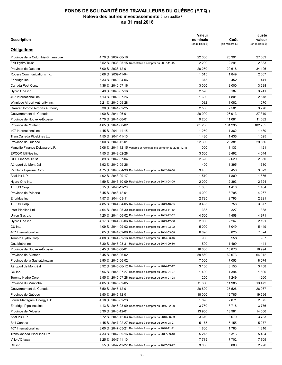| <b>Description</b>                        |                                                                  | <b>Valeur</b><br>nominale<br>(en milliers \$) | Coût<br>(en milliers \$) | Juste<br>valeur<br>(en milliers \$) |
|-------------------------------------------|------------------------------------------------------------------|-----------------------------------------------|--------------------------|-------------------------------------|
| <b>Obligations</b>                        |                                                                  |                                               |                          |                                     |
| Province de la Colombie-Britannique       | 4,70 % 2037-06-18                                                | 22 000                                        | 25 391                   | 27 589                              |
| Fair Hydro Trust                          | 3,52 % 2038-05-15 Rachetable à compter du 2037-11-15             | 2 2 9 0                                       | 2 2 9 1                  | 2 3 8 3                             |
| Province de Québec                        | 5,00 % 2038-12-01                                                | 26 250                                        | 29 6 18                  | 34 126                              |
| Rogers Communications inc.                | 6.68 % 2039-11-04                                                | 1515                                          | 1849                     | 2 0 0 7                             |
| Enbridge inc.                             | 5.33 % 2040-04-06                                                | 375                                           | 452                      | 441                                 |
| Canada Post Corp.                         | 4,36 % 2040-07-16                                                | 3 0 0 0                                       | 3 0 0 0                  | 3688                                |
| Hydro One inc.                            | 5,49 % 2040-07-16                                                | 2 5 20                                        | 3 1 8 7                  | 3 2 4 1                             |
| 407 International inc.                    | 7,13 % 2040-07-26                                                | 1690                                          | 1801                     | 2578                                |
| Winnipeg Airport Authority inc.           | 5,21 % 2040-09-28                                                | 1 0 8 2                                       | 1 0 8 2                  | 1 2 7 0                             |
| <b>Greater Toronto Airports Authority</b> | 5,30 % 2041-02-25                                                | 2 500                                         | 2 5 0 1                  | 3 2 7 6                             |
| Gouvernement du Canada                    | 4,00 % 2041-06-01                                                | 20 900                                        | 26 913                   | 27 319                              |
| Province de Nouvelle-Écosse               | 4,70 % 2041-06-01                                                | 9 2 0 0                                       | 11 081                   | 11 582                              |
| Province de l'Ontario                     | 4,65 % 2041-06-02                                                | 81 200                                        | 101 235                  | 102 255                             |
| 407 International inc.                    | 4,45 % 2041-11-15                                                | 1 2 5 0                                       | 1 3 6 2                  | 1430                                |
| TransCanada PipeLines Ltd                 | 4,55 % 2041-11-15                                                | 1430                                          | 1436                     | 1525                                |
| Province de Québec                        | 5,00 % 2041-12-01                                                | 22 300                                        | 29 381                   | 29 6 66                             |
| Manulife Finance Delaware L.P.            | 5,06 % 2041-12-15 Variable et rachetable à compter du 2036-12-15 | 1 0 0 0                                       | 1 1 3 3                  | 1 1 2 1                             |
| <b>EPCOR Utilities inc.</b>               | 4,55 % 2042-02-28                                                | 3 500                                         | 3492                     | 4 0 4 4                             |
| <b>OPB Finance Trust</b>                  | 3,89 % 2042-07-04                                                | 2620                                          | 2629                     | 2850                                |
| Aéroport de Montréal                      | 3,92 % 2042-09-26                                                | 1400                                          | 1 3 9 5                  | 1 5 3 0                             |
| Pembina Pipeline Corp.                    | 4,75 % 2043-04-30 Rachetable à compter du 2042-10-30             | 3485                                          | 3 4 5 6                  | 3523                                |
| AltaLink L.P.                             | 4,92 % 2043-09-17                                                | 1510                                          | 1809                     | 1856                                |
| Hydro One inc.                            | 4,59 % 2043-10-09 Rachetable à compter du 2043-04-09             | 2 0 0 0                                       | 2 3 9 3                  | 2 3 2 4                             |
| TELUS Corp.                               | 5,15 % 2043-11-26                                                | 1 3 3 5                                       | 1416                     | 1464                                |
| Province de l'Alberta                     |                                                                  | 4 0 0 0                                       | 3795                     | 4 2 6 7                             |
|                                           | 3,45 % 2043-12-01                                                | 2795                                          | 2793                     | 2821                                |
| Enbridge inc.                             | 4,57 % 2044-03-11                                                |                                               |                          |                                     |
| TELUS Corp.                               | 4,85 % 2044-04-05 Rachetable à compter du 2043-10-05             | 3 4 9 5                                       | 3758                     | 3677                                |
| Inter Pipeline Ltd                        | 4,64 % 2044-05-30 Rachetable à compter du 2043-11-30             | 335                                           | 327                      | 338                                 |
| Union Gas Ltd                             | 4,20 % 2044-06-02 Rachetable à compter du 2043-12-02             | 4 500                                         | 4 4 5 8                  | 4 9 7 1                             |
| Hydro One inc.                            | 4,17 % 2044-06-06 Rachetable à compter du 2043-12-06             | 2 0 0 0                                       | 2 2 6 7                  | 2 1 9 1                             |
| CU inc.                                   | 4,09 % 2044-09-02 Rachetable à compter du 2044-03-02             | 5 0 0 0                                       | 5 0 4 9                  | 5449                                |
| 407 International inc.                    | 3,65 % 2044-09-08 Rachetable à compter du 2044-03-08             | 6890                                          | 6825                     | 7 0 24                              |
| Toronto Hydro Corp.                       | 4,08 % 2044-09-16 Rachetable à compter du 2044-03-16             | 900                                           | 958                      | 987                                 |
| Gaz Métro inc.                            | 3.30 % 2045-03-31 Rachetable à compter du 2044-09-30             | 1 500                                         | 1499                     | 1441                                |
| Province de Nouvelle-Écosse               | 3.45 % 2045-06-01                                                | 16 000                                        | 15876                    | 16 994                              |
| Province de l'Ontario                     | 3,45 % 2045-06-02                                                | 59 860                                        | 62 673                   | 64 012                              |
| Province de la Saskatchewan               | 3,90 % 2045-06-02                                                | 7 0 0 0                                       | 7 0 5 3                  | 8 0 7 4                             |
| Aéroport de Montréal                      | 3,92 % 2045-06-12 Rachetable à compter du 2044-12-12             | 3 1 5 0                                       | 3 1 5 0                  | 3458                                |
| CU inc.                                   | 3,96 % 2045-07-27 Rachetable à compter du 2045-01-27             | 1400                                          | 1 3 9 4                  | 1500                                |
| Toronto Hydro Corp.                       | 3,55 % 2045-07-28 Rachetable à compter du 2045-01-28             | 1 2 5 0                                       | 1 2 4 9                  | 1 2 6 0                             |
| Province du Manitoba                      | 4,05 % 2045-09-05                                                | 11 600                                        | 11 985                   | 13 472                              |
| Gouvernement du Canada                    | 3,50 % 2045-12-01                                                | 20 8 20                                       | 25 5 26                  | 26 037                              |
| Province de Québec                        | 3,50 % 2045-12-01                                                | 18 000                                        | 19 785                   | 19 596                              |
| Lower Mattagami Energy L.P.               | 4,18 % 2046-02-23                                                | 1870                                          | 2 0 7 1                  | 2075                                |
| Enbridge Pipelines inc.                   | 4,13 % 2046-08-09 Rachetable à compter du 2046-02-09             | 3750                                          | 3718                     | 3776                                |
| Province de l'Alberta                     | 3,30 % 2046-12-01                                                | 13 950                                        | 13 981                   | 14 556                              |
| AltaLink L.P.                             | 3,72 % 2046-12-03 Rachetable à compter du 2046-06-03             | 3670                                          | 3670                     | 3783                                |
| Bell Canada                               | 4,45 % 2047-02-27 Rachetable à compter du 2046-08-27             | 5 1 7 5                                       | 5 1 5 5                  | 5 2 7 7                             |
| 407 International inc.                    | 3,60 % 2047-05-21 Rachetable à compter du 2046-11-21             | 1800                                          | 1783                     | 1816                                |
| TransCanada PipeLines Ltd                 | 4,33 % 2047-09-16 Rachetable à compter du 2047-03-16             | 5 2 7 5                                       | 5 3 1 6                  | 5484                                |
| Ville d'Ottawa                            | 3,25 % 2047-11-10                                                | 7715                                          | 7 7 0 2                  | 7709                                |
| CU inc.                                   | 3,55 % 2047-11-22 Rachetable à compter du 2047-05-22             | 3 0 0 0                                       | 3 0 0 0                  | 2996                                |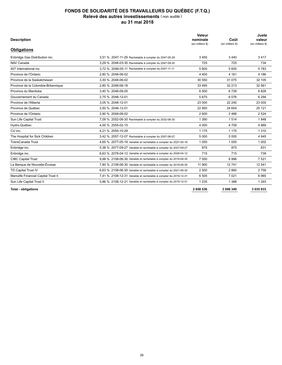| <b>Description</b>                  |                                                                  | Valeur<br>nominale<br>(en milliers \$) | Coût<br>(en milliers \$) | Juste<br>valeur<br>(en milliers \$) |
|-------------------------------------|------------------------------------------------------------------|----------------------------------------|--------------------------|-------------------------------------|
| <b>Obligations</b>                  |                                                                  |                                        |                          |                                     |
| Enbridge Gas Distribution inc.      | 3.51 % 2047-11-29 Rachetable à compter du 2047-05-29             | 3455                                   | 3440                     | 3417                                |
| NAV Canada                          | 3,29 % 2048-03-30 Rachetable à compter du 2047-09-30             | 725                                    | 725                      | 734                                 |
| 407 International inc.              | 3,72 % 2048-05-11 Rachetable à compter du 2047-11-11             | 5 600                                  | 5 600                    | 5783                                |
| Province de l'Ontario               | 2.80 % 2048-06-02                                                | 4 4 0 0                                | 4 1 6 1                  | 4 18 6                              |
| Province de la Saskatchewan         | 3.30 % 2048-06-02                                                | 30 550                                 | 31 075                   | 32 105                              |
| Province de la Colombie-Britannique | 2.80 % 2048-06-18                                                | 33 4 95                                | 32 213                   | 32 561                              |
| Province du Manitoba                | 3.40 % 2048-09-05                                                | 6 500                                  | 6728                     | 6828                                |
| Gouvernement du Canada              | 2.75 % 2048-12-01                                                | 5675                                   | 6076                     | 6 2 9 4                             |
| Province de l'Alberta               | 3.05 % 2048-12-01                                                | 23 000                                 | 22 240                   | 23 000                              |
| Province de Québec                  | 3.50 % 2048-12-01                                                | 22 850                                 | 24 654                   | 25 1 21                             |
| Province de l'Ontario               | 2.90 % 2049-06-02                                                | 2 600                                  | 2466                     | 2 5 2 4                             |
| Sun Life Capital Trust              | 7,09 % 2052-06-30 Rachetable à compter du 2032-06-30             | 1 3 9 0                                | 1514                     | 1848                                |
| Hydro-Québec                        | 4.00 % 2055-02-15                                                | 4 0 0 0                                | 4 7 0 9                  | 4 8 8 9                             |
| CU inc.                             | 4.21 % 2055-10-29                                                | 1 1 7 5                                | 1 1 7 5                  | 1 3 1 0                             |
| The Hospital for Sick Children      | 3.42 % 2057-12-07 Rachetable à compter du 2057-06-07             | 5 0 0 0                                | 5 0 0 0                  | 4 9 4 5                             |
| <b>TransCanada Trust</b>            | 4.65 % 2077-05-18 Variable et rachetable à compter du 2027-05-18 | 1 0 5 0                                | 1 0 5 0                  | 1 0 0 2                             |
| Enbridge inc.                       | 5,38 % 2077-09-27 Variable et rachetable à compter du 2027-09-27 | 875                                    | 875                      | 831                                 |
| Enbridge inc.                       | 6.63 % 2078-04-12 Variable et rachetable à compter du 2028-04-12 | 715                                    | 715                      | 739                                 |
| <b>CIBC Capital Trust</b>           | 9,98 % 2108-06-30 Variable et rachetable à compter du 2019-06-30 | 7 0 0 0                                | 8996                     | 7 5 21                              |
| La Banque de Nouvelle-Écosse        | 7,80 % 2108-06-30 Variable et rachetable à compter du 2019-06-30 | 11 900                                 | 12741                    | 12 541                              |
| TD Capital Trust IV                 | 6,63 % 2108-06-30 Variable et rachetable à compter du 2021-06-30 | 2 500                                  | 2860                     | 2 7 5 6                             |
| Manulife Financial Capital Trust II | 7.41 % 2108-12-31 Variable et rachetable à compter du 2019-12-31 | 6 5 0 5                                | 7 0 2 1                  | 6965                                |
| Sun Life Capital Trust II           | 5,86 % 2108-12-31 Variable et rachetable à compter du 2019-12-31 | 1 2 3 5                                | 1 3 8 8                  | 1 2 9 3                             |
| <b>Total - obligations</b>          |                                                                  | 2858536                                | 3 006 340                | 3 0 3 5 8 3 3                       |
|                                     |                                                                  |                                        |                          |                                     |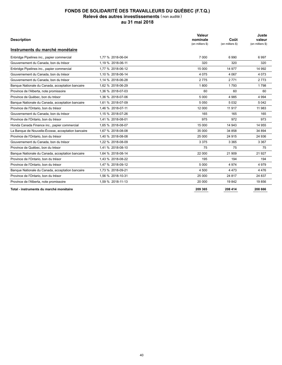| <b>Description</b>                                 |                   | Valeur<br>nominale<br>(en milliers \$) | Coût<br>(en milliers \$) | Juste<br>valeur<br>(en milliers \$) |
|----------------------------------------------------|-------------------|----------------------------------------|--------------------------|-------------------------------------|
| Instruments du marché monétaire                    |                   |                                        |                          |                                     |
| Enbridge Pipelines inc., papier commercial         | 1,77 % 2018-06-04 | 7 0 0 0                                | 6990                     | 6997                                |
| Gouvernement du Canada, bon du trésor              | 1.19 % 2018-06-11 | 320                                    | 320                      | 320                                 |
| Enbridge Pipelines inc., papier commercial         | 1,77 % 2018-06-12 | 15 000                                 | 14 977                   | 14 992                              |
| Gouvernement du Canada, bon du trésor              | 1,10 % 2018-06-14 | 4 0 7 5                                | 4 0 6 7                  | 4 0 7 3                             |
| Gouvernement du Canada, bon du trésor              | 1.14 % 2018-06-28 | 2775                                   | 2771                     | 2 7 7 3                             |
| Banque Nationale du Canada, acceptation bancaire   | 1,62 % 2018-06-29 | 1800                                   | 1793                     | 1798                                |
| Province de l'Alberta, note promissoire            | 1,36 % 2018-07-03 | 60                                     | 60                       | 60                                  |
| Province de Québec, bon du trésor                  | 1.36 % 2018-07-06 | 5 0 0 0                                | 4 9 8 5                  | 4 9 9 4                             |
| Banque Nationale du Canada, acceptation bancaire   | 1,61 % 2018-07-09 | 5 0 5 0                                | 5 0 3 2                  | 5 0 4 2                             |
| Province de l'Ontario, bon du trésor               | 1,46 % 2018-07-11 | 12 000                                 | 11917                    | 11 983                              |
| Gouvernement du Canada, bon du trésor              | 1.15 % 2018-07-26 | 165                                    | 165                      | 165                                 |
| Province de l'Ontario, bon du trésor               | 1,41 % 2018-08-01 | 975                                    | 972                      | 973                                 |
| Honda Canada Finance inc., papier commercial       | 1,65 % 2018-08-07 | 15 000                                 | 14 943                   | 14 955                              |
| La Banque de Nouvelle-Écosse, acceptation bancaire | 1.67 % 2018-08-08 | 35 000                                 | 34 858                   | 34 894                              |
| Province de l'Ontario, bon du trésor               | 1,40 % 2018-08-08 | 25 000                                 | 24 915                   | 24 936                              |
| Gouvernement du Canada, bon du trésor              | 1,22 % 2018-08-09 | 3 3 7 5                                | 3 3 6 5                  | 3 3 6 7                             |
| Province de Québec, bon du trésor                  | 1.41 % 2018-08-10 | 75                                     | 75                       | 75                                  |
| Banque Nationale du Canada, acceptation bancaire   | 1,64 % 2018-08-14 | 22 000                                 | 21 909                   | 21 9 27                             |
| Province de l'Ontario, bon du trésor               | 1.43 % 2018-08-22 | 195                                    | 194                      | 194                                 |
| Province de l'Ontario, bon du trésor               | 1.47 % 2018-09-12 | 5 0 0 0                                | 4 9 7 4                  | 4 9 7 9                             |
| Banque Nationale du Canada, acceptation bancaire   | 1,73 % 2018-09-21 | 4 500                                  | 4 4 7 3                  | 4 4 7 6                             |
| Province de l'Ontario, bon du trésor               | 1,56 % 2018-10-31 | 25 000                                 | 24 817                   | 24 837                              |
| Province de l'Alberta, note promissoire            | 1,59 % 2018-11-13 | 20 000                                 | 19842                    | 19856                               |
| Total - instruments du marché monétaire            |                   | 209 365                                | 208 414                  | 208 666                             |